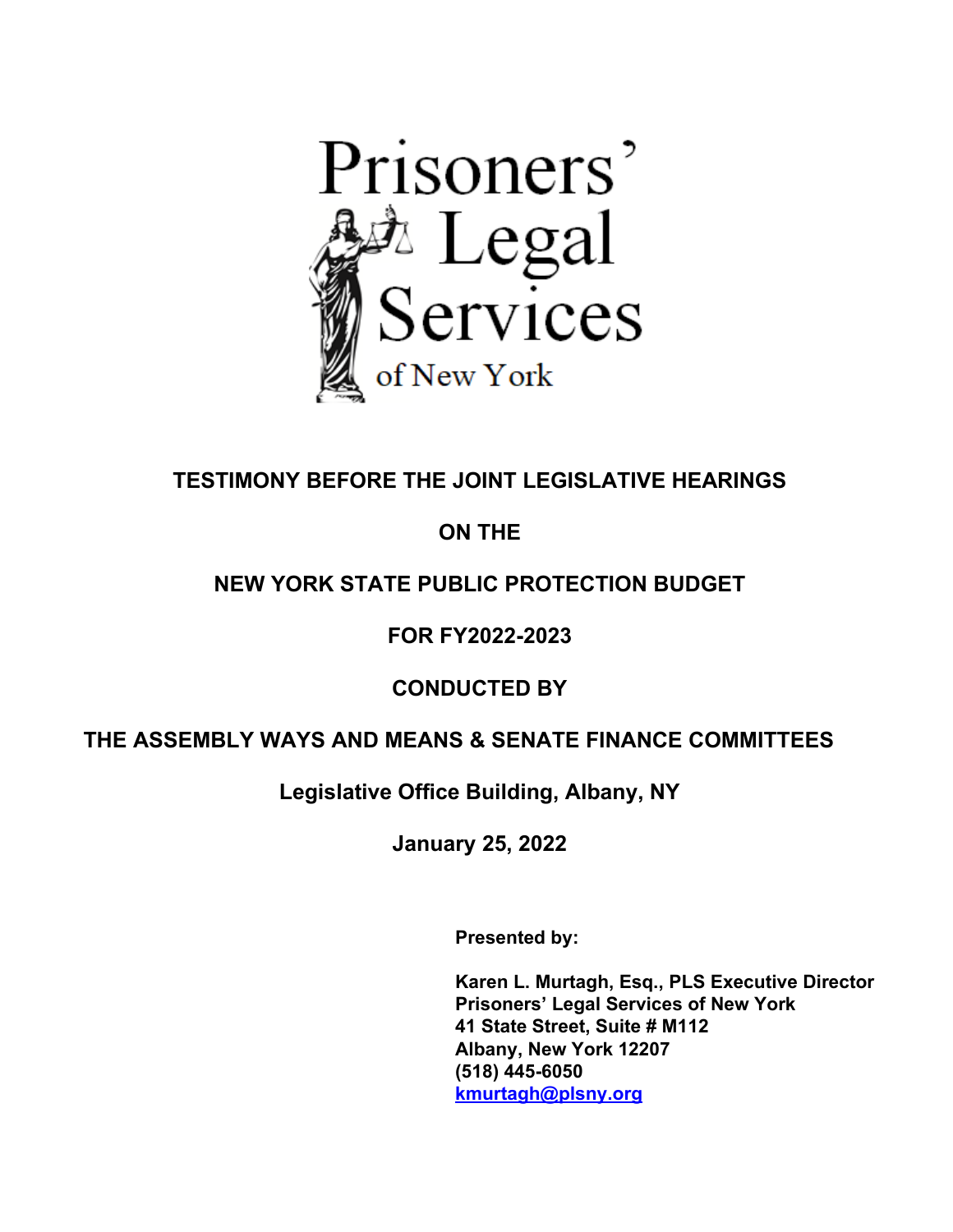

# **TESTIMONY BEFORE THE JOINT LEGISLATIVE HEARINGS**

# **ON THE**

# **NEW YORK STATE PUBLIC PROTECTION BUDGET**

## **FOR FY2022-2023**

## **CONDUCTED BY**

### **THE ASSEMBLY WAYS AND MEANS & SENATE FINANCE COMMITTEES**

**Legislative Office Building, Albany, NY**

**January 25, 2022**

**Presented by:**

**Karen L. Murtagh, Esq., PLS Executive Director Prisoners' Legal Services of New York 41 State Street, Suite # M112 Albany, New York 12207 (518) 445-6050 [kmurtagh@plsny.org](mailto:kmurtagh@plsny.org)**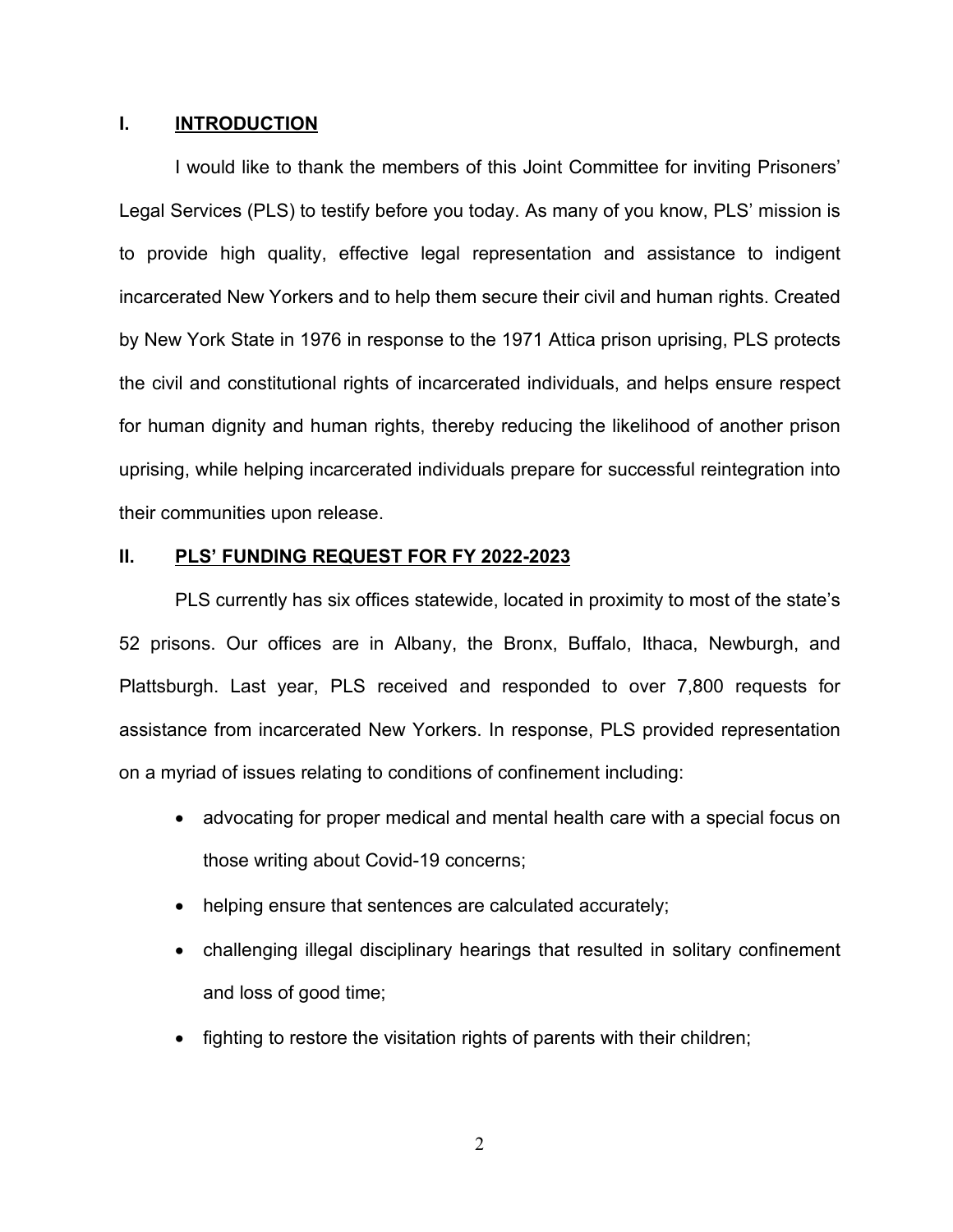#### **I. INTRODUCTION**

I would like to thank the members of this Joint Committee for inviting Prisoners' Legal Services (PLS) to testify before you today. As many of you know, PLS' mission is to provide high quality, effective legal representation and assistance to indigent incarcerated New Yorkers and to help them secure their civil and human rights. Created by New York State in 1976 in response to the 1971 Attica prison uprising, PLS protects the civil and constitutional rights of incarcerated individuals, and helps ensure respect for human dignity and human rights, thereby reducing the likelihood of another prison uprising, while helping incarcerated individuals prepare for successful reintegration into their communities upon release.

#### **II. PLS' FUNDING REQUEST FOR FY 2022-2023**

PLS currently has six offices statewide, located in proximity to most of the state's 52 prisons. Our offices are in Albany, the Bronx, Buffalo, Ithaca, Newburgh, and Plattsburgh. Last year, PLS received and responded to over 7,800 requests for assistance from incarcerated New Yorkers. In response, PLS provided representation on a myriad of issues relating to conditions of confinement including:

- advocating for proper medical and mental health care with a special focus on those writing about Covid-19 concerns;
- helping ensure that sentences are calculated accurately;
- challenging illegal disciplinary hearings that resulted in solitary confinement and loss of good time;
- fighting to restore the visitation rights of parents with their children;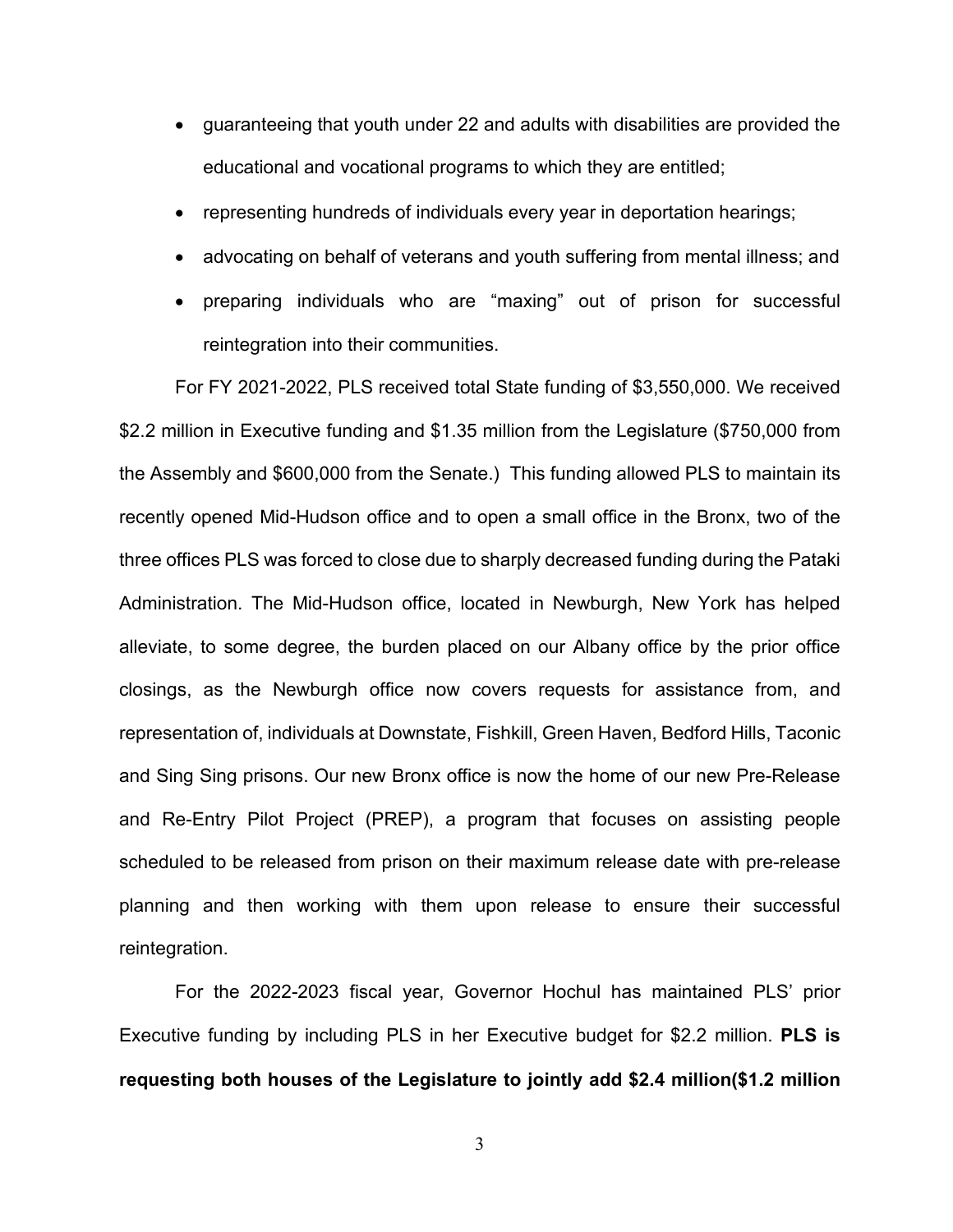- guaranteeing that youth under 22 and adults with disabilities are provided the educational and vocational programs to which they are entitled;
- representing hundreds of individuals every year in deportation hearings;
- advocating on behalf of veterans and youth suffering from mental illness; and
- preparing individuals who are "maxing" out of prison for successful reintegration into their communities.

For FY 2021-2022, PLS received total State funding of \$3,550,000. We received \$2.2 million in Executive funding and \$1.35 million from the Legislature (\$750,000 from the Assembly and \$600,000 from the Senate.) This funding allowed PLS to maintain its recently opened Mid-Hudson office and to open a small office in the Bronx, two of the three offices PLS was forced to close due to sharply decreased funding during the Pataki Administration. The Mid-Hudson office, located in Newburgh, New York has helped alleviate, to some degree, the burden placed on our Albany office by the prior office closings, as the Newburgh office now covers requests for assistance from, and representation of, individuals at Downstate, Fishkill, Green Haven, Bedford Hills, Taconic and Sing Sing prisons. Our new Bronx office is now the home of our new Pre-Release and Re-Entry Pilot Project (PREP), a program that focuses on assisting people scheduled to be released from prison on their maximum release date with pre-release planning and then working with them upon release to ensure their successful reintegration.

For the 2022-2023 fiscal year, Governor Hochul has maintained PLS' prior Executive funding by including PLS in her Executive budget for \$2.2 million. **PLS is requesting both houses of the Legislature to jointly add \$2.4 million(\$1.2 million** 

3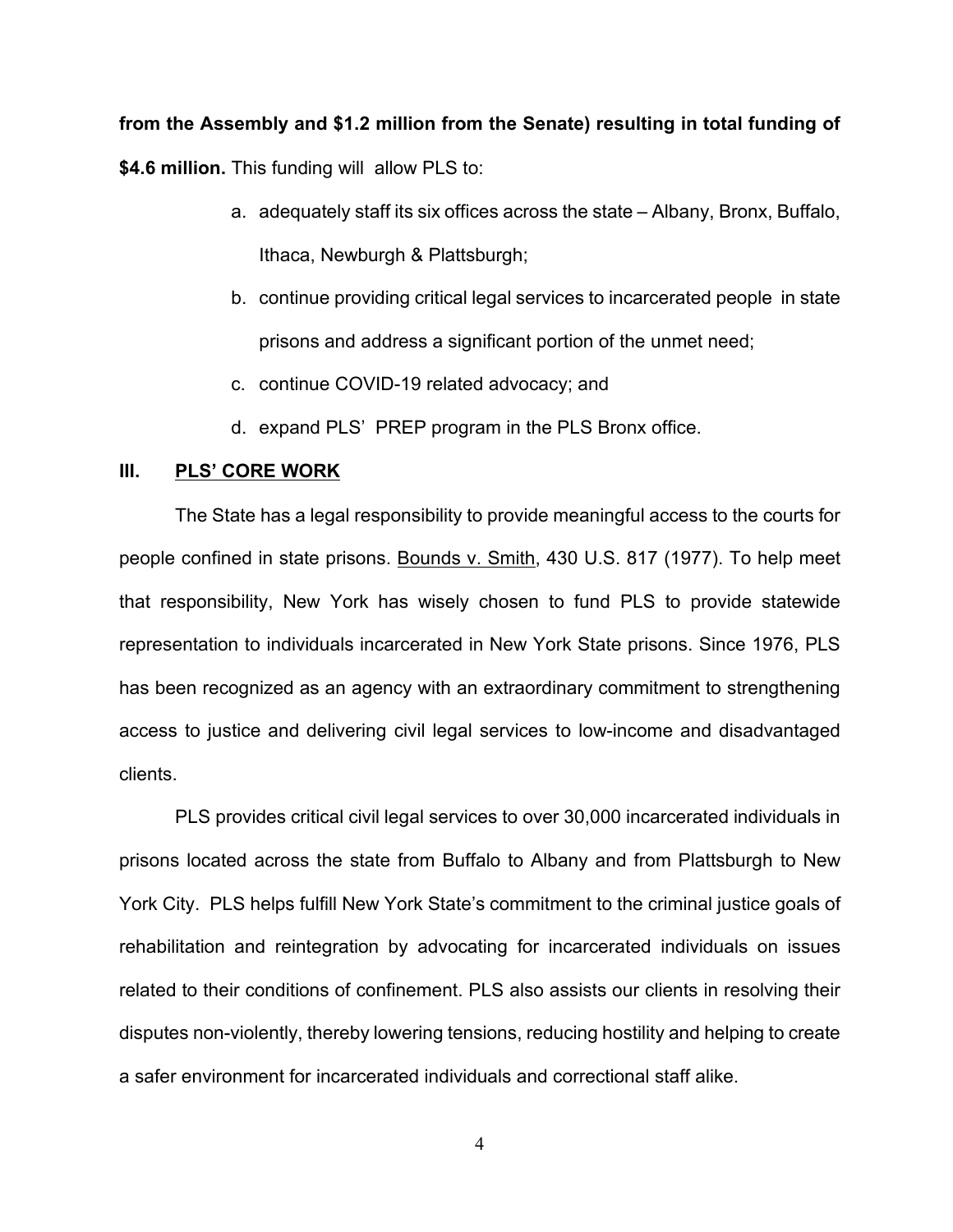#### **from the Assembly and \$1.2 million from the Senate) resulting in total funding of**

**\$4.6 million.** This funding will allow PLS to:

- a. adequately staff its six offices across the state Albany, Bronx, Buffalo, Ithaca, Newburgh & Plattsburgh;
- b. continue providing critical legal services to incarcerated people in state prisons and address a significant portion of the unmet need;
- c. continue COVID-19 related advocacy; and
- d. expand PLS' PREP program in the PLS Bronx office.

#### **III. PLS' CORE WORK**

The State has a legal responsibility to provide meaningful access to the courts for people confined in state prisons. Bounds v. Smith, 430 U.S. 817 (1977). To help meet that responsibility, New York has wisely chosen to fund PLS to provide statewide representation to individuals incarcerated in New York State prisons. Since 1976, PLS has been recognized as an agency with an extraordinary commitment to strengthening access to justice and delivering civil legal services to low-income and disadvantaged clients.

PLS provides critical civil legal services to over 30,000 incarcerated individuals in prisons located across the state from Buffalo to Albany and from Plattsburgh to New York City. PLS helps fulfill New York State's commitment to the criminal justice goals of rehabilitation and reintegration by advocating for incarcerated individuals on issues related to their conditions of confinement. PLS also assists our clients in resolving their disputes non-violently, thereby lowering tensions, reducing hostility and helping to create a safer environment for incarcerated individuals and correctional staff alike.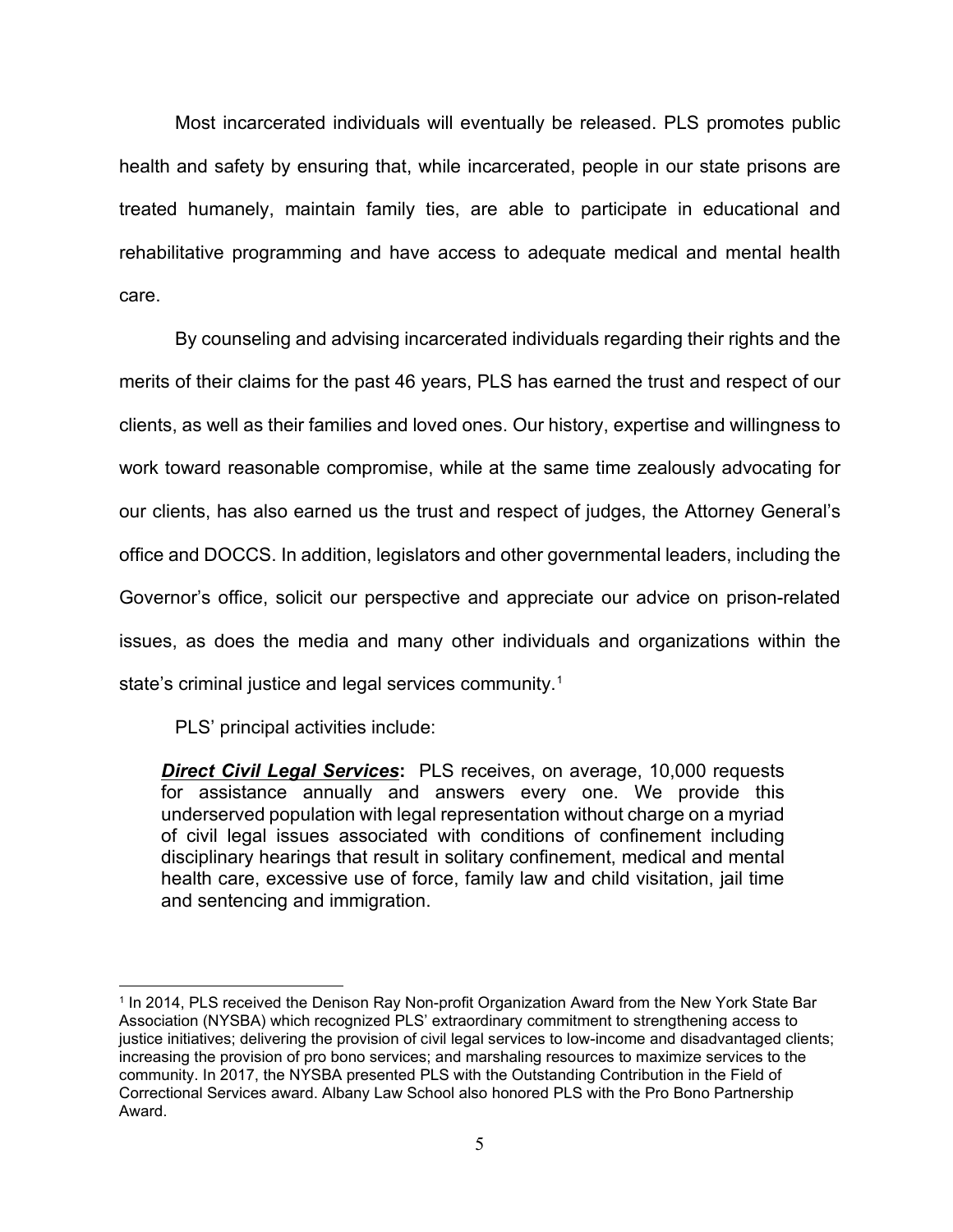Most incarcerated individuals will eventually be released. PLS promotes public health and safety by ensuring that, while incarcerated, people in our state prisons are treated humanely, maintain family ties, are able to participate in educational and rehabilitative programming and have access to adequate medical and mental health care.

By counseling and advising incarcerated individuals regarding their rights and the merits of their claims for the past 46 years, PLS has earned the trust and respect of our clients, as well as their families and loved ones. Our history, expertise and willingness to work toward reasonable compromise, while at the same time zealously advocating for our clients, has also earned us the trust and respect of judges, the Attorney General's office and DOCCS. In addition, legislators and other governmental leaders, including the Governor's office, solicit our perspective and appreciate our advice on prison-related issues, as does the media and many other individuals and organizations within the state's criminal justice and legal services community. [1](#page-4-0)

PLS' principal activities include:

*Direct Civil Legal Services***:** PLS receives, on average, 10,000 requests for assistance annually and answers every one. We provide this underserved population with legal representation without charge on a myriad of civil legal issues associated with conditions of confinement including disciplinary hearings that result in solitary confinement, medical and mental health care, excessive use of force, family law and child visitation, jail time and sentencing and immigration.

<span id="page-4-0"></span> $\overline{a}$ <sup>1</sup> In 2014, PLS received the Denison Ray Non-profit Organization Award from the New York State Bar Association (NYSBA) which recognized PLS' extraordinary commitment to strengthening access to justice initiatives; delivering the provision of civil legal services to low-income and disadvantaged clients; increasing the provision of pro bono services; and marshaling resources to maximize services to the community. In 2017, the NYSBA presented PLS with the Outstanding Contribution in the Field of Correctional Services award. Albany Law School also honored PLS with the Pro Bono Partnership Award.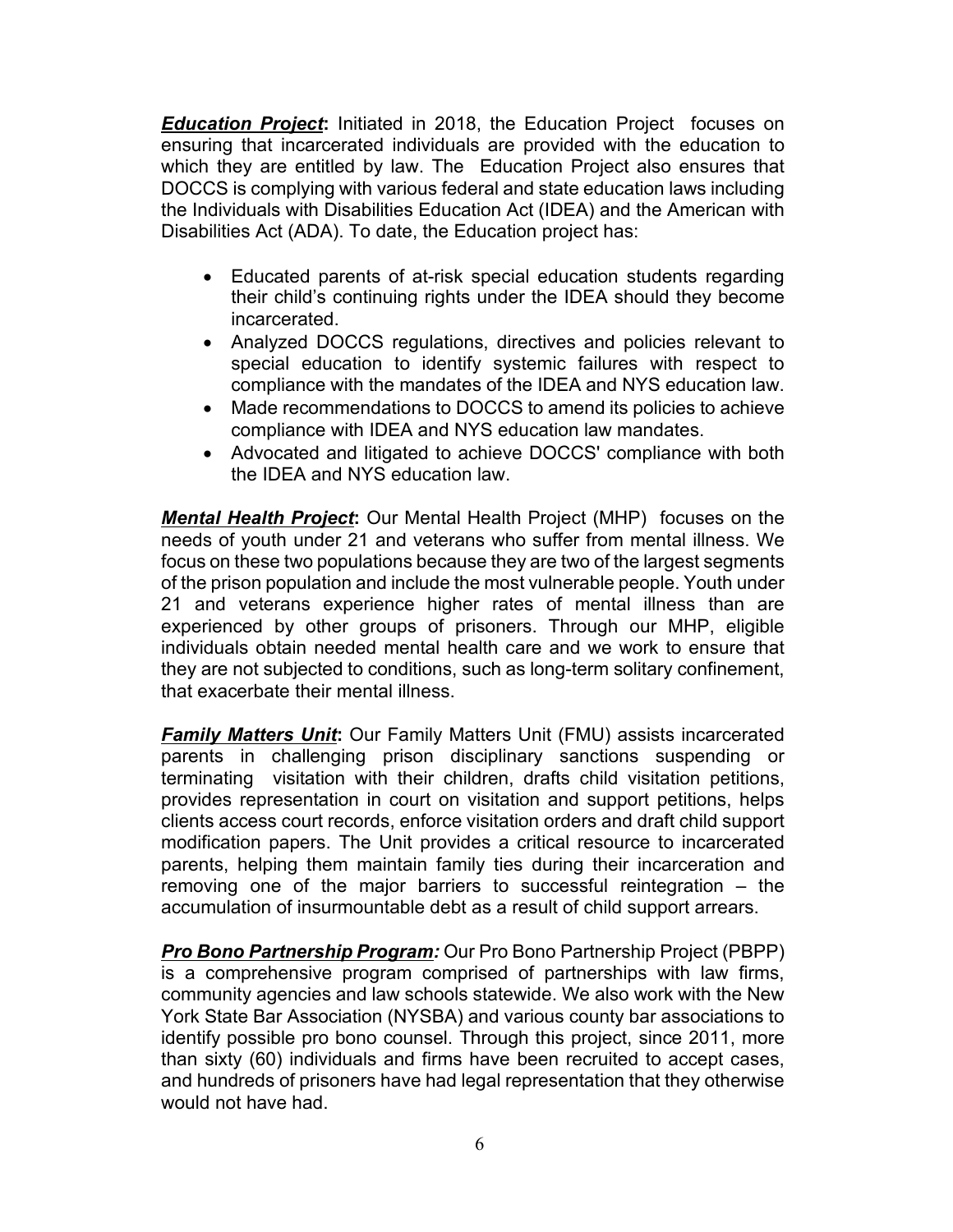*Education Project***:** Initiated in 2018, the Education Project focuses on ensuring that incarcerated individuals are provided with the education to which they are entitled by law. The Education Project also ensures that DOCCS is complying with various federal and state education laws including the Individuals with Disabilities Education Act (IDEA) and the American with Disabilities Act (ADA). To date, the Education project has:

- Educated parents of at-risk special education students regarding their child's continuing rights under the IDEA should they become incarcerated.
- Analyzed DOCCS regulations, directives and policies relevant to special education to identify systemic failures with respect to compliance with the mandates of the IDEA and NYS education law.
- Made recommendations to DOCCS to amend its policies to achieve compliance with IDEA and NYS education law mandates.
- Advocated and litigated to achieve DOCCS' compliance with both the IDEA and NYS education law.

*Mental Health Project***:** Our Mental Health Project (MHP) focuses on the needs of youth under 21 and veterans who suffer from mental illness. We focus on these two populations because they are two of the largest segments of the prison population and include the most vulnerable people. Youth under 21 and veterans experience higher rates of mental illness than are experienced by other groups of prisoners. Through our MHP, eligible individuals obtain needed mental health care and we work to ensure that they are not subjected to conditions, such as long-term solitary confinement, that exacerbate their mental illness.

*Family Matters Unit***:** Our Family Matters Unit (FMU) assists incarcerated parents in challenging prison disciplinary sanctions suspending or terminating visitation with their children, drafts child visitation petitions, provides representation in court on visitation and support petitions, helps clients access court records, enforce visitation orders and draft child support modification papers. The Unit provides a critical resource to incarcerated parents, helping them maintain family ties during their incarceration and removing one of the major barriers to successful reintegration – the accumulation of insurmountable debt as a result of child support arrears.

*Pro Bono Partnership Program:* Our Pro Bono Partnership Project (PBPP) is a comprehensive program comprised of partnerships with law firms, community agencies and law schools statewide. We also work with the New York State Bar Association (NYSBA) and various county bar associations to identify possible pro bono counsel. Through this project, since 2011, more than sixty (60) individuals and firms have been recruited to accept cases, and hundreds of prisoners have had legal representation that they otherwise would not have had.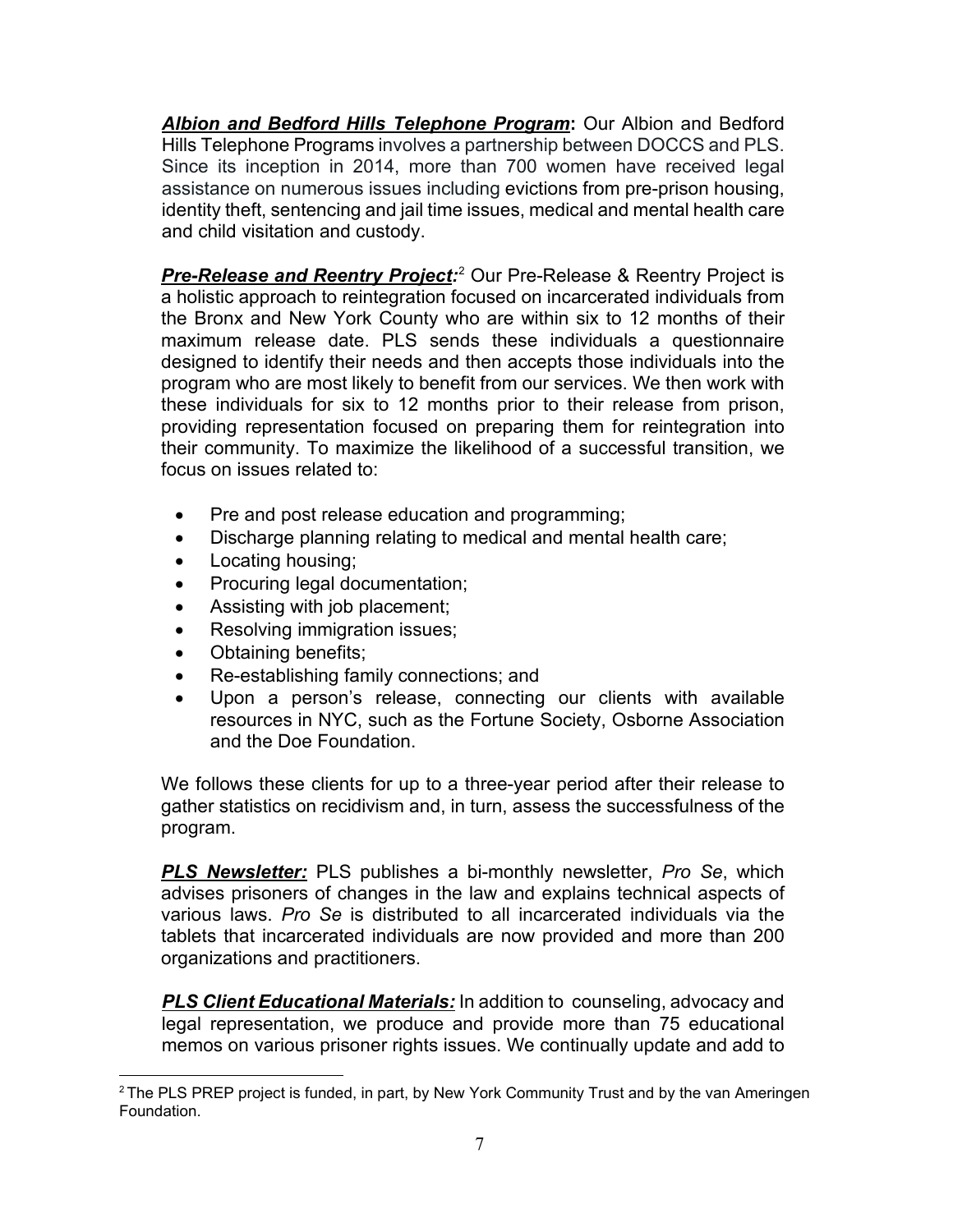*Albion and Bedford Hills Telephone Program***:** Our Albion and Bedford Hills Telephone Programs involves a partnership between DOCCS and PLS. Since its inception in 2014, more than 700 women have received legal assistance on numerous issues including evictions from pre-prison housing, identity theft, sentencing and jail time issues, medical and mental health care and child visitation and custody.

*Pre-Release and Reentry Project:* [2](#page-6-0) Our Pre-Release & Reentry Project is a holistic approach to reintegration focused on incarcerated individuals from the Bronx and New York County who are within six to 12 months of their maximum release date. PLS sends these individuals a questionnaire designed to identify their needs and then accepts those individuals into the program who are most likely to benefit from our services. We then work with these individuals for six to 12 months prior to their release from prison, providing representation focused on preparing them for reintegration into their community. To maximize the likelihood of a successful transition, we focus on issues related to:

- Pre and post release education and programming;
- Discharge planning relating to medical and mental health care;
- Locating housing;
- Procuring legal documentation;
- Assisting with job placement;
- Resolving immigration issues;
- Obtaining benefits;
- Re-establishing family connections; and
- Upon a person's release, connecting our clients with available resources in NYC, such as the Fortune Society, Osborne Association and the Doe Foundation.

We follows these clients for up to a three-year period after their release to gather statistics on recidivism and, in turn, assess the successfulness of the program.

*PLS Newsletter:* PLS publishes a bi-monthly newsletter, *Pro Se*, which advises prisoners of changes in the law and explains technical aspects of various laws. *Pro Se* is distributed to all incarcerated individuals via the tablets that incarcerated individuals are now provided and more than 200 organizations and practitioners.

**PLS Client Educational Materials:** In addition to counseling, advocacy and legal representation, we produce and provide more than 75 educational memos on various prisoner rights issues. We continually update and add to

<span id="page-6-0"></span> $\overline{a}$ <sup>2</sup> The PLS PREP project is funded, in part, by New York Community Trust and by the van Ameringen Foundation.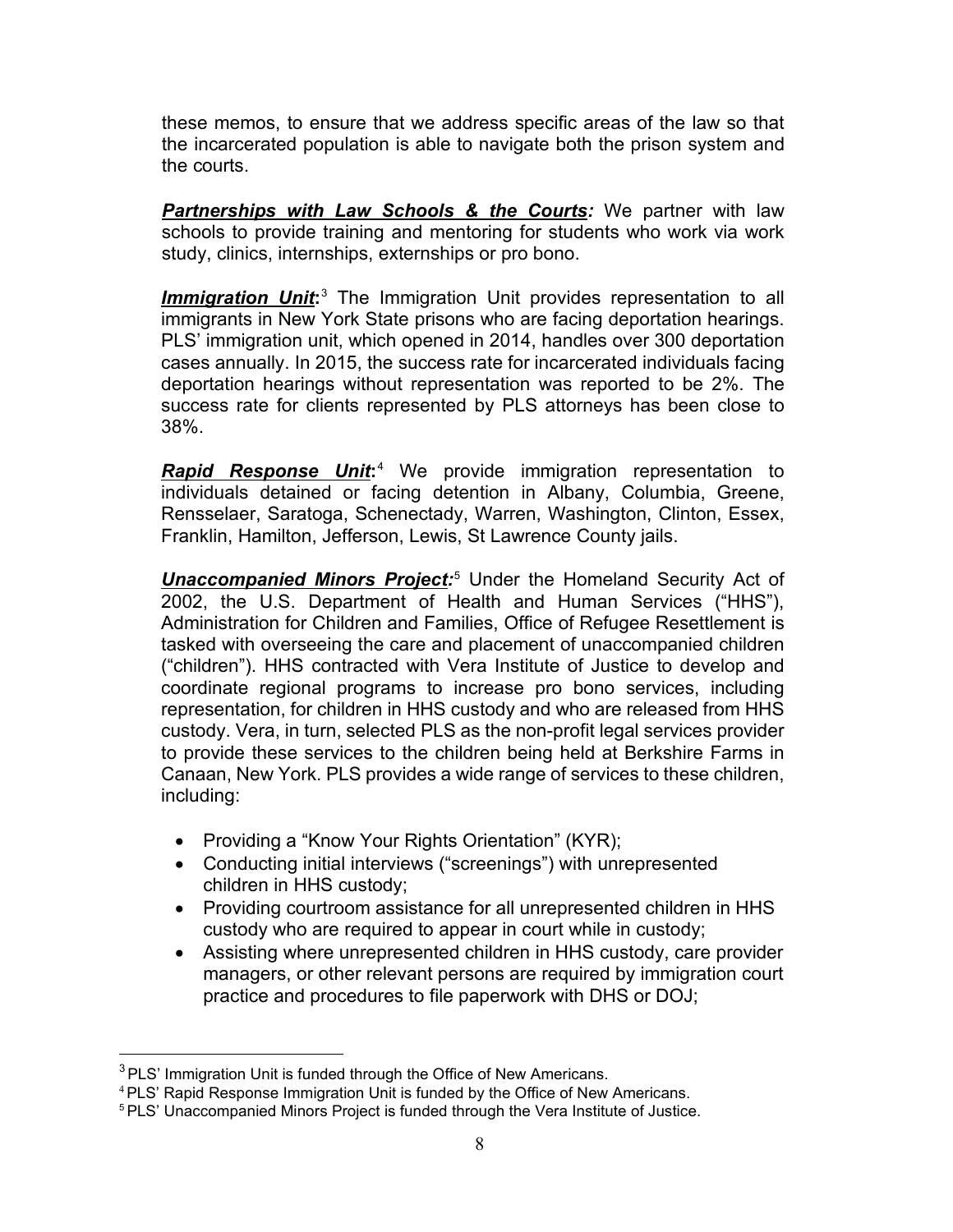these memos, to ensure that we address specific areas of the law so that the incarcerated population is able to navigate both the prison system and the courts.

*Partnerships with Law Schools & the Courts:* We partner with law schools to provide training and mentoring for students who work via work study, clinics, internships, externships or pro bono.

*Immigration Unit***:** [3](#page-7-0) The Immigration Unit provides representation to all immigrants in New York State prisons who are facing deportation hearings. PLS' immigration unit, which opened in 2014, handles over 300 deportation cases annually. In 2015, the success rate for incarcerated individuals facing deportation hearings without representation was reported to be 2%. The success rate for clients represented by PLS attorneys has been close to 38%.

*Rapid Response Unit***:** [4](#page-7-1) We provide immigration representation to individuals detained or facing detention in Albany, Columbia, Greene, Rensselaer, Saratoga, Schenectady, Warren, Washington, Clinton, Essex, Franklin, Hamilton, Jefferson, Lewis, St Lawrence County jails.

**Unaccompanied Minors Project:**<sup>[5](#page-7-2)</sup> Under the Homeland Security Act of 2002, the U.S. Department of Health and Human Services ("HHS"), Administration for Children and Families, Office of Refugee Resettlement is tasked with overseeing the care and placement of unaccompanied children ("children"). HHS contracted with Vera Institute of Justice to develop and coordinate regional programs to increase pro bono services, including representation, for children in HHS custody and who are released from HHS custody. Vera, in turn, selected PLS as the non-profit legal services provider to provide these services to the children being held at Berkshire Farms in Canaan, New York. PLS provides a wide range of services to these children, including:

- Providing a "Know Your Rights Orientation" (KYR);
- Conducting initial interviews ("screenings") with unrepresented children in HHS custody;
- Providing courtroom assistance for all unrepresented children in HHS custody who are required to appear in court while in custody;
- Assisting where unrepresented children in HHS custody, care provider managers, or other relevant persons are required by immigration court practice and procedures to file paperwork with DHS or DOJ;

 $\overline{a}$ 

<span id="page-7-0"></span> $3$  PLS' Immigration Unit is funded through the Office of New Americans.

<span id="page-7-1"></span><sup>4</sup> PLS' Rapid Response Immigration Unit is funded by the Office of New Americans.

<span id="page-7-2"></span><sup>5</sup> PLS' Unaccompanied Minors Project is funded through the Vera Institute of Justice.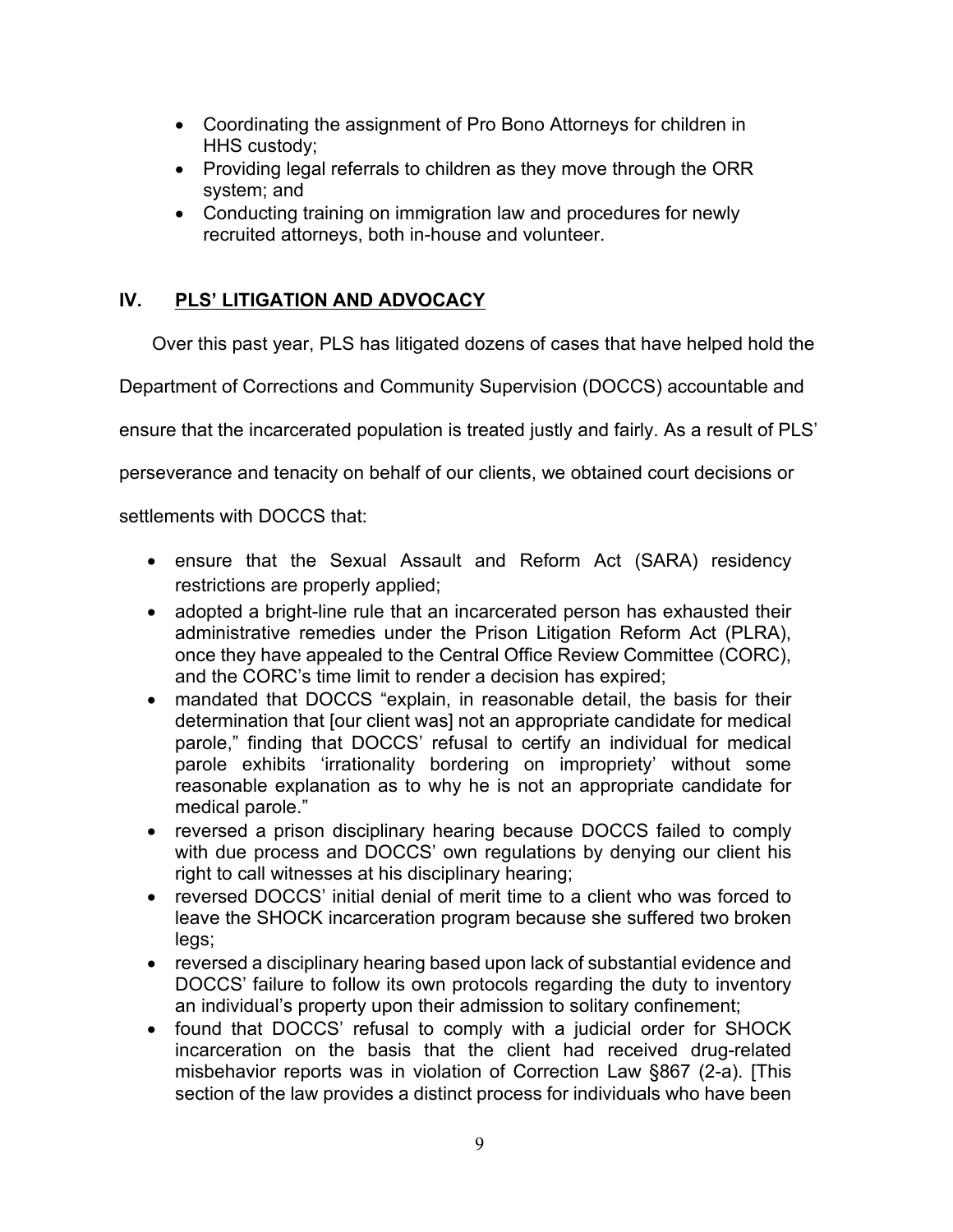- Coordinating the assignment of Pro Bono Attorneys for children in HHS custody;
- Providing legal referrals to children as they move through the ORR system; and
- Conducting training on immigration law and procedures for newly recruited attorneys, both in-house and volunteer.

### **IV. PLS' LITIGATION AND ADVOCACY**

Over this past year, PLS has litigated dozens of cases that have helped hold the

Department of Corrections and Community Supervision (DOCCS) accountable and

ensure that the incarcerated population is treated justly and fairly. As a result of PLS'

perseverance and tenacity on behalf of our clients, we obtained court decisions or

settlements with DOCCS that:

- ensure that the Sexual Assault and Reform Act (SARA) residency restrictions are properly applied;
- adopted a bright-line rule that an incarcerated person has exhausted their administrative remedies under the Prison Litigation Reform Act (PLRA), once they have appealed to the Central Office Review Committee (CORC), and the CORC's time limit to render a decision has expired;
- mandated that DOCCS "explain, in reasonable detail, the basis for their determination that [our client was] not an appropriate candidate for medical parole," finding that DOCCS' refusal to certify an individual for medical parole exhibits 'irrationality bordering on impropriety' without some reasonable explanation as to why he is not an appropriate candidate for medical parole."
- reversed a prison disciplinary hearing because DOCCS failed to comply with due process and DOCCS' own regulations by denying our client his right to call witnesses at his disciplinary hearing;
- reversed DOCCS' initial denial of merit time to a client who was forced to leave the SHOCK incarceration program because she suffered two broken legs;
- reversed a disciplinary hearing based upon lack of substantial evidence and DOCCS' failure to follow its own protocols regarding the duty to inventory an individual's property upon their admission to solitary confinement;
- found that DOCCS' refusal to comply with a judicial order for SHOCK incarceration on the basis that the client had received drug-related misbehavior reports was in violation of Correction Law §867 (2-a). [This section of the law provides a distinct process for individuals who have been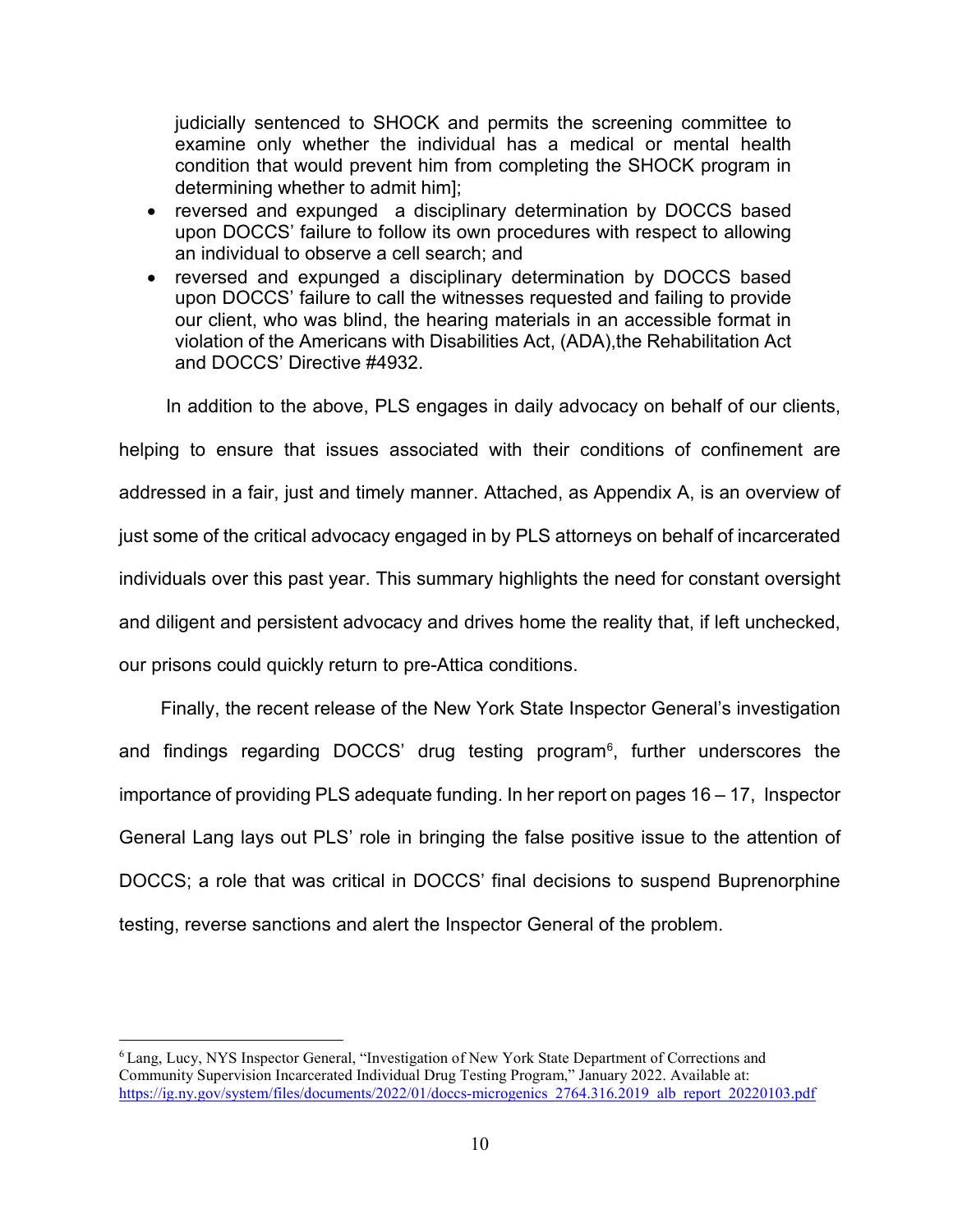judicially sentenced to SHOCK and permits the screening committee to examine only whether the individual has a medical or mental health condition that would prevent him from completing the SHOCK program in determining whether to admit him];

- reversed and expunged a disciplinary determination by DOCCS based upon DOCCS' failure to follow its own procedures with respect to allowing an individual to observe a cell search; and
- reversed and expunged a disciplinary determination by DOCCS based upon DOCCS' failure to call the witnesses requested and failing to provide our client, who was blind, the hearing materials in an accessible format in violation of the Americans with Disabilities Act, (ADA),the Rehabilitation Act and DOCCS' Directive #4932.

 In addition to the above, PLS engages in daily advocacy on behalf of our clients, helping to ensure that issues associated with their conditions of confinement are addressed in a fair, just and timely manner. Attached, as Appendix A, is an overview of just some of the critical advocacy engaged in by PLS attorneys on behalf of incarcerated individuals over this past year. This summary highlights the need for constant oversight and diligent and persistent advocacy and drives home the reality that, if left unchecked, our prisons could quickly return to pre-Attica conditions.

 Finally, the recent release of the New York State Inspector General's investigation and findings regarding DOCCS' drug testing program $^6$  $^6$ , further underscores the importance of providing PLS adequate funding. In her report on pages 16 – 17, Inspector General Lang lays out PLS' role in bringing the false positive issue to the attention of DOCCS; a role that was critical in DOCCS' final decisions to suspend Buprenorphine testing, reverse sanctions and alert the Inspector General of the problem.

<span id="page-9-0"></span> <sup>6</sup> Lang, Lucy, NYS Inspector General, "Investigation of New York State Department of Corrections and Community Supervision Incarcerated Individual Drug Testing Program," January 2022. Available at: [https://ig.ny.gov/system/files/documents/2022/01/doccs-microgenics\\_2764.316.2019\\_alb\\_report\\_20220103.pdf](https://ig.ny.gov/system/files/documents/2022/01/doccs-microgenics_2764.316.2019_alb_report_20220103.pdf)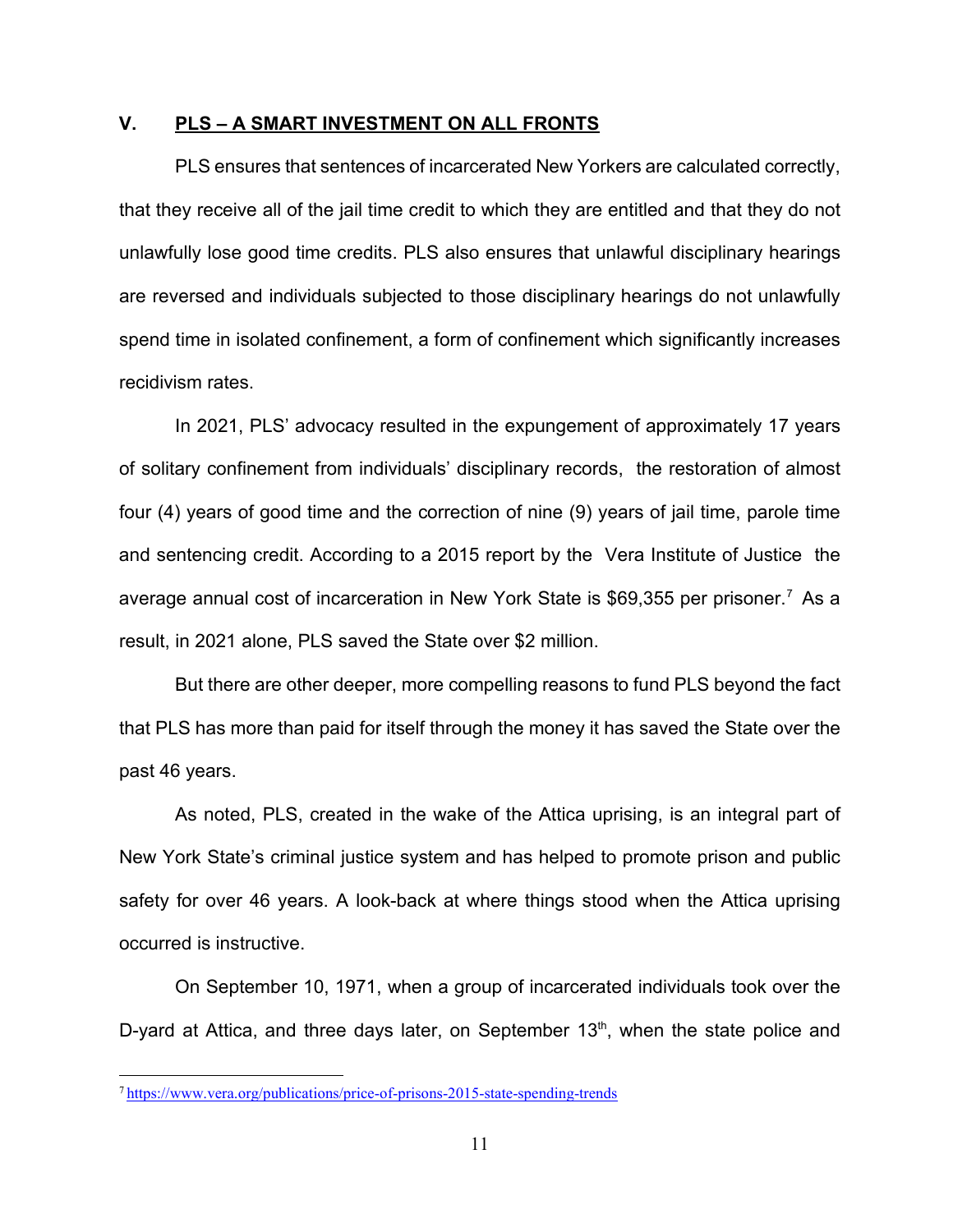### **V. PLS – A SMART INVESTMENT ON ALL FRONTS**

PLS ensures that sentences of incarcerated New Yorkers are calculated correctly, that they receive all of the jail time credit to which they are entitled and that they do not unlawfully lose good time credits. PLS also ensures that unlawful disciplinary hearings are reversed and individuals subjected to those disciplinary hearings do not unlawfully spend time in isolated confinement, a form of confinement which significantly increases recidivism rates.

In 2021, PLS' advocacy resulted in the expungement of approximately 17 years of solitary confinement from individuals' disciplinary records, the restoration of almost four (4) years of good time and the correction of nine (9) years of jail time, parole time and sentencing credit. According to a 2015 report by the Vera Institute of Justice the average annual cost of incarceration in New York State is \$69,355 per prisoner. [7](#page-10-0) As a result, in 2021 alone, PLS saved the State over \$2 million.

But there are other deeper, more compelling reasons to fund PLS beyond the fact that PLS has more than paid for itself through the money it has saved the State over the past 46 years.

As noted, PLS, created in the wake of the Attica uprising, is an integral part of New York State's criminal justice system and has helped to promote prison and public safety for over 46 years. A look-back at where things stood when the Attica uprising occurred is instructive.

On September 10, 1971, when a group of incarcerated individuals took over the D-yard at Attica, and three days later, on September  $13<sup>th</sup>$ , when the state police and

<span id="page-10-0"></span> <sup>7</sup> <https://www.vera.org/publications/price-of-prisons-2015-state-spending-trends>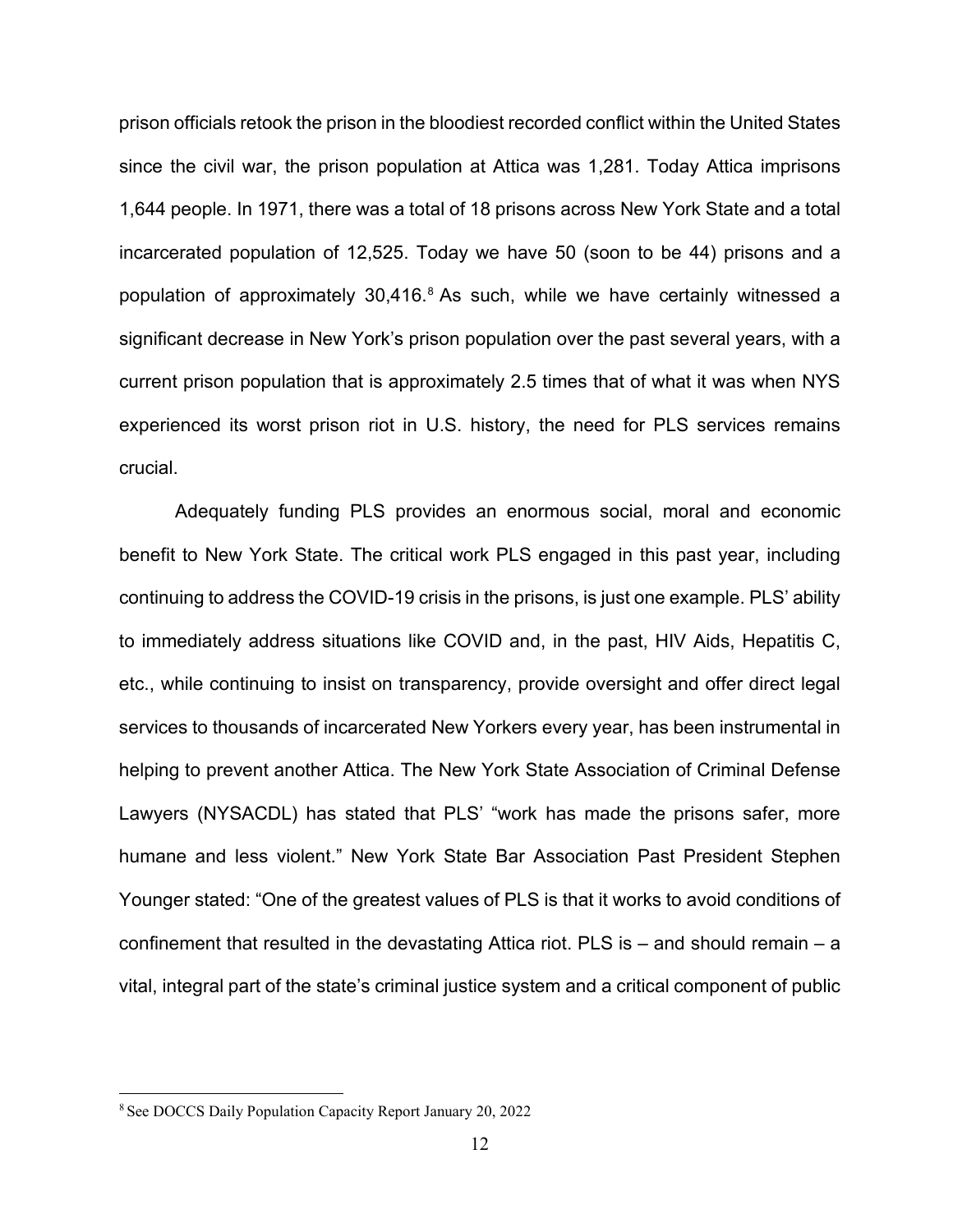prison officials retook the prison in the bloodiest recorded conflict within the United States since the civil war, the prison population at Attica was 1,281. Today Attica imprisons 1,644 people. In 1971, there was a total of 18 prisons across New York State and a total incarcerated population of 12,525. Today we have 50 (soon to be 44) prisons and a population of approximately  $30,416$ .<sup>[8](#page-11-0)</sup> As such, while we have certainly witnessed a significant decrease in New York's prison population over the past several years, with a current prison population that is approximately 2.5 times that of what it was when NYS experienced its worst prison riot in U.S. history, the need for PLS services remains crucial.

Adequately funding PLS provides an enormous social, moral and economic benefit to New York State. The critical work PLS engaged in this past year, including continuing to address the COVID-19 crisis in the prisons, is just one example. PLS' ability to immediately address situations like COVID and, in the past, HIV Aids, Hepatitis C, etc., while continuing to insist on transparency, provide oversight and offer direct legal services to thousands of incarcerated New Yorkers every year, has been instrumental in helping to prevent another Attica. The New York State Association of Criminal Defense Lawyers (NYSACDL) has stated that PLS' "work has made the prisons safer, more humane and less violent." New York State Bar Association Past President Stephen Younger stated: "One of the greatest values of PLS is that it works to avoid conditions of confinement that resulted in the devastating Attica riot. PLS is – and should remain – a vital, integral part of the state's criminal justice system and a critical component of public

<span id="page-11-0"></span> <sup>8</sup> See DOCCS Daily Population Capacity Report January 20, 2022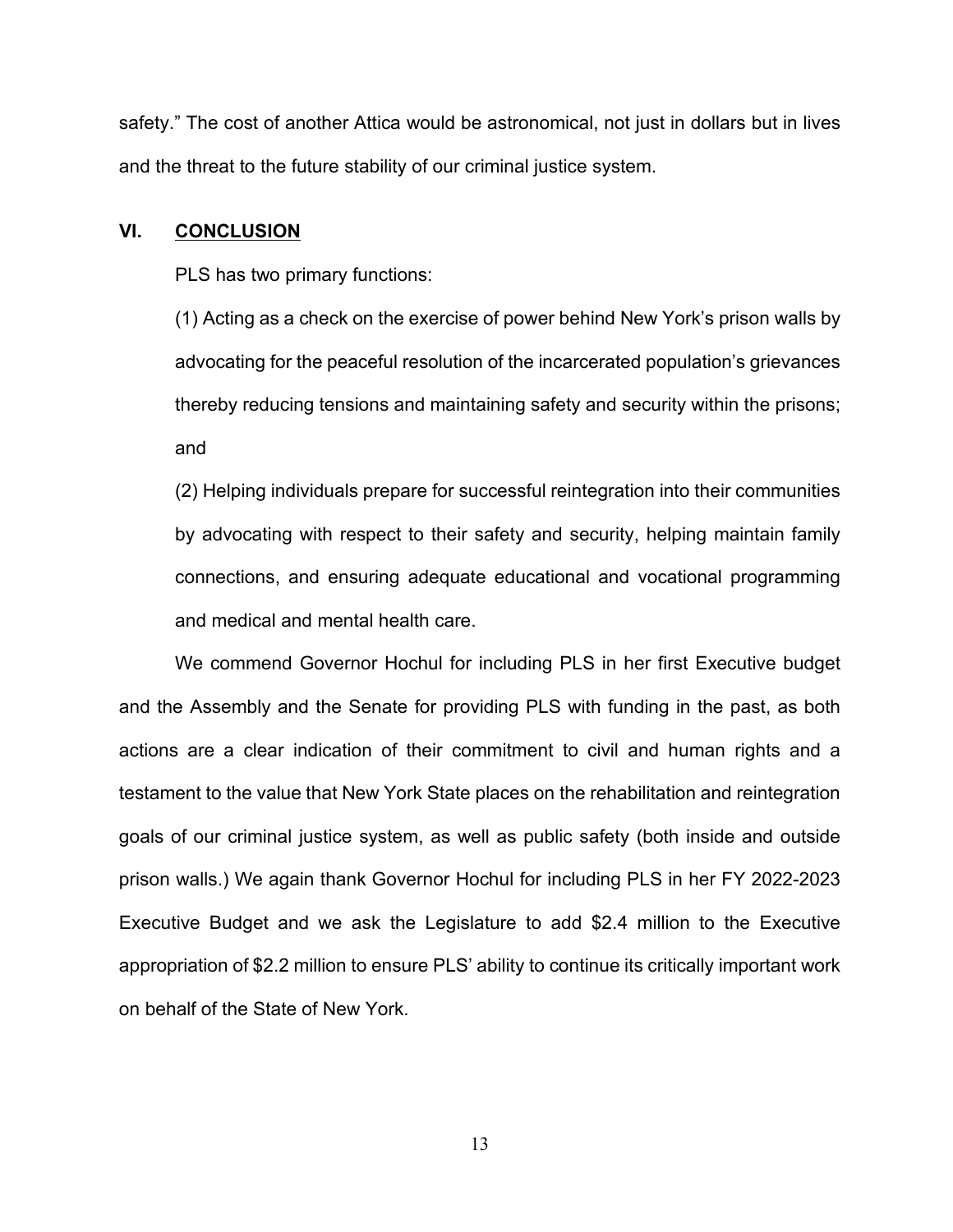safety." The cost of another Attica would be astronomical, not just in dollars but in lives and the threat to the future stability of our criminal justice system.

#### **VI. CONCLUSION**

PLS has two primary functions:

(1) Acting as a check on the exercise of power behind New York's prison walls by advocating for the peaceful resolution of the incarcerated population's grievances thereby reducing tensions and maintaining safety and security within the prisons; and

(2) Helping individuals prepare for successful reintegration into their communities by advocating with respect to their safety and security, helping maintain family connections, and ensuring adequate educational and vocational programming and medical and mental health care.

We commend Governor Hochul for including PLS in her first Executive budget and the Assembly and the Senate for providing PLS with funding in the past, as both actions are a clear indication of their commitment to civil and human rights and a testament to the value that New York State places on the rehabilitation and reintegration goals of our criminal justice system, as well as public safety (both inside and outside prison walls.) We again thank Governor Hochul for including PLS in her FY 2022-2023 Executive Budget and we ask the Legislature to add \$2.4 million to the Executive appropriation of \$2.2 million to ensure PLS' ability to continue its critically important work on behalf of the State of New York.

13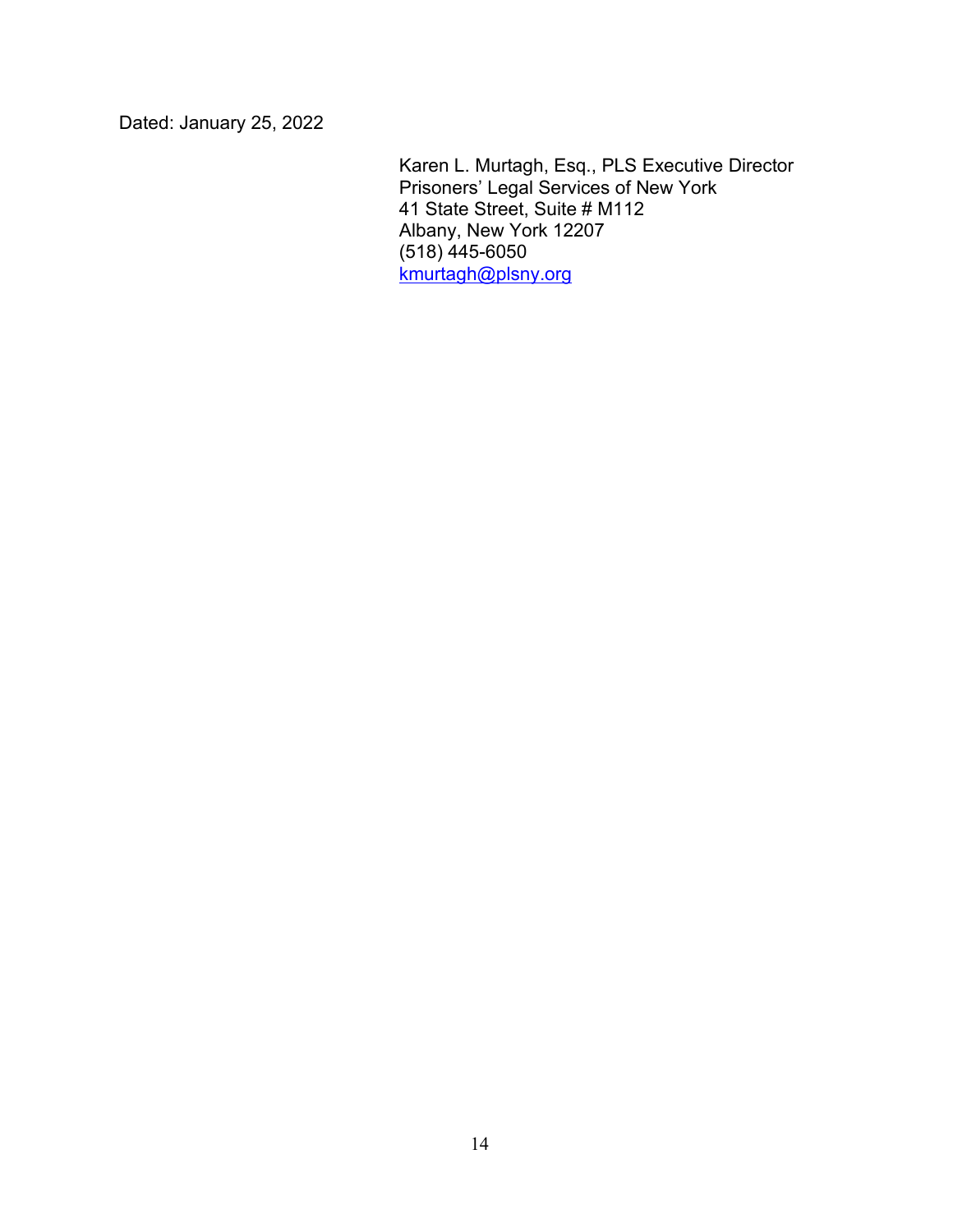Dated: January 25, 2022

Karen L. Murtagh, Esq., PLS Executive Director Prisoners' Legal Services of New York 41 State Street, Suite # M112 Albany, New York 12207 (518) 445-6050 kmurtagh@plsny.org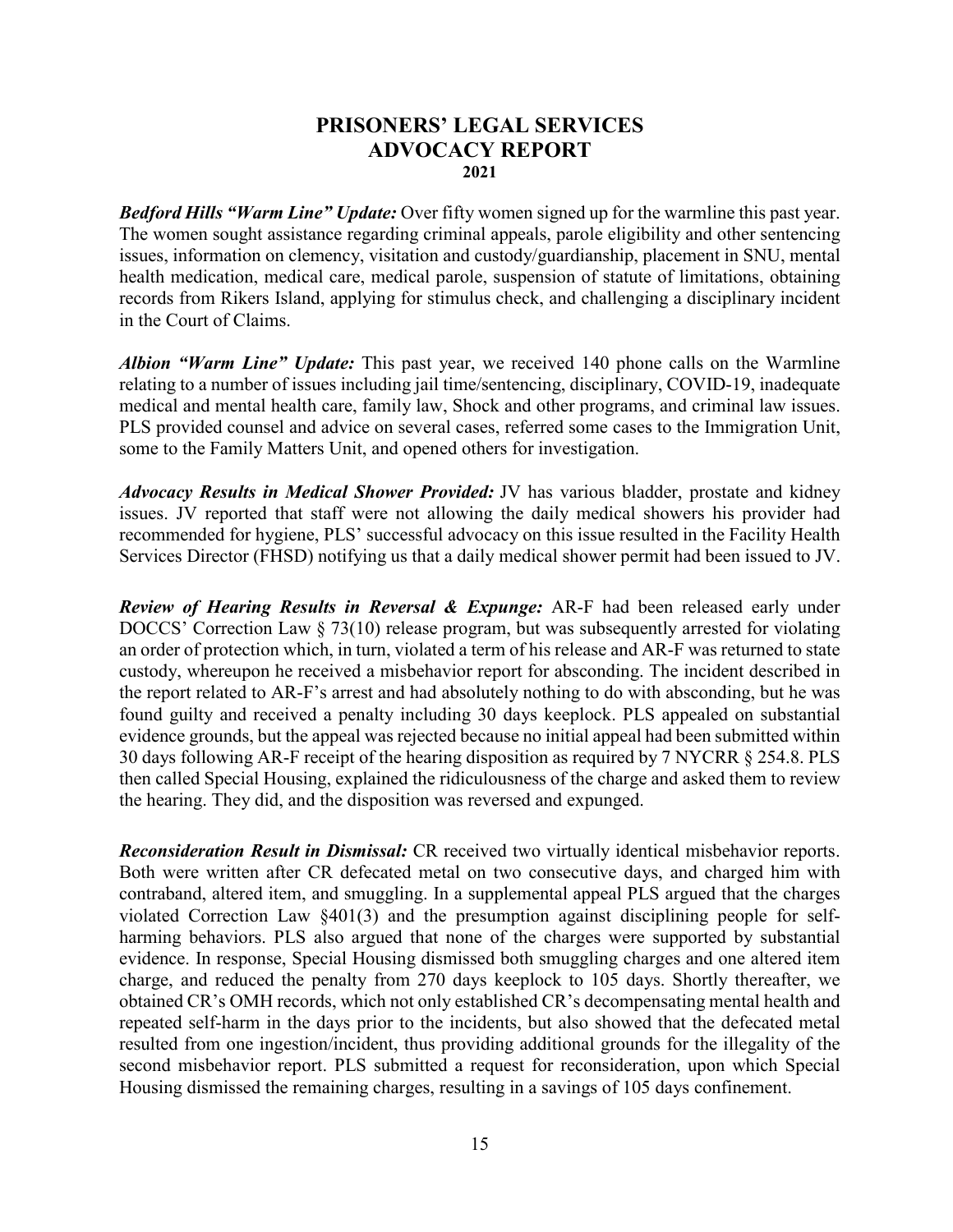### **PRISONERS' LEGAL SERVICES ADVOCACY REPORT 2021**

*Bedford Hills "Warm Line" Update:* Over fifty women signed up for the warmline this past year. The women sought assistance regarding criminal appeals, parole eligibility and other sentencing issues, information on clemency, visitation and custody/guardianship, placement in SNU, mental health medication, medical care, medical parole, suspension of statute of limitations, obtaining records from Rikers Island, applying for stimulus check, and challenging a disciplinary incident in the Court of Claims.

*Albion "Warm Line" Update:* This past year, we received 140 phone calls on the Warmline relating to a number of issues including jail time/sentencing, disciplinary, COVID-19, inadequate medical and mental health care, family law, Shock and other programs, and criminal law issues. PLS provided counsel and advice on several cases, referred some cases to the Immigration Unit, some to the Family Matters Unit, and opened others for investigation.

*Advocacy Results in Medical Shower Provided:* JV has various bladder, prostate and kidney issues. JV reported that staff were not allowing the daily medical showers his provider had recommended for hygiene, PLS' successful advocacy on this issue resulted in the Facility Health Services Director (FHSD) notifying us that a daily medical shower permit had been issued to JV.

*Review of Hearing Results in Reversal & Expunge:* AR-F had been released early under DOCCS' Correction Law § 73(10) release program, but was subsequently arrested for violating an order of protection which, in turn, violated a term of his release and AR-F was returned to state custody, whereupon he received a misbehavior report for absconding. The incident described in the report related to AR-F's arrest and had absolutely nothing to do with absconding, but he was found guilty and received a penalty including 30 days keeplock. PLS appealed on substantial evidence grounds, but the appeal was rejected because no initial appeal had been submitted within 30 days following AR-F receipt of the hearing disposition as required by 7 NYCRR § 254.8. PLS then called Special Housing, explained the ridiculousness of the charge and asked them to review the hearing. They did, and the disposition was reversed and expunged.

*Reconsideration Result in Dismissal:* CR received two virtually identical misbehavior reports. Both were written after CR defecated metal on two consecutive days, and charged him with contraband, altered item, and smuggling. In a supplemental appeal PLS argued that the charges violated Correction Law §401(3) and the presumption against disciplining people for selfharming behaviors. PLS also argued that none of the charges were supported by substantial evidence. In response, Special Housing dismissed both smuggling charges and one altered item charge, and reduced the penalty from 270 days keeplock to 105 days. Shortly thereafter, we obtained CR's OMH records, which not only established CR's decompensating mental health and repeated self-harm in the days prior to the incidents, but also showed that the defecated metal resulted from one ingestion/incident, thus providing additional grounds for the illegality of the second misbehavior report. PLS submitted a request for reconsideration, upon which Special Housing dismissed the remaining charges, resulting in a savings of 105 days confinement.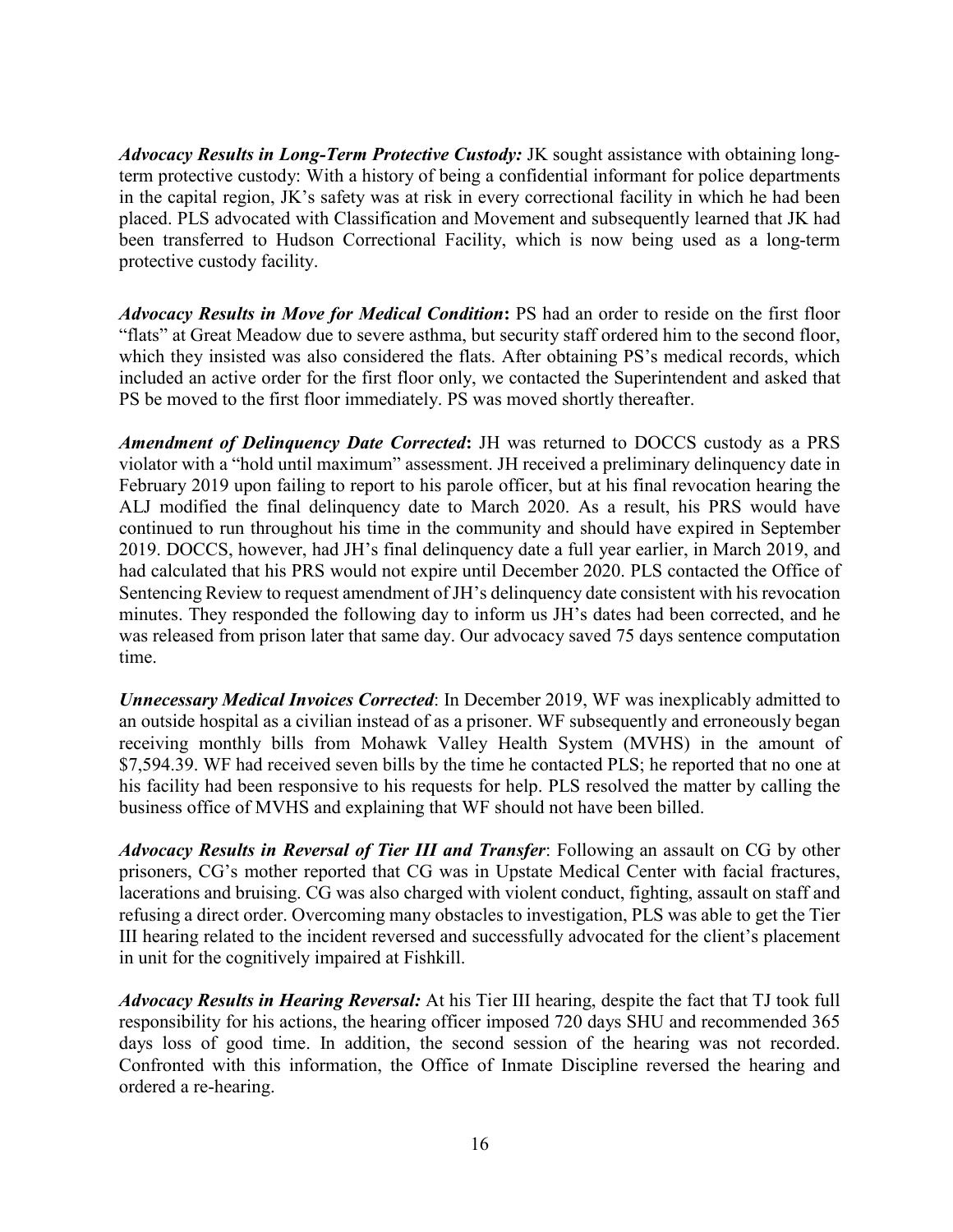*Advocacy Results in Long-Term Protective Custody:* JK sought assistance with obtaining longterm protective custody: With a history of being a confidential informant for police departments in the capital region, JK's safety was at risk in every correctional facility in which he had been placed. PLS advocated with Classification and Movement and subsequently learned that JK had been transferred to Hudson Correctional Facility, which is now being used as a long-term protective custody facility.

*Advocacy Results in Move for Medical Condition***:** PS had an order to reside on the first floor "flats" at Great Meadow due to severe asthma, but security staff ordered him to the second floor, which they insisted was also considered the flats. After obtaining PS's medical records, which included an active order for the first floor only, we contacted the Superintendent and asked that PS be moved to the first floor immediately. PS was moved shortly thereafter.

*Amendment of Delinquency Date Corrected***:** JH was returned to DOCCS custody as a PRS violator with a "hold until maximum" assessment. JH received a preliminary delinquency date in February 2019 upon failing to report to his parole officer, but at his final revocation hearing the ALJ modified the final delinquency date to March 2020. As a result, his PRS would have continued to run throughout his time in the community and should have expired in September 2019. DOCCS, however, had JH's final delinquency date a full year earlier, in March 2019, and had calculated that his PRS would not expire until December 2020. PLS contacted the Office of Sentencing Review to request amendment of JH's delinquency date consistent with his revocation minutes. They responded the following day to inform us JH's dates had been corrected, and he was released from prison later that same day. Our advocacy saved 75 days sentence computation time.

*Unnecessary Medical Invoices Corrected*: In December 2019, WF was inexplicably admitted to an outside hospital as a civilian instead of as a prisoner. WF subsequently and erroneously began receiving monthly bills from Mohawk Valley Health System (MVHS) in the amount of \$7,594.39. WF had received seven bills by the time he contacted PLS; he reported that no one at his facility had been responsive to his requests for help. PLS resolved the matter by calling the business office of MVHS and explaining that WF should not have been billed.

*Advocacy Results in Reversal of Tier III and Transfer*: Following an assault on CG by other prisoners, CG's mother reported that CG was in Upstate Medical Center with facial fractures, lacerations and bruising. CG was also charged with violent conduct, fighting, assault on staff and refusing a direct order. Overcoming many obstacles to investigation, PLS was able to get the Tier III hearing related to the incident reversed and successfully advocated for the client's placement in unit for the cognitively impaired at Fishkill.

*Advocacy Results in Hearing Reversal:* At his Tier III hearing, despite the fact that TJ took full responsibility for his actions, the hearing officer imposed 720 days SHU and recommended 365 days loss of good time. In addition, the second session of the hearing was not recorded. Confronted with this information, the Office of Inmate Discipline reversed the hearing and ordered a re-hearing.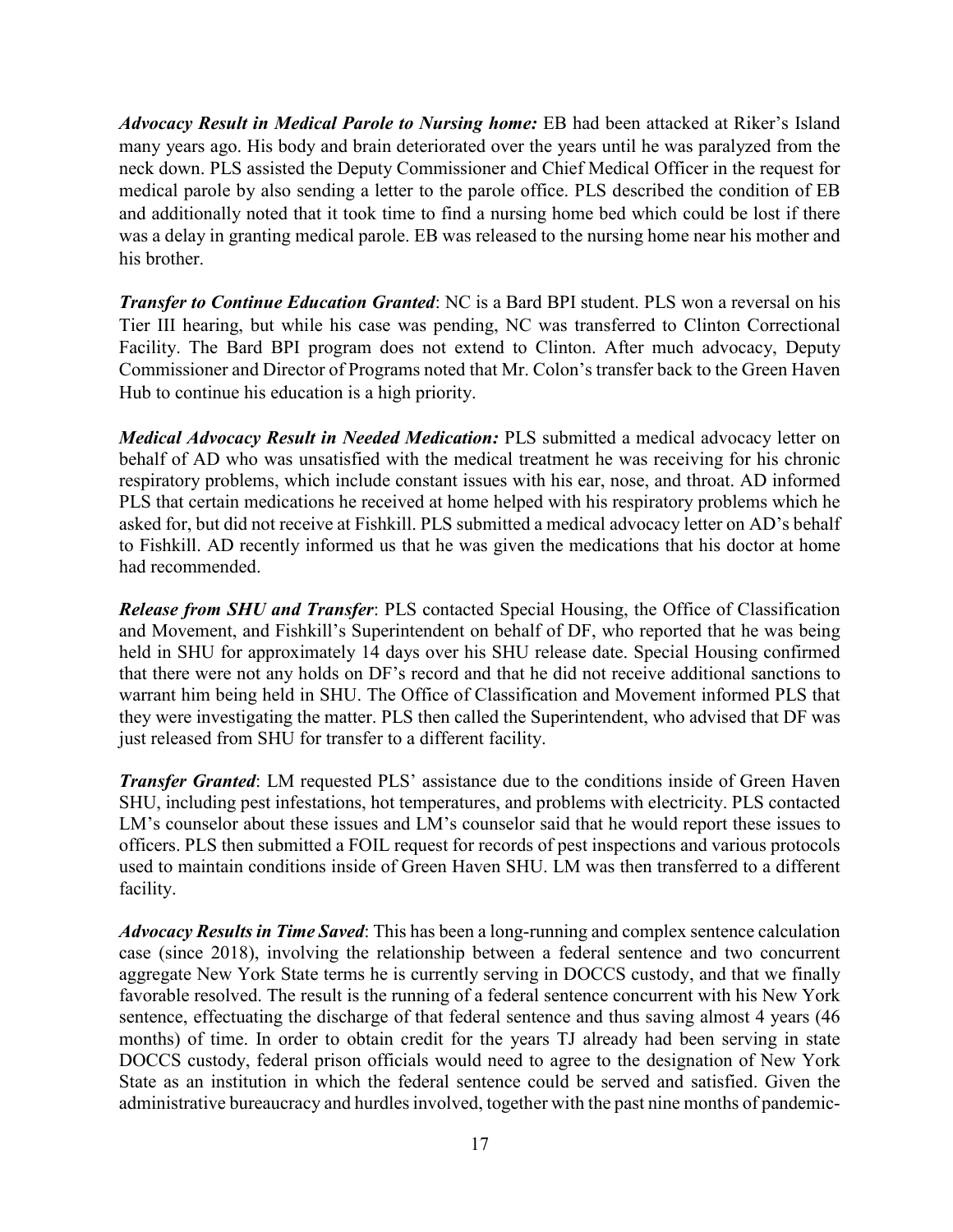*Advocacy Result in Medical Parole to Nursing home:* EB had been attacked at Riker's Island many years ago. His body and brain deteriorated over the years until he was paralyzed from the neck down. PLS assisted the Deputy Commissioner and Chief Medical Officer in the request for medical parole by also sending a letter to the parole office. PLS described the condition of EB and additionally noted that it took time to find a nursing home bed which could be lost if there was a delay in granting medical parole. EB was released to the nursing home near his mother and his brother.

*Transfer to Continue Education Granted*: NC is a Bard BPI student. PLS won a reversal on his Tier III hearing, but while his case was pending, NC was transferred to Clinton Correctional Facility. The Bard BPI program does not extend to Clinton. After much advocacy, Deputy Commissioner and Director of Programs noted that Mr. Colon's transfer back to the Green Haven Hub to continue his education is a high priority.

*Medical Advocacy Result in Needed Medication:* PLS submitted a medical advocacy letter on behalf of AD who was unsatisfied with the medical treatment he was receiving for his chronic respiratory problems, which include constant issues with his ear, nose, and throat. AD informed PLS that certain medications he received at home helped with his respiratory problems which he asked for, but did not receive at Fishkill. PLS submitted a medical advocacy letter on AD's behalf to Fishkill. AD recently informed us that he was given the medications that his doctor at home had recommended.

*Release from SHU and Transfer*: PLS contacted Special Housing, the Office of Classification and Movement, and Fishkill's Superintendent on behalf of DF, who reported that he was being held in SHU for approximately 14 days over his SHU release date. Special Housing confirmed that there were not any holds on DF's record and that he did not receive additional sanctions to warrant him being held in SHU. The Office of Classification and Movement informed PLS that they were investigating the matter. PLS then called the Superintendent, who advised that DF was just released from SHU for transfer to a different facility.

*Transfer Granted*: LM requested PLS' assistance due to the conditions inside of Green Haven SHU, including pest infestations, hot temperatures, and problems with electricity. PLS contacted LM's counselor about these issues and LM's counselor said that he would report these issues to officers. PLS then submitted a FOIL request for records of pest inspections and various protocols used to maintain conditions inside of Green Haven SHU. LM was then transferred to a different facility.

*Advocacy Results in Time Saved*: This has been a long-running and complex sentence calculation case (since 2018), involving the relationship between a federal sentence and two concurrent aggregate New York State terms he is currently serving in DOCCS custody, and that we finally favorable resolved. The result is the running of a federal sentence concurrent with his New York sentence, effectuating the discharge of that federal sentence and thus saving almost 4 years (46 months) of time. In order to obtain credit for the years TJ already had been serving in state DOCCS custody, federal prison officials would need to agree to the designation of New York State as an institution in which the federal sentence could be served and satisfied. Given the administrative bureaucracy and hurdles involved, together with the past nine months of pandemic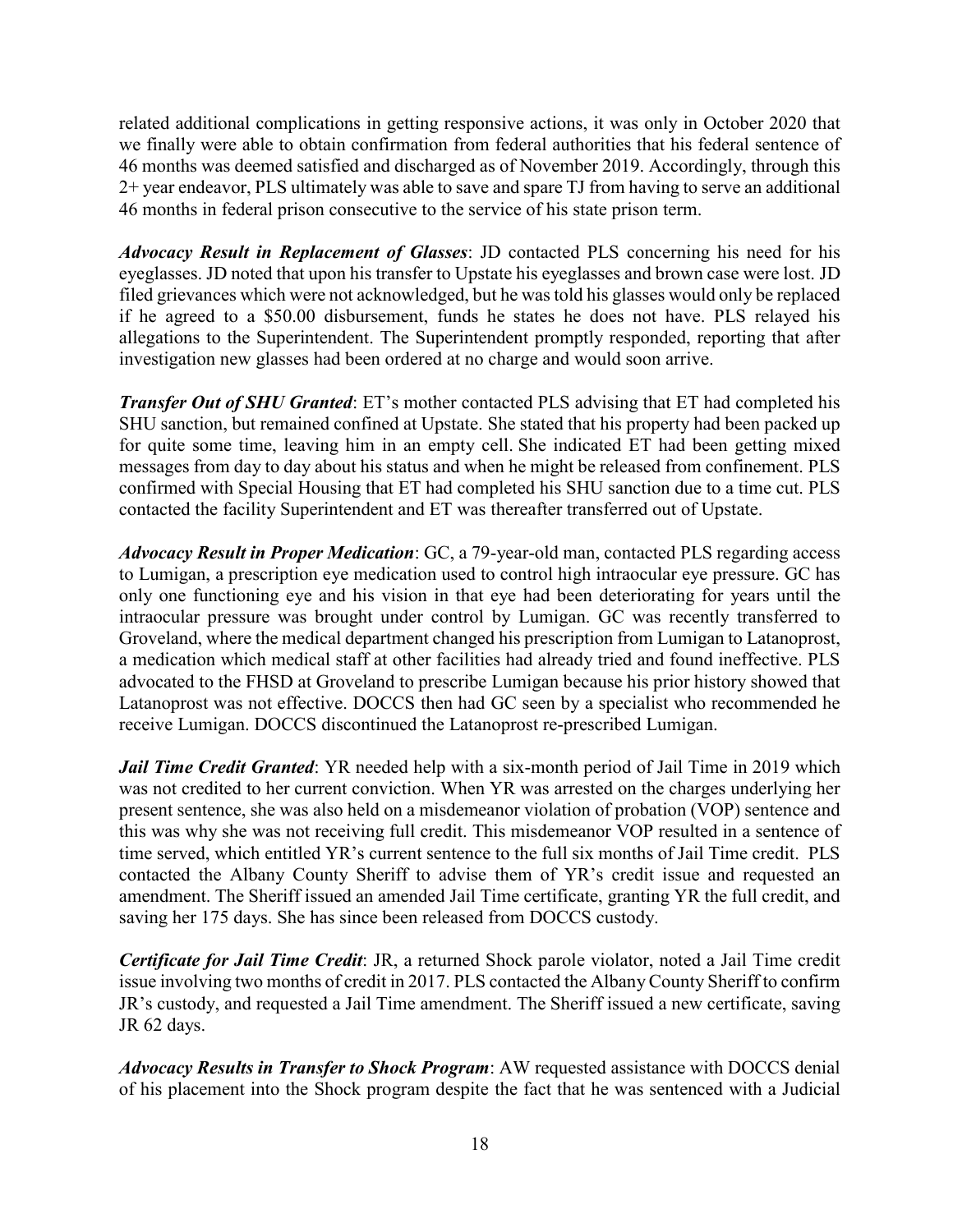related additional complications in getting responsive actions, it was only in October 2020 that we finally were able to obtain confirmation from federal authorities that his federal sentence of 46 months was deemed satisfied and discharged as of November 2019. Accordingly, through this 2+ year endeavor, PLS ultimately was able to save and spare TJ from having to serve an additional 46 months in federal prison consecutive to the service of his state prison term.

*Advocacy Result in Replacement of Glasses*: JD contacted PLS concerning his need for his eyeglasses. JD noted that upon his transfer to Upstate his eyeglasses and brown case were lost. JD filed grievances which were not acknowledged, but he was told his glasses would only be replaced if he agreed to a \$50.00 disbursement, funds he states he does not have. PLS relayed his allegations to the Superintendent. The Superintendent promptly responded, reporting that after investigation new glasses had been ordered at no charge and would soon arrive.

*Transfer Out of SHU Granted*: ET's mother contacted PLS advising that ET had completed his SHU sanction, but remained confined at Upstate. She stated that his property had been packed up for quite some time, leaving him in an empty cell. She indicated ET had been getting mixed messages from day to day about his status and when he might be released from confinement. PLS confirmed with Special Housing that ET had completed his SHU sanction due to a time cut. PLS contacted the facility Superintendent and ET was thereafter transferred out of Upstate.

*Advocacy Result in Proper Medication*: GC, a 79-year-old man, contacted PLS regarding access to Lumigan, a prescription eye medication used to control high intraocular eye pressure. GC has only one functioning eye and his vision in that eye had been deteriorating for years until the intraocular pressure was brought under control by Lumigan. GC was recently transferred to Groveland, where the medical department changed his prescription from Lumigan to Latanoprost, a medication which medical staff at other facilities had already tried and found ineffective. PLS advocated to the FHSD at Groveland to prescribe Lumigan because his prior history showed that Latanoprost was not effective. DOCCS then had GC seen by a specialist who recommended he receive Lumigan. DOCCS discontinued the Latanoprost re-prescribed Lumigan.

*Jail Time Credit Granted*: YR needed help with a six-month period of Jail Time in 2019 which was not credited to her current conviction. When YR was arrested on the charges underlying her present sentence, she was also held on a misdemeanor violation of probation (VOP) sentence and this was why she was not receiving full credit. This misdemeanor VOP resulted in a sentence of time served, which entitled YR's current sentence to the full six months of Jail Time credit. PLS contacted the Albany County Sheriff to advise them of YR's credit issue and requested an amendment. The Sheriff issued an amended Jail Time certificate, granting YR the full credit, and saving her 175 days. She has since been released from DOCCS custody.

*Certificate for Jail Time Credit*: JR, a returned Shock parole violator, noted a Jail Time credit issue involving two months of credit in 2017. PLS contacted the Albany County Sheriff to confirm JR's custody, and requested a Jail Time amendment. The Sheriff issued a new certificate, saving JR 62 days.

*Advocacy Results in Transfer to Shock Program*: AW requested assistance with DOCCS denial of his placement into the Shock program despite the fact that he was sentenced with a Judicial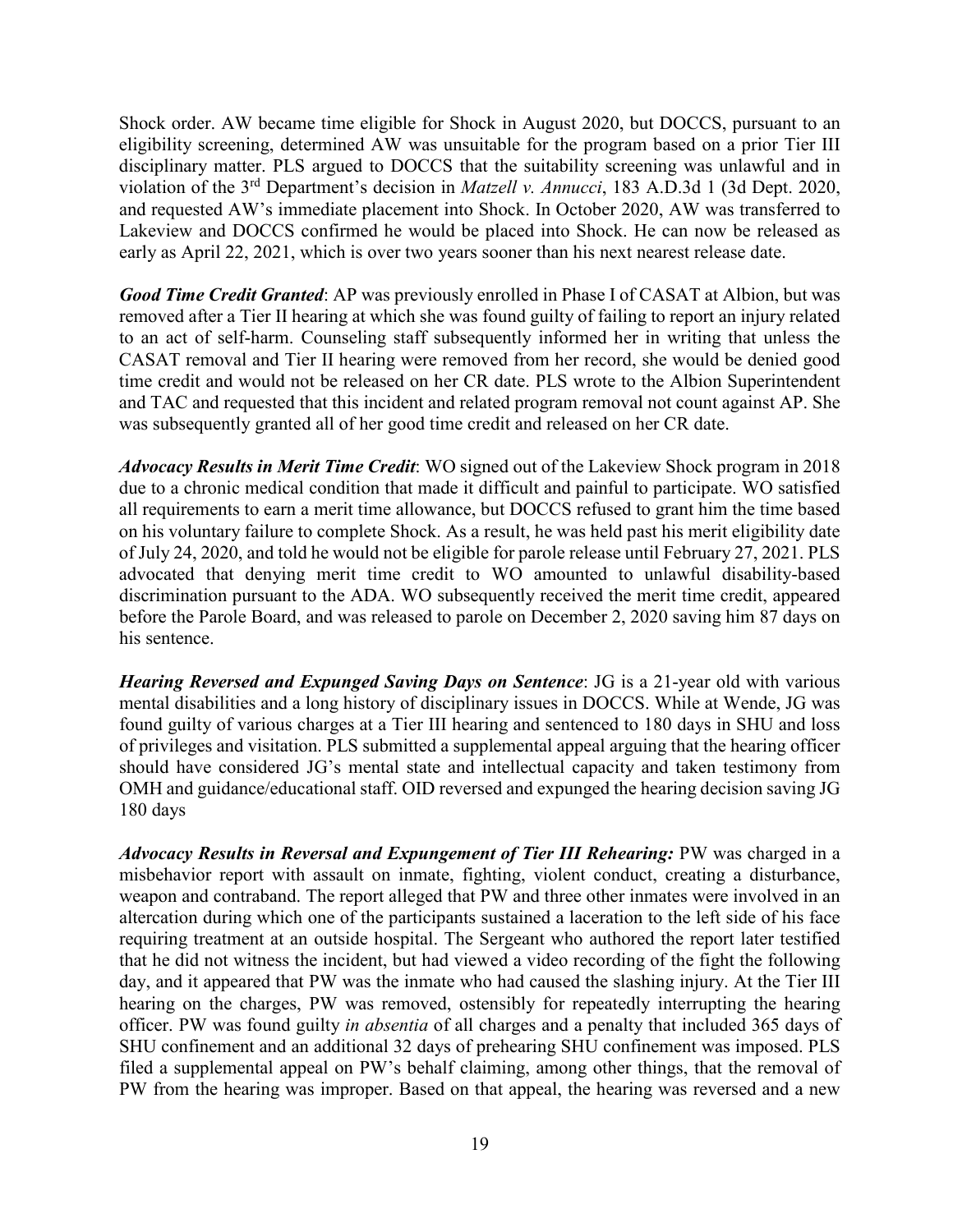Shock order. AW became time eligible for Shock in August 2020, but DOCCS, pursuant to an eligibility screening, determined AW was unsuitable for the program based on a prior Tier III disciplinary matter. PLS argued to DOCCS that the suitability screening was unlawful and in violation of the 3rd Department's decision in *Matzell v. Annucci*, 183 A.D.3d 1 (3d Dept. 2020, and requested AW's immediate placement into Shock. In October 2020, AW was transferred to Lakeview and DOCCS confirmed he would be placed into Shock. He can now be released as early as April 22, 2021, which is over two years sooner than his next nearest release date.

*Good Time Credit Granted*: AP was previously enrolled in Phase I of CASAT at Albion, but was removed after a Tier II hearing at which she was found guilty of failing to report an injury related to an act of self-harm. Counseling staff subsequently informed her in writing that unless the CASAT removal and Tier II hearing were removed from her record, she would be denied good time credit and would not be released on her CR date. PLS wrote to the Albion Superintendent and TAC and requested that this incident and related program removal not count against AP. She was subsequently granted all of her good time credit and released on her CR date.

*Advocacy Results in Merit Time Credit*: WO signed out of the Lakeview Shock program in 2018 due to a chronic medical condition that made it difficult and painful to participate. WO satisfied all requirements to earn a merit time allowance, but DOCCS refused to grant him the time based on his voluntary failure to complete Shock. As a result, he was held past his merit eligibility date of July 24, 2020, and told he would not be eligible for parole release until February 27, 2021. PLS advocated that denying merit time credit to WO amounted to unlawful disability-based discrimination pursuant to the ADA. WO subsequently received the merit time credit, appeared before the Parole Board, and was released to parole on December 2, 2020 saving him 87 days on his sentence.

*Hearing Reversed and Expunged Saving Days on Sentence: JG is a 21-year old with various* mental disabilities and a long history of disciplinary issues in DOCCS. While at Wende, JG was found guilty of various charges at a Tier III hearing and sentenced to 180 days in SHU and loss of privileges and visitation. PLS submitted a supplemental appeal arguing that the hearing officer should have considered JG's mental state and intellectual capacity and taken testimony from OMH and guidance/educational staff. OID reversed and expunged the hearing decision saving JG 180 days

*Advocacy Results in Reversal and Expungement of Tier III Rehearing:* PW was charged in a misbehavior report with assault on inmate, fighting, violent conduct, creating a disturbance, weapon and contraband. The report alleged that PW and three other inmates were involved in an altercation during which one of the participants sustained a laceration to the left side of his face requiring treatment at an outside hospital. The Sergeant who authored the report later testified that he did not witness the incident, but had viewed a video recording of the fight the following day, and it appeared that PW was the inmate who had caused the slashing injury. At the Tier III hearing on the charges, PW was removed, ostensibly for repeatedly interrupting the hearing officer. PW was found guilty *in absentia* of all charges and a penalty that included 365 days of SHU confinement and an additional 32 days of prehearing SHU confinement was imposed. PLS filed a supplemental appeal on PW's behalf claiming, among other things, that the removal of PW from the hearing was improper. Based on that appeal, the hearing was reversed and a new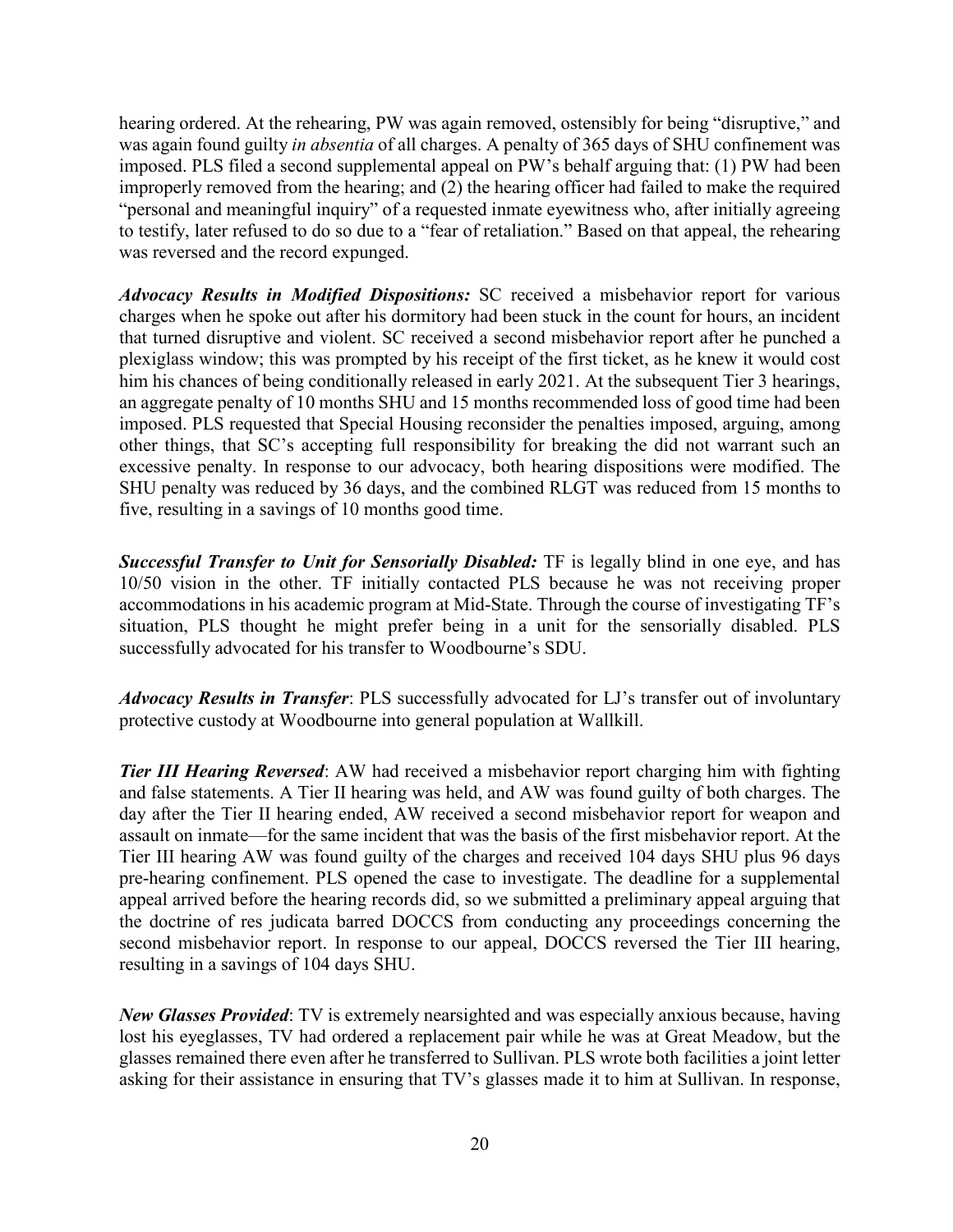hearing ordered. At the rehearing, PW was again removed, ostensibly for being "disruptive," and was again found guilty *in absentia* of all charges. A penalty of 365 days of SHU confinement was imposed. PLS filed a second supplemental appeal on PW's behalf arguing that: (1) PW had been improperly removed from the hearing; and (2) the hearing officer had failed to make the required "personal and meaningful inquiry" of a requested inmate eyewitness who, after initially agreeing to testify, later refused to do so due to a "fear of retaliation." Based on that appeal, the rehearing was reversed and the record expunged.

*Advocacy Results in Modified Dispositions:* SC received a misbehavior report for various charges when he spoke out after his dormitory had been stuck in the count for hours, an incident that turned disruptive and violent. SC received a second misbehavior report after he punched a plexiglass window; this was prompted by his receipt of the first ticket, as he knew it would cost him his chances of being conditionally released in early 2021. At the subsequent Tier 3 hearings, an aggregate penalty of 10 months SHU and 15 months recommended loss of good time had been imposed. PLS requested that Special Housing reconsider the penalties imposed, arguing, among other things, that SC's accepting full responsibility for breaking the did not warrant such an excessive penalty. In response to our advocacy, both hearing dispositions were modified. The SHU penalty was reduced by 36 days, and the combined RLGT was reduced from 15 months to five, resulting in a savings of 10 months good time.

*Successful Transfer to Unit for Sensorially Disabled:* TF is legally blind in one eye, and has 10/50 vision in the other. TF initially contacted PLS because he was not receiving proper accommodations in his academic program at Mid-State. Through the course of investigating TF's situation, PLS thought he might prefer being in a unit for the sensorially disabled. PLS successfully advocated for his transfer to Woodbourne's SDU.

*Advocacy Results in Transfer*: PLS successfully advocated for LJ's transfer out of involuntary protective custody at Woodbourne into general population at Wallkill.

*Tier III Hearing Reversed:* AW had received a misbehavior report charging him with fighting and false statements. A Tier II hearing was held, and AW was found guilty of both charges. The day after the Tier II hearing ended, AW received a second misbehavior report for weapon and assault on inmate—for the same incident that was the basis of the first misbehavior report. At the Tier III hearing AW was found guilty of the charges and received 104 days SHU plus 96 days pre-hearing confinement. PLS opened the case to investigate. The deadline for a supplemental appeal arrived before the hearing records did, so we submitted a preliminary appeal arguing that the doctrine of res judicata barred DOCCS from conducting any proceedings concerning the second misbehavior report. In response to our appeal, DOCCS reversed the Tier III hearing, resulting in a savings of 104 days SHU.

*New Glasses Provided*: TV is extremely nearsighted and was especially anxious because, having lost his eyeglasses, TV had ordered a replacement pair while he was at Great Meadow, but the glasses remained there even after he transferred to Sullivan. PLS wrote both facilities a joint letter asking for their assistance in ensuring that TV's glasses made it to him at Sullivan. In response,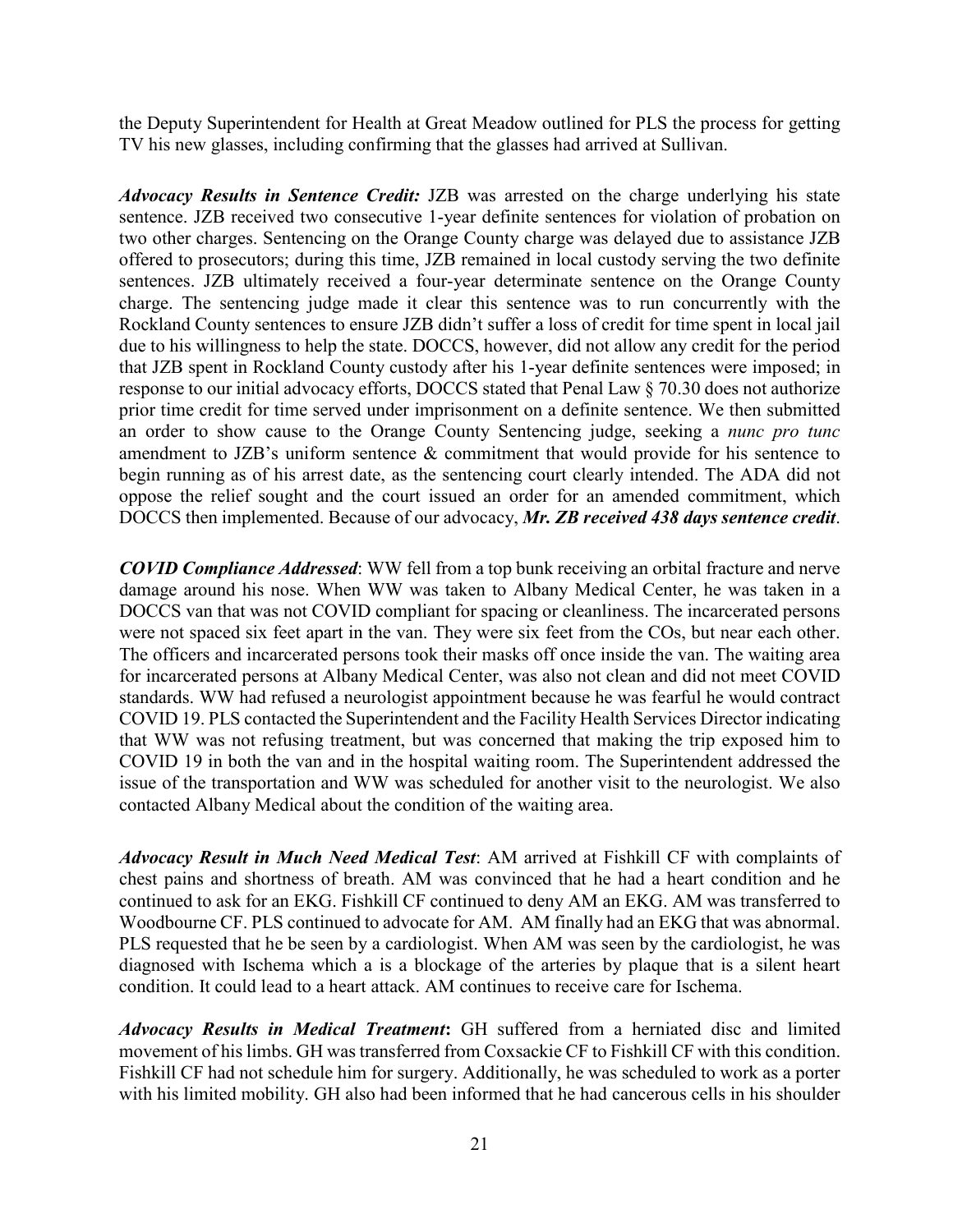the Deputy Superintendent for Health at Great Meadow outlined for PLS the process for getting TV his new glasses, including confirming that the glasses had arrived at Sullivan.

*Advocacy Results in Sentence Credit:* JZB was arrested on the charge underlying his state sentence. JZB received two consecutive 1-year definite sentences for violation of probation on two other charges. Sentencing on the Orange County charge was delayed due to assistance JZB offered to prosecutors; during this time, JZB remained in local custody serving the two definite sentences. JZB ultimately received a four-year determinate sentence on the Orange County charge. The sentencing judge made it clear this sentence was to run concurrently with the Rockland County sentences to ensure JZB didn't suffer a loss of credit for time spent in local jail due to his willingness to help the state. DOCCS, however, did not allow any credit for the period that JZB spent in Rockland County custody after his 1-year definite sentences were imposed; in response to our initial advocacy efforts, DOCCS stated that Penal Law § 70.30 does not authorize prior time credit for time served under imprisonment on a definite sentence. We then submitted an order to show cause to the Orange County Sentencing judge, seeking a *nunc pro tunc* amendment to JZB's uniform sentence & commitment that would provide for his sentence to begin running as of his arrest date, as the sentencing court clearly intended. The ADA did not oppose the relief sought and the court issued an order for an amended commitment, which DOCCS then implemented. Because of our advocacy, *Mr. ZB received 438 days sentence credit*.

*COVID Compliance Addressed*: WW fell from a top bunk receiving an orbital fracture and nerve damage around his nose. When WW was taken to Albany Medical Center, he was taken in a DOCCS van that was not COVID compliant for spacing or cleanliness. The incarcerated persons were not spaced six feet apart in the van. They were six feet from the COs, but near each other. The officers and incarcerated persons took their masks off once inside the van. The waiting area for incarcerated persons at Albany Medical Center, was also not clean and did not meet COVID standards. WW had refused a neurologist appointment because he was fearful he would contract COVID 19. PLS contacted the Superintendent and the Facility Health Services Director indicating that WW was not refusing treatment, but was concerned that making the trip exposed him to COVID 19 in both the van and in the hospital waiting room. The Superintendent addressed the issue of the transportation and WW was scheduled for another visit to the neurologist. We also contacted Albany Medical about the condition of the waiting area.

*Advocacy Result in Much Need Medical Test*: AM arrived at Fishkill CF with complaints of chest pains and shortness of breath. AM was convinced that he had a heart condition and he continued to ask for an EKG. Fishkill CF continued to deny AM an EKG. AM was transferred to Woodbourne CF. PLS continued to advocate for AM. AM finally had an EKG that was abnormal. PLS requested that he be seen by a cardiologist. When AM was seen by the cardiologist, he was diagnosed with Ischema which a is a blockage of the arteries by plaque that is a silent heart condition. It could lead to a heart attack. AM continues to receive care for Ischema.

*Advocacy Results in Medical Treatment***:** GH suffered from a herniated disc and limited movement of his limbs. GH was transferred from Coxsackie CF to Fishkill CF with this condition. Fishkill CF had not schedule him for surgery. Additionally, he was scheduled to work as a porter with his limited mobility. GH also had been informed that he had cancerous cells in his shoulder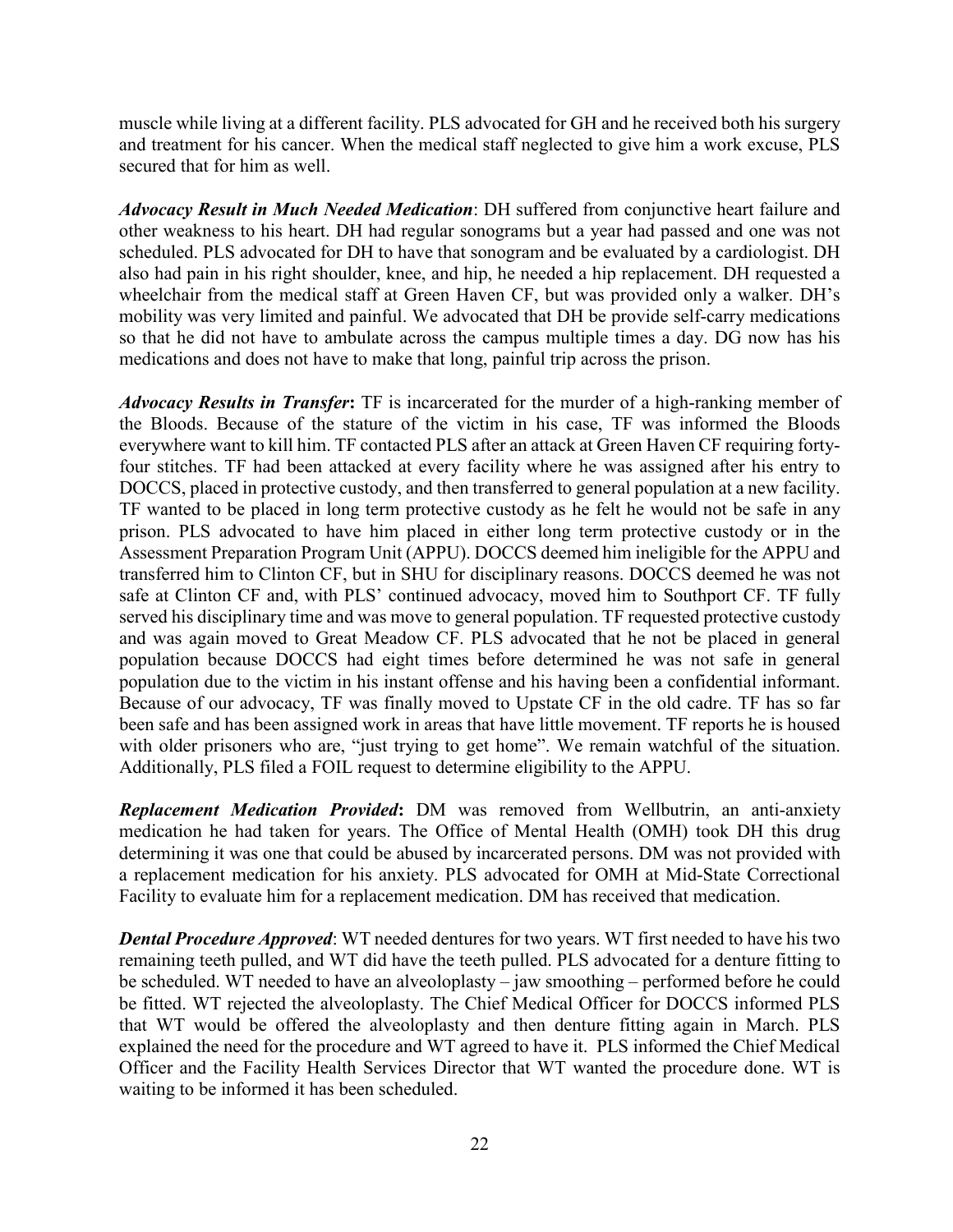muscle while living at a different facility. PLS advocated for GH and he received both his surgery and treatment for his cancer. When the medical staff neglected to give him a work excuse, PLS secured that for him as well.

*Advocacy Result in Much Needed Medication*: DH suffered from conjunctive heart failure and other weakness to his heart. DH had regular sonograms but a year had passed and one was not scheduled. PLS advocated for DH to have that sonogram and be evaluated by a cardiologist. DH also had pain in his right shoulder, knee, and hip, he needed a hip replacement. DH requested a wheelchair from the medical staff at Green Haven CF, but was provided only a walker. DH's mobility was very limited and painful. We advocated that DH be provide self-carry medications so that he did not have to ambulate across the campus multiple times a day. DG now has his medications and does not have to make that long, painful trip across the prison.

*Advocacy Results in Transfer***:** TF is incarcerated for the murder of a high-ranking member of the Bloods. Because of the stature of the victim in his case, TF was informed the Bloods everywhere want to kill him. TF contacted PLS after an attack at Green Haven CF requiring fortyfour stitches. TF had been attacked at every facility where he was assigned after his entry to DOCCS, placed in protective custody, and then transferred to general population at a new facility. TF wanted to be placed in long term protective custody as he felt he would not be safe in any prison. PLS advocated to have him placed in either long term protective custody or in the Assessment Preparation Program Unit (APPU). DOCCS deemed him ineligible for the APPU and transferred him to Clinton CF, but in SHU for disciplinary reasons. DOCCS deemed he was not safe at Clinton CF and, with PLS' continued advocacy, moved him to Southport CF. TF fully served his disciplinary time and was move to general population. TF requested protective custody and was again moved to Great Meadow CF. PLS advocated that he not be placed in general population because DOCCS had eight times before determined he was not safe in general population due to the victim in his instant offense and his having been a confidential informant. Because of our advocacy, TF was finally moved to Upstate CF in the old cadre. TF has so far been safe and has been assigned work in areas that have little movement. TF reports he is housed with older prisoners who are, "just trying to get home". We remain watchful of the situation. Additionally, PLS filed a FOIL request to determine eligibility to the APPU.

*Replacement Medication Provided***:** DM was removed from Wellbutrin, an anti-anxiety medication he had taken for years. The Office of Mental Health (OMH) took DH this drug determining it was one that could be abused by incarcerated persons. DM was not provided with a replacement medication for his anxiety. PLS advocated for OMH at Mid-State Correctional Facility to evaluate him for a replacement medication. DM has received that medication.

*Dental Procedure Approved*: WT needed dentures for two years. WT first needed to have his two remaining teeth pulled, and WT did have the teeth pulled. PLS advocated for a denture fitting to be scheduled. WT needed to have an alveoloplasty – jaw smoothing – performed before he could be fitted. WT rejected the alveoloplasty. The Chief Medical Officer for DOCCS informed PLS that WT would be offered the alveoloplasty and then denture fitting again in March. PLS explained the need for the procedure and WT agreed to have it. PLS informed the Chief Medical Officer and the Facility Health Services Director that WT wanted the procedure done. WT is waiting to be informed it has been scheduled.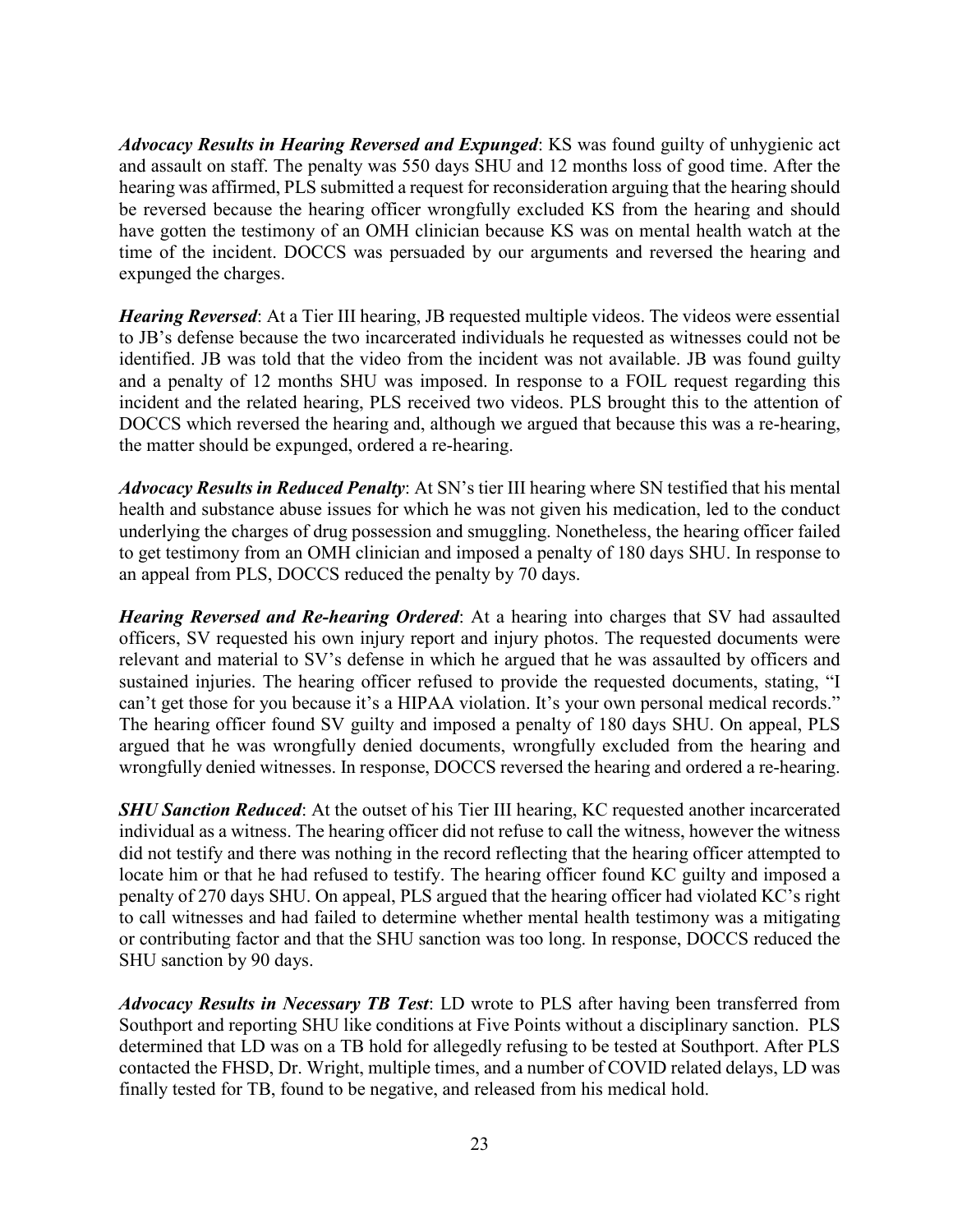*Advocacy Results in Hearing Reversed and Expunged*: KS was found guilty of unhygienic act and assault on staff. The penalty was 550 days SHU and 12 months loss of good time. After the hearing was affirmed, PLS submitted a request for reconsideration arguing that the hearing should be reversed because the hearing officer wrongfully excluded KS from the hearing and should have gotten the testimony of an OMH clinician because KS was on mental health watch at the time of the incident. DOCCS was persuaded by our arguments and reversed the hearing and expunged the charges.

*Hearing Reversed*: At a Tier III hearing, JB requested multiple videos. The videos were essential to JB's defense because the two incarcerated individuals he requested as witnesses could not be identified. JB was told that the video from the incident was not available. JB was found guilty and a penalty of 12 months SHU was imposed. In response to a FOIL request regarding this incident and the related hearing, PLS received two videos. PLS brought this to the attention of DOCCS which reversed the hearing and, although we argued that because this was a re-hearing, the matter should be expunged, ordered a re-hearing.

*Advocacy Results in Reduced Penalty*: At SN's tier III hearing where SN testified that his mental health and substance abuse issues for which he was not given his medication, led to the conduct underlying the charges of drug possession and smuggling. Nonetheless, the hearing officer failed to get testimony from an OMH clinician and imposed a penalty of 180 days SHU. In response to an appeal from PLS, DOCCS reduced the penalty by 70 days.

*Hearing Reversed and Re-hearing Ordered*: At a hearing into charges that SV had assaulted officers, SV requested his own injury report and injury photos. The requested documents were relevant and material to SV's defense in which he argued that he was assaulted by officers and sustained injuries. The hearing officer refused to provide the requested documents, stating, "I can't get those for you because it's a HIPAA violation. It's your own personal medical records." The hearing officer found SV guilty and imposed a penalty of 180 days SHU. On appeal, PLS argued that he was wrongfully denied documents, wrongfully excluded from the hearing and wrongfully denied witnesses. In response, DOCCS reversed the hearing and ordered a re-hearing.

*SHU Sanction Reduced*: At the outset of his Tier III hearing, KC requested another incarcerated individual as a witness. The hearing officer did not refuse to call the witness, however the witness did not testify and there was nothing in the record reflecting that the hearing officer attempted to locate him or that he had refused to testify. The hearing officer found KC guilty and imposed a penalty of 270 days SHU. On appeal, PLS argued that the hearing officer had violated KC's right to call witnesses and had failed to determine whether mental health testimony was a mitigating or contributing factor and that the SHU sanction was too long. In response, DOCCS reduced the SHU sanction by 90 days.

*Advocacy Results in Necessary TB Test*: LD wrote to PLS after having been transferred from Southport and reporting SHU like conditions at Five Points without a disciplinary sanction. PLS determined that LD was on a TB hold for allegedly refusing to be tested at Southport. After PLS contacted the FHSD, Dr. Wright, multiple times, and a number of COVID related delays, LD was finally tested for TB, found to be negative, and released from his medical hold.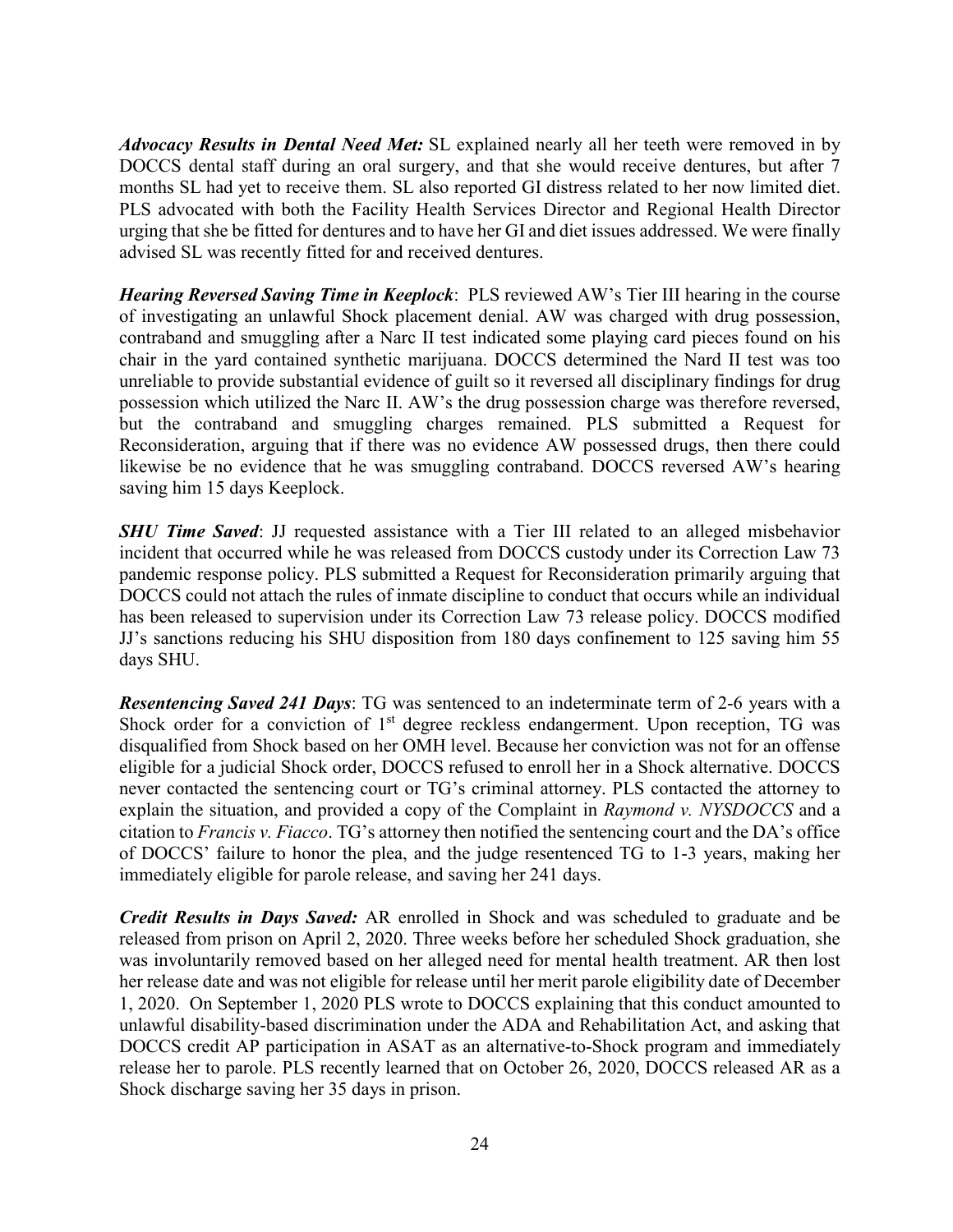*Advocacy Results in Dental Need Met:* SL explained nearly all her teeth were removed in by DOCCS dental staff during an oral surgery, and that she would receive dentures, but after 7 months SL had yet to receive them. SL also reported GI distress related to her now limited diet. PLS advocated with both the Facility Health Services Director and Regional Health Director urging that she be fitted for dentures and to have her GI and diet issues addressed. We were finally advised SL was recently fitted for and received dentures.

*Hearing Reversed Saving Time in Keeplock*: PLS reviewed AW's Tier III hearing in the course of investigating an unlawful Shock placement denial. AW was charged with drug possession, contraband and smuggling after a Narc II test indicated some playing card pieces found on his chair in the yard contained synthetic marijuana. DOCCS determined the Nard II test was too unreliable to provide substantial evidence of guilt so it reversed all disciplinary findings for drug possession which utilized the Narc II. AW's the drug possession charge was therefore reversed, but the contraband and smuggling charges remained. PLS submitted a Request for Reconsideration, arguing that if there was no evidence AW possessed drugs, then there could likewise be no evidence that he was smuggling contraband. DOCCS reversed AW's hearing saving him 15 days Keeplock.

*SHU Time Saved*: JJ requested assistance with a Tier III related to an alleged misbehavior incident that occurred while he was released from DOCCS custody under its Correction Law 73 pandemic response policy. PLS submitted a Request for Reconsideration primarily arguing that DOCCS could not attach the rules of inmate discipline to conduct that occurs while an individual has been released to supervision under its Correction Law 73 release policy. DOCCS modified JJ's sanctions reducing his SHU disposition from 180 days confinement to 125 saving him 55 days SHU.

*Resentencing Saved 241 Days*: TG was sentenced to an indeterminate term of 2-6 years with a Shock order for a conviction of  $1<sup>st</sup>$  degree reckless endangerment. Upon reception, TG was disqualified from Shock based on her OMH level. Because her conviction was not for an offense eligible for a judicial Shock order, DOCCS refused to enroll her in a Shock alternative. DOCCS never contacted the sentencing court or TG's criminal attorney. PLS contacted the attorney to explain the situation, and provided a copy of the Complaint in *Raymond v. NYSDOCCS* and a citation to *Francis v. Fiacco*. TG's attorney then notified the sentencing court and the DA's office of DOCCS' failure to honor the plea, and the judge resentenced TG to 1-3 years, making her immediately eligible for parole release, and saving her 241 days.

*Credit Results in Days Saved:* AR enrolled in Shock and was scheduled to graduate and be released from prison on April 2, 2020. Three weeks before her scheduled Shock graduation, she was involuntarily removed based on her alleged need for mental health treatment. AR then lost her release date and was not eligible for release until her merit parole eligibility date of December 1, 2020. On September 1, 2020 PLS wrote to DOCCS explaining that this conduct amounted to unlawful disability-based discrimination under the ADA and Rehabilitation Act, and asking that DOCCS credit AP participation in ASAT as an alternative-to-Shock program and immediately release her to parole. PLS recently learned that on October 26, 2020, DOCCS released AR as a Shock discharge saving her 35 days in prison.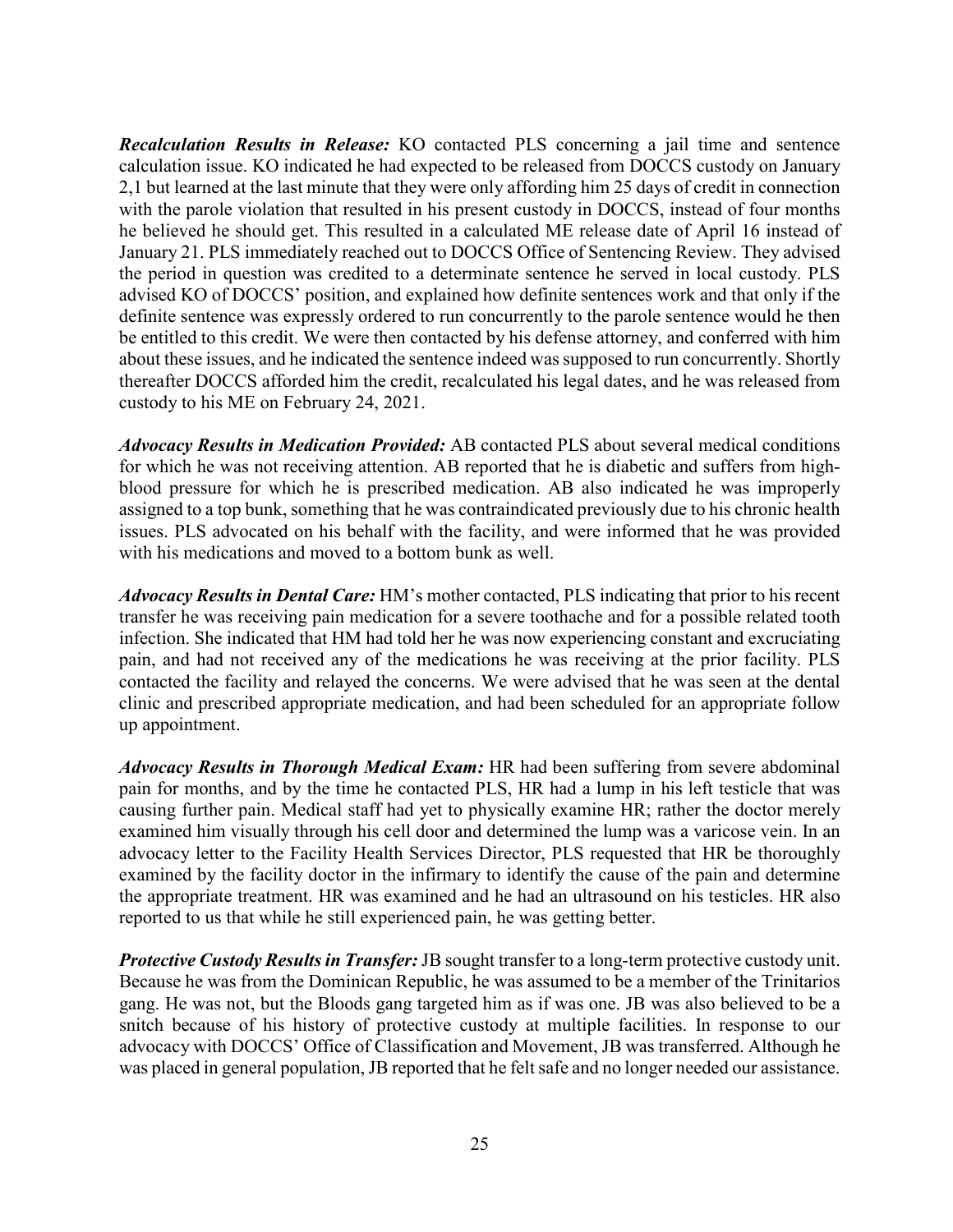*Recalculation Results in Release:* KO contacted PLS concerning a jail time and sentence calculation issue. KO indicated he had expected to be released from DOCCS custody on January 2,1 but learned at the last minute that they were only affording him 25 days of credit in connection with the parole violation that resulted in his present custody in DOCCS, instead of four months he believed he should get. This resulted in a calculated ME release date of April 16 instead of January 21. PLS immediately reached out to DOCCS Office of Sentencing Review. They advised the period in question was credited to a determinate sentence he served in local custody. PLS advised KO of DOCCS' position, and explained how definite sentences work and that only if the definite sentence was expressly ordered to run concurrently to the parole sentence would he then be entitled to this credit. We were then contacted by his defense attorney, and conferred with him about these issues, and he indicated the sentence indeed was supposed to run concurrently. Shortly thereafter DOCCS afforded him the credit, recalculated his legal dates, and he was released from custody to his ME on February 24, 2021.

*Advocacy Results in Medication Provided:* AB contacted PLS about several medical conditions for which he was not receiving attention. AB reported that he is diabetic and suffers from highblood pressure for which he is prescribed medication. AB also indicated he was improperly assigned to a top bunk, something that he was contraindicated previously due to his chronic health issues. PLS advocated on his behalf with the facility, and were informed that he was provided with his medications and moved to a bottom bunk as well.

*Advocacy Results in Dental Care:* HM's mother contacted, PLS indicating that prior to his recent transfer he was receiving pain medication for a severe toothache and for a possible related tooth infection. She indicated that HM had told her he was now experiencing constant and excruciating pain, and had not received any of the medications he was receiving at the prior facility. PLS contacted the facility and relayed the concerns. We were advised that he was seen at the dental clinic and prescribed appropriate medication, and had been scheduled for an appropriate follow up appointment.

*Advocacy Results in Thorough Medical Exam:* HR had been suffering from severe abdominal pain for months, and by the time he contacted PLS, HR had a lump in his left testicle that was causing further pain. Medical staff had yet to physically examine HR; rather the doctor merely examined him visually through his cell door and determined the lump was a varicose vein. In an advocacy letter to the Facility Health Services Director, PLS requested that HR be thoroughly examined by the facility doctor in the infirmary to identify the cause of the pain and determine the appropriate treatment. HR was examined and he had an ultrasound on his testicles. HR also reported to us that while he still experienced pain, he was getting better.

*Protective Custody Results in Transfer:*JB sought transfer to a long-term protective custody unit. Because he was from the Dominican Republic, he was assumed to be a member of the Trinitarios gang. He was not, but the Bloods gang targeted him as if was one. JB was also believed to be a snitch because of his history of protective custody at multiple facilities. In response to our advocacy with DOCCS' Office of Classification and Movement, JB was transferred. Although he was placed in general population, JB reported that he felt safe and no longer needed our assistance.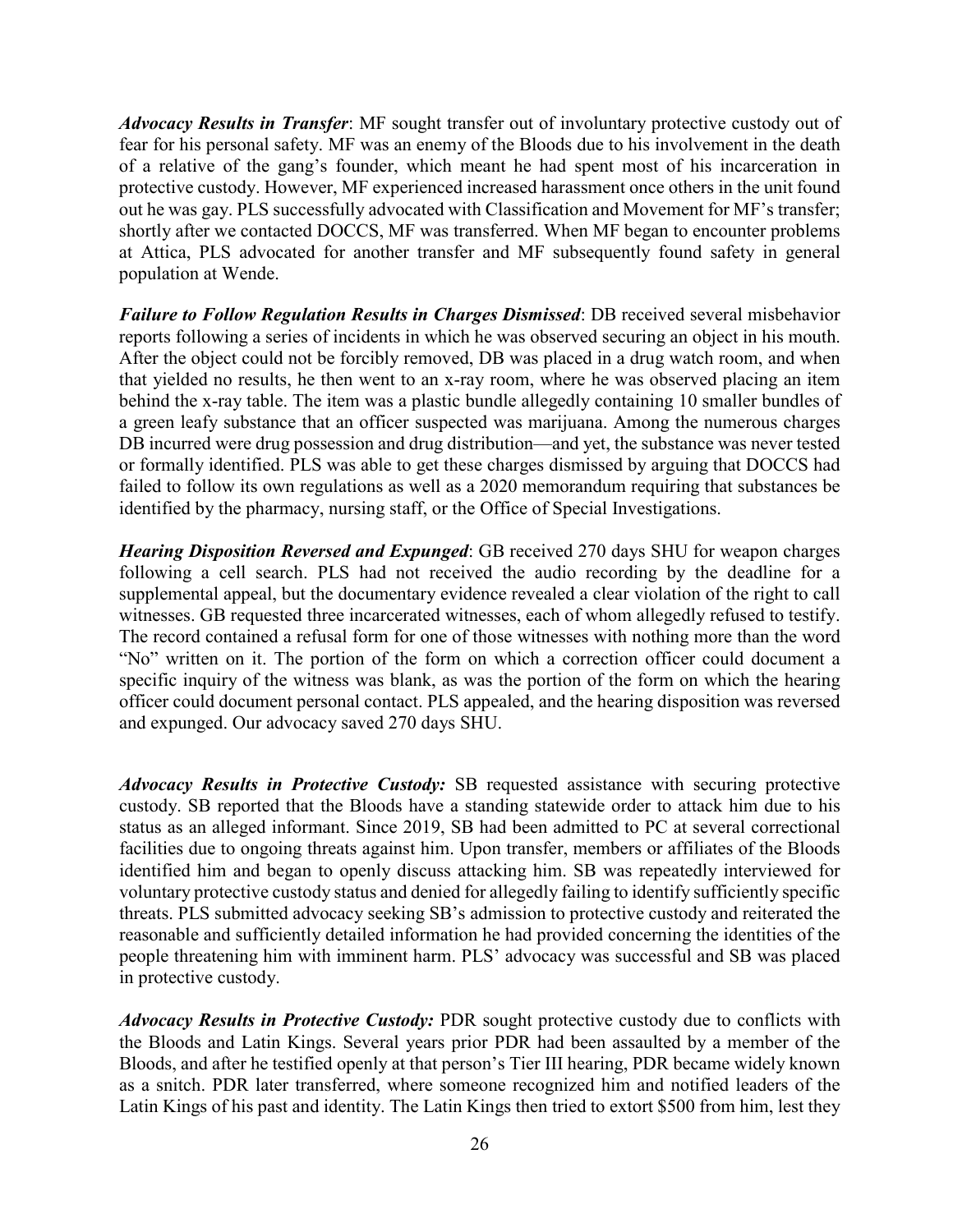*Advocacy Results in Transfer*: MF sought transfer out of involuntary protective custody out of fear for his personal safety. MF was an enemy of the Bloods due to his involvement in the death of a relative of the gang's founder, which meant he had spent most of his incarceration in protective custody. However, MF experienced increased harassment once others in the unit found out he was gay. PLS successfully advocated with Classification and Movement for MF's transfer; shortly after we contacted DOCCS, MF was transferred. When MF began to encounter problems at Attica, PLS advocated for another transfer and MF subsequently found safety in general population at Wende.

*Failure to Follow Regulation Results in Charges Dismissed*: DB received several misbehavior reports following a series of incidents in which he was observed securing an object in his mouth. After the object could not be forcibly removed, DB was placed in a drug watch room, and when that yielded no results, he then went to an x-ray room, where he was observed placing an item behind the x-ray table. The item was a plastic bundle allegedly containing 10 smaller bundles of a green leafy substance that an officer suspected was marijuana. Among the numerous charges DB incurred were drug possession and drug distribution—and yet, the substance was never tested or formally identified. PLS was able to get these charges dismissed by arguing that DOCCS had failed to follow its own regulations as well as a 2020 memorandum requiring that substances be identified by the pharmacy, nursing staff, or the Office of Special Investigations.

*Hearing Disposition Reversed and Expunged*: GB received 270 days SHU for weapon charges following a cell search. PLS had not received the audio recording by the deadline for a supplemental appeal, but the documentary evidence revealed a clear violation of the right to call witnesses. GB requested three incarcerated witnesses, each of whom allegedly refused to testify. The record contained a refusal form for one of those witnesses with nothing more than the word "No" written on it. The portion of the form on which a correction officer could document a specific inquiry of the witness was blank, as was the portion of the form on which the hearing officer could document personal contact. PLS appealed, and the hearing disposition was reversed and expunged. Our advocacy saved 270 days SHU.

*Advocacy Results in Protective Custody:* SB requested assistance with securing protective custody. SB reported that the Bloods have a standing statewide order to attack him due to his status as an alleged informant. Since 2019, SB had been admitted to PC at several correctional facilities due to ongoing threats against him. Upon transfer, members or affiliates of the Bloods identified him and began to openly discuss attacking him. SB was repeatedly interviewed for voluntary protective custody status and denied for allegedly failing to identify sufficiently specific threats. PLS submitted advocacy seeking SB's admission to protective custody and reiterated the reasonable and sufficiently detailed information he had provided concerning the identities of the people threatening him with imminent harm. PLS' advocacy was successful and SB was placed in protective custody.

*Advocacy Results in Protective Custody:* PDR sought protective custody due to conflicts with the Bloods and Latin Kings. Several years prior PDR had been assaulted by a member of the Bloods, and after he testified openly at that person's Tier III hearing, PDR became widely known as a snitch. PDR later transferred, where someone recognized him and notified leaders of the Latin Kings of his past and identity. The Latin Kings then tried to extort \$500 from him, lest they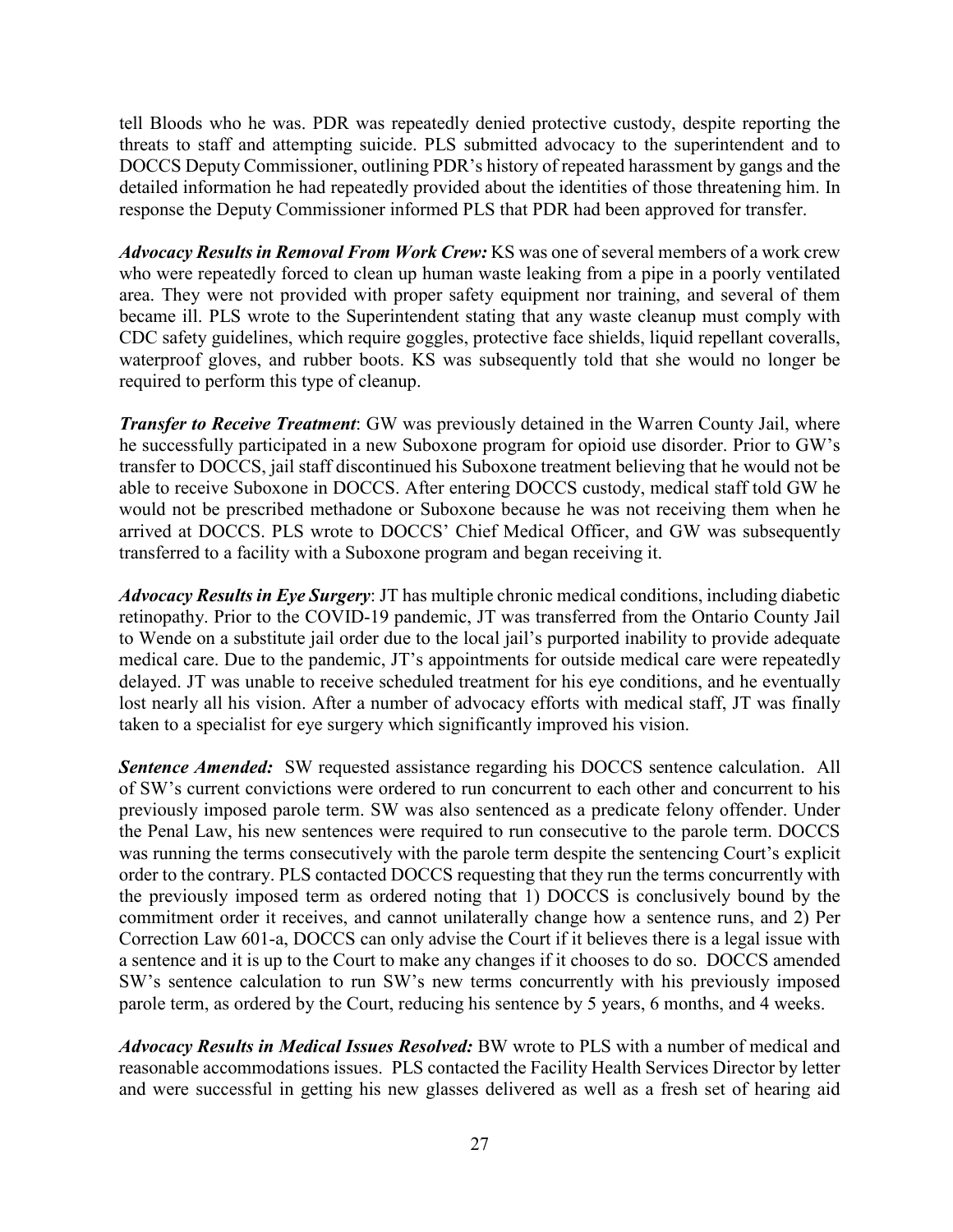tell Bloods who he was. PDR was repeatedly denied protective custody, despite reporting the threats to staff and attempting suicide. PLS submitted advocacy to the superintendent and to DOCCS Deputy Commissioner, outlining PDR's history of repeated harassment by gangs and the detailed information he had repeatedly provided about the identities of those threatening him. In response the Deputy Commissioner informed PLS that PDR had been approved for transfer.

*Advocacy Results in Removal From Work Crew:* KS was one of several members of a work crew who were repeatedly forced to clean up human waste leaking from a pipe in a poorly ventilated area. They were not provided with proper safety equipment nor training, and several of them became ill. PLS wrote to the Superintendent stating that any waste cleanup must comply with CDC safety guidelines, which require goggles, protective face shields, liquid repellant coveralls, waterproof gloves, and rubber boots. KS was subsequently told that she would no longer be required to perform this type of cleanup.

*Transfer to Receive Treatment*: GW was previously detained in the Warren County Jail, where he successfully participated in a new Suboxone program for opioid use disorder. Prior to GW's transfer to DOCCS, jail staff discontinued his Suboxone treatment believing that he would not be able to receive Suboxone in DOCCS. After entering DOCCS custody, medical staff told GW he would not be prescribed methadone or Suboxone because he was not receiving them when he arrived at DOCCS. PLS wrote to DOCCS' Chief Medical Officer, and GW was subsequently transferred to a facility with a Suboxone program and began receiving it.

*Advocacy Results in Eye Surgery*: JT has multiple chronic medical conditions, including diabetic retinopathy. Prior to the COVID-19 pandemic, JT was transferred from the Ontario County Jail to Wende on a substitute jail order due to the local jail's purported inability to provide adequate medical care. Due to the pandemic, JT's appointments for outside medical care were repeatedly delayed. JT was unable to receive scheduled treatment for his eye conditions, and he eventually lost nearly all his vision. After a number of advocacy efforts with medical staff, JT was finally taken to a specialist for eye surgery which significantly improved his vision.

**Sentence Amended:** SW requested assistance regarding his DOCCS sentence calculation. All of SW's current convictions were ordered to run concurrent to each other and concurrent to his previously imposed parole term. SW was also sentenced as a predicate felony offender. Under the Penal Law, his new sentences were required to run consecutive to the parole term. DOCCS was running the terms consecutively with the parole term despite the sentencing Court's explicit order to the contrary. PLS contacted DOCCS requesting that they run the terms concurrently with the previously imposed term as ordered noting that 1) DOCCS is conclusively bound by the commitment order it receives, and cannot unilaterally change how a sentence runs, and 2) Per Correction Law 601-a, DOCCS can only advise the Court if it believes there is a legal issue with a sentence and it is up to the Court to make any changes if it chooses to do so. DOCCS amended SW's sentence calculation to run SW's new terms concurrently with his previously imposed parole term, as ordered by the Court, reducing his sentence by 5 years, 6 months, and 4 weeks.

*Advocacy Results in Medical Issues Resolved:* BW wrote to PLS with a number of medical and reasonable accommodations issues. PLS contacted the Facility Health Services Director by letter and were successful in getting his new glasses delivered as well as a fresh set of hearing aid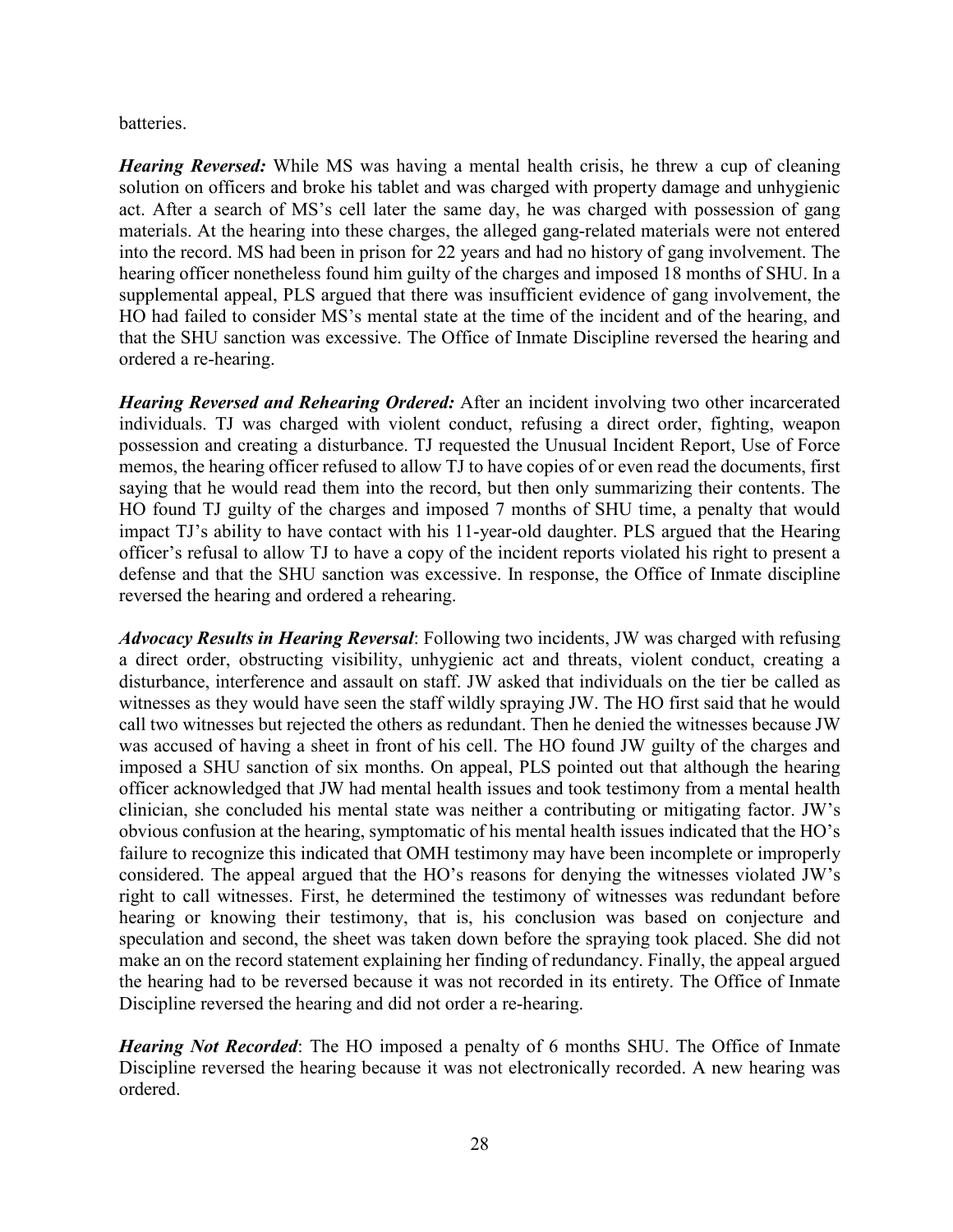batteries.

*Hearing Reversed:* While MS was having a mental health crisis, he threw a cup of cleaning solution on officers and broke his tablet and was charged with property damage and unhygienic act. After a search of MS's cell later the same day, he was charged with possession of gang materials. At the hearing into these charges, the alleged gang-related materials were not entered into the record. MS had been in prison for 22 years and had no history of gang involvement. The hearing officer nonetheless found him guilty of the charges and imposed 18 months of SHU. In a supplemental appeal, PLS argued that there was insufficient evidence of gang involvement, the HO had failed to consider MS's mental state at the time of the incident and of the hearing, and that the SHU sanction was excessive. The Office of Inmate Discipline reversed the hearing and ordered a re-hearing.

*Hearing Reversed and Rehearing Ordered:* After an incident involving two other incarcerated individuals. TJ was charged with violent conduct, refusing a direct order, fighting, weapon possession and creating a disturbance. TJ requested the Unusual Incident Report, Use of Force memos, the hearing officer refused to allow TJ to have copies of or even read the documents, first saying that he would read them into the record, but then only summarizing their contents. The HO found TJ guilty of the charges and imposed 7 months of SHU time, a penalty that would impact TJ's ability to have contact with his 11-year-old daughter. PLS argued that the Hearing officer's refusal to allow TJ to have a copy of the incident reports violated his right to present a defense and that the SHU sanction was excessive. In response, the Office of Inmate discipline reversed the hearing and ordered a rehearing.

*Advocacy Results in Hearing Reversal*: Following two incidents, JW was charged with refusing a direct order, obstructing visibility, unhygienic act and threats, violent conduct, creating a disturbance, interference and assault on staff. JW asked that individuals on the tier be called as witnesses as they would have seen the staff wildly spraying JW. The HO first said that he would call two witnesses but rejected the others as redundant. Then he denied the witnesses because JW was accused of having a sheet in front of his cell. The HO found JW guilty of the charges and imposed a SHU sanction of six months. On appeal, PLS pointed out that although the hearing officer acknowledged that JW had mental health issues and took testimony from a mental health clinician, she concluded his mental state was neither a contributing or mitigating factor. JW's obvious confusion at the hearing, symptomatic of his mental health issues indicated that the HO's failure to recognize this indicated that OMH testimony may have been incomplete or improperly considered. The appeal argued that the HO's reasons for denying the witnesses violated JW's right to call witnesses. First, he determined the testimony of witnesses was redundant before hearing or knowing their testimony, that is, his conclusion was based on conjecture and speculation and second, the sheet was taken down before the spraying took placed. She did not make an on the record statement explaining her finding of redundancy. Finally, the appeal argued the hearing had to be reversed because it was not recorded in its entirety. The Office of Inmate Discipline reversed the hearing and did not order a re-hearing.

*Hearing Not Recorded*: The HO imposed a penalty of 6 months SHU. The Office of Inmate Discipline reversed the hearing because it was not electronically recorded. A new hearing was ordered.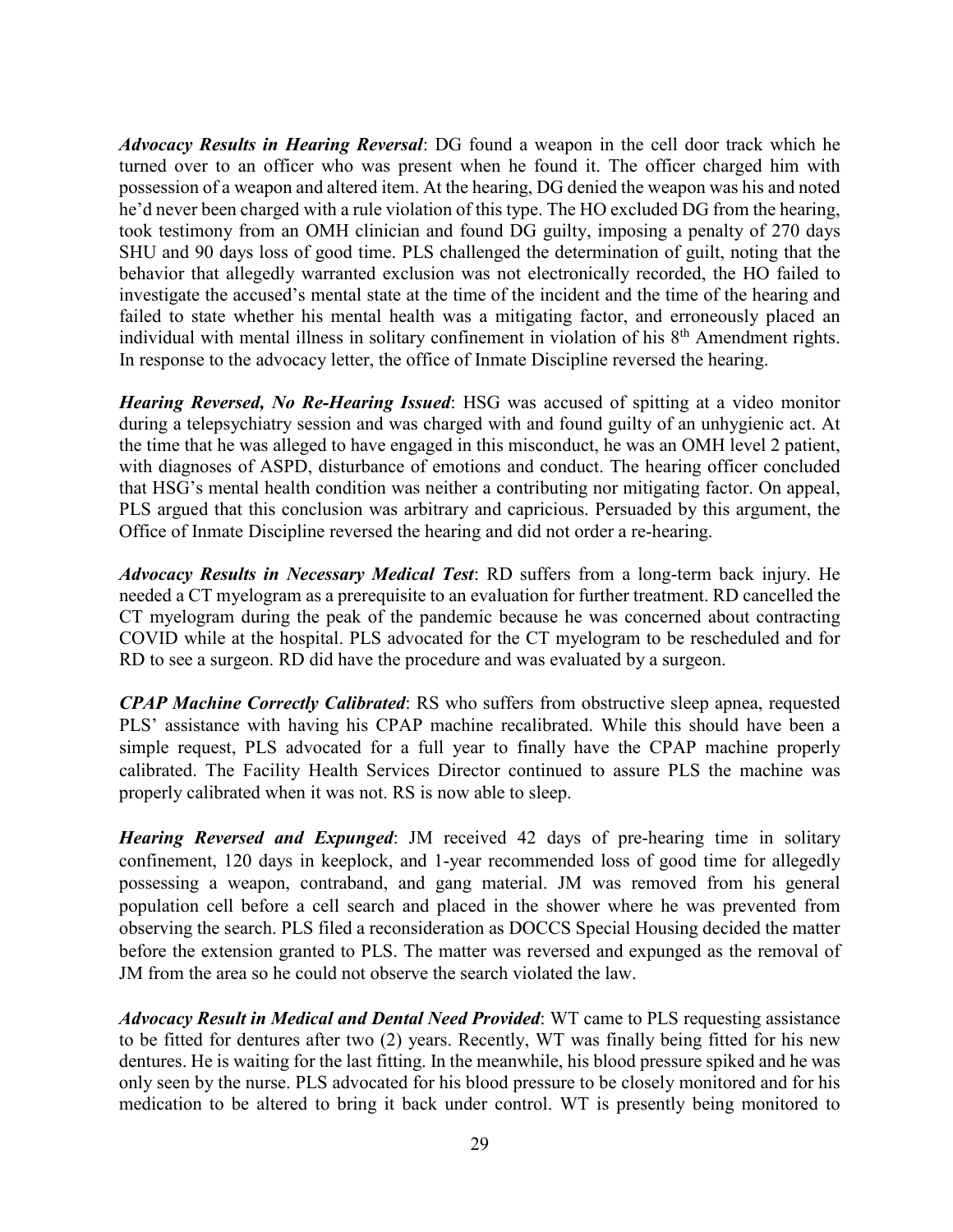*Advocacy Results in Hearing Reversal*: DG found a weapon in the cell door track which he turned over to an officer who was present when he found it. The officer charged him with possession of a weapon and altered item. At the hearing, DG denied the weapon was his and noted he'd never been charged with a rule violation of this type. The HO excluded DG from the hearing, took testimony from an OMH clinician and found DG guilty, imposing a penalty of 270 days SHU and 90 days loss of good time. PLS challenged the determination of guilt, noting that the behavior that allegedly warranted exclusion was not electronically recorded, the HO failed to investigate the accused's mental state at the time of the incident and the time of the hearing and failed to state whether his mental health was a mitigating factor, and erroneously placed an individual with mental illness in solitary confinement in violation of his 8<sup>th</sup> Amendment rights. In response to the advocacy letter, the office of Inmate Discipline reversed the hearing.

*Hearing Reversed, No Re-Hearing Issued*: HSG was accused of spitting at a video monitor during a telepsychiatry session and was charged with and found guilty of an unhygienic act. At the time that he was alleged to have engaged in this misconduct, he was an OMH level 2 patient, with diagnoses of ASPD, disturbance of emotions and conduct. The hearing officer concluded that HSG's mental health condition was neither a contributing nor mitigating factor. On appeal, PLS argued that this conclusion was arbitrary and capricious. Persuaded by this argument, the Office of Inmate Discipline reversed the hearing and did not order a re-hearing.

*Advocacy Results in Necessary Medical Test*: RD suffers from a long-term back injury. He needed a CT myelogram as a prerequisite to an evaluation for further treatment. RD cancelled the CT myelogram during the peak of the pandemic because he was concerned about contracting COVID while at the hospital. PLS advocated for the CT myelogram to be rescheduled and for RD to see a surgeon. RD did have the procedure and was evaluated by a surgeon.

*CPAP Machine Correctly Calibrated*: RS who suffers from obstructive sleep apnea, requested PLS' assistance with having his CPAP machine recalibrated. While this should have been a simple request, PLS advocated for a full year to finally have the CPAP machine properly calibrated. The Facility Health Services Director continued to assure PLS the machine was properly calibrated when it was not. RS is now able to sleep.

*Hearing Reversed and Expunged*: JM received 42 days of pre-hearing time in solitary confinement, 120 days in keeplock, and 1-year recommended loss of good time for allegedly possessing a weapon, contraband, and gang material. JM was removed from his general population cell before a cell search and placed in the shower where he was prevented from observing the search. PLS filed a reconsideration as DOCCS Special Housing decided the matter before the extension granted to PLS. The matter was reversed and expunged as the removal of JM from the area so he could not observe the search violated the law.

*Advocacy Result in Medical and Dental Need Provided*: WT came to PLS requesting assistance to be fitted for dentures after two (2) years. Recently, WT was finally being fitted for his new dentures. He is waiting for the last fitting. In the meanwhile, his blood pressure spiked and he was only seen by the nurse. PLS advocated for his blood pressure to be closely monitored and for his medication to be altered to bring it back under control. WT is presently being monitored to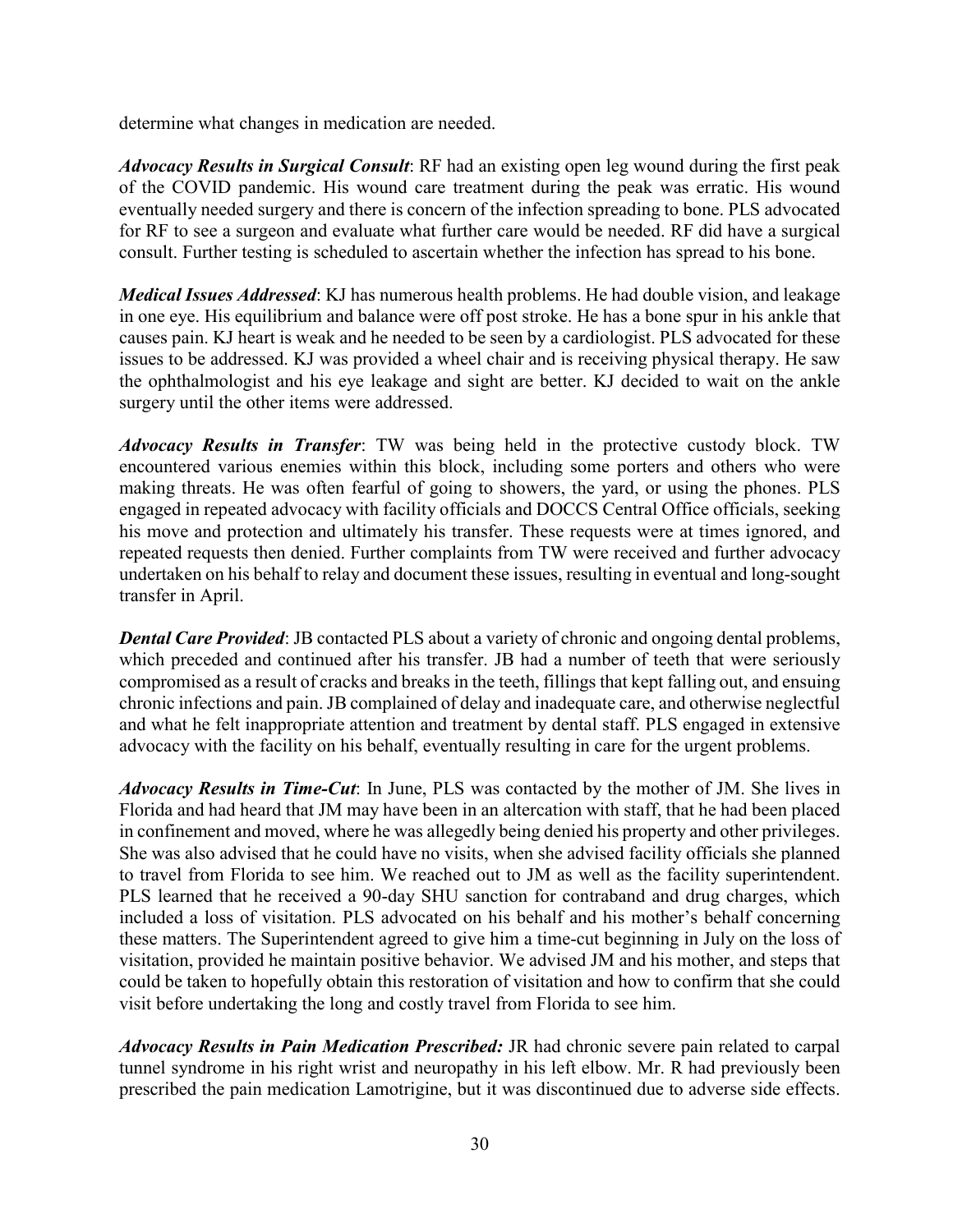determine what changes in medication are needed.

*Advocacy Results in Surgical Consult*: RF had an existing open leg wound during the first peak of the COVID pandemic. His wound care treatment during the peak was erratic. His wound eventually needed surgery and there is concern of the infection spreading to bone. PLS advocated for RF to see a surgeon and evaluate what further care would be needed. RF did have a surgical consult. Further testing is scheduled to ascertain whether the infection has spread to his bone.

*Medical Issues Addressed*: KJ has numerous health problems. He had double vision, and leakage in one eye. His equilibrium and balance were off post stroke. He has a bone spur in his ankle that causes pain. KJ heart is weak and he needed to be seen by a cardiologist. PLS advocated for these issues to be addressed. KJ was provided a wheel chair and is receiving physical therapy. He saw the ophthalmologist and his eye leakage and sight are better. KJ decided to wait on the ankle surgery until the other items were addressed.

*Advocacy Results in Transfer*: TW was being held in the protective custody block. TW encountered various enemies within this block, including some porters and others who were making threats. He was often fearful of going to showers, the yard, or using the phones. PLS engaged in repeated advocacy with facility officials and DOCCS Central Office officials, seeking his move and protection and ultimately his transfer. These requests were at times ignored, and repeated requests then denied. Further complaints from TW were received and further advocacy undertaken on his behalf to relay and document these issues, resulting in eventual and long-sought transfer in April.

*Dental Care Provided*: JB contacted PLS about a variety of chronic and ongoing dental problems, which preceded and continued after his transfer. JB had a number of teeth that were seriously compromised as a result of cracks and breaks in the teeth, fillings that kept falling out, and ensuing chronic infections and pain. JB complained of delay and inadequate care, and otherwise neglectful and what he felt inappropriate attention and treatment by dental staff. PLS engaged in extensive advocacy with the facility on his behalf, eventually resulting in care for the urgent problems.

*Advocacy Results in Time-Cut*: In June, PLS was contacted by the mother of JM. She lives in Florida and had heard that JM may have been in an altercation with staff, that he had been placed in confinement and moved, where he was allegedly being denied his property and other privileges. She was also advised that he could have no visits, when she advised facility officials she planned to travel from Florida to see him. We reached out to JM as well as the facility superintendent. PLS learned that he received a 90-day SHU sanction for contraband and drug charges, which included a loss of visitation. PLS advocated on his behalf and his mother's behalf concerning these matters. The Superintendent agreed to give him a time-cut beginning in July on the loss of visitation, provided he maintain positive behavior. We advised JM and his mother, and steps that could be taken to hopefully obtain this restoration of visitation and how to confirm that she could visit before undertaking the long and costly travel from Florida to see him.

*Advocacy Results in Pain Medication Prescribed:* JR had chronic severe pain related to carpal tunnel syndrome in his right wrist and neuropathy in his left elbow. Mr. R had previously been prescribed the pain medication Lamotrigine, but it was discontinued due to adverse side effects.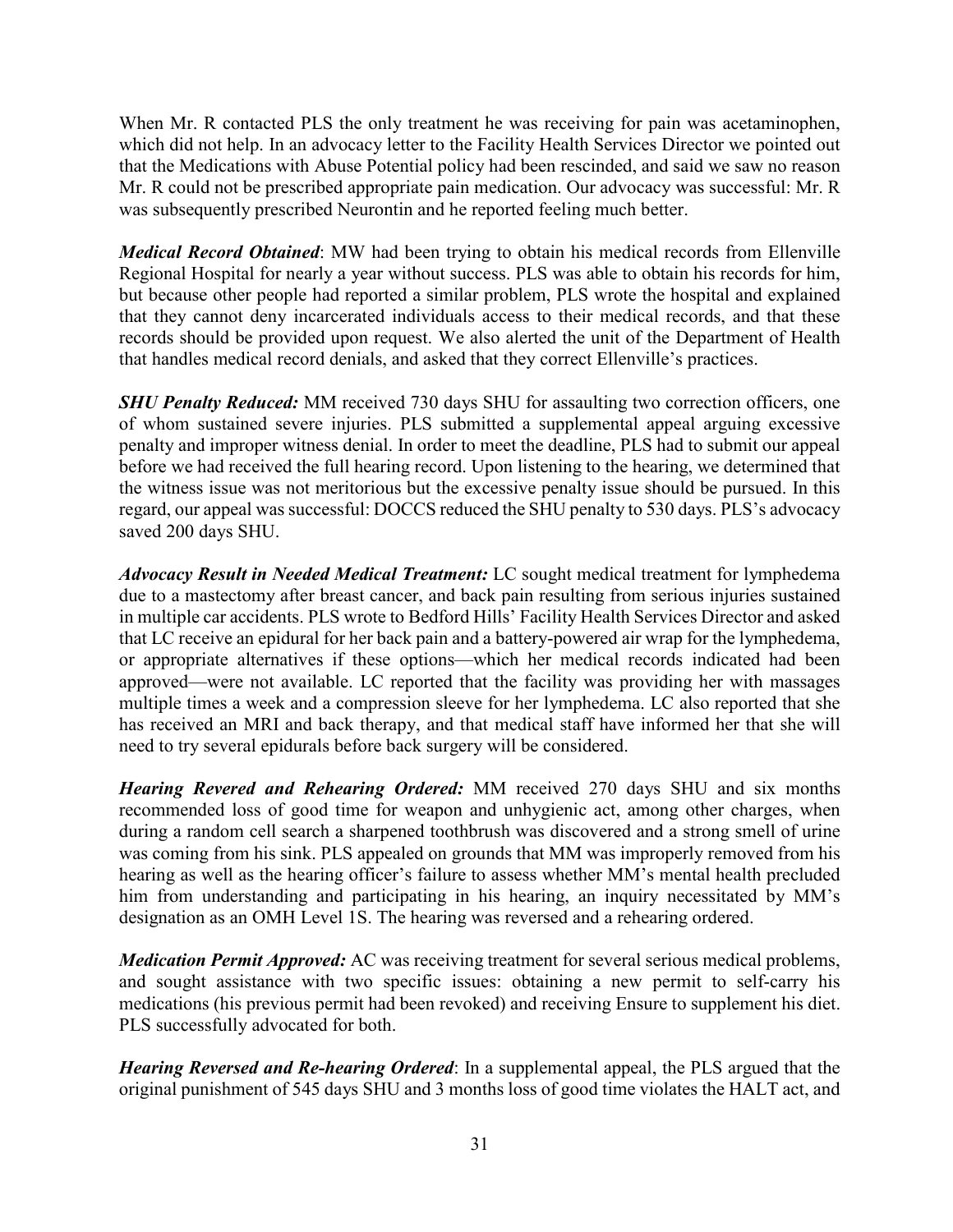When Mr. R contacted PLS the only treatment he was receiving for pain was acetaminophen, which did not help. In an advocacy letter to the Facility Health Services Director we pointed out that the Medications with Abuse Potential policy had been rescinded, and said we saw no reason Mr. R could not be prescribed appropriate pain medication. Our advocacy was successful: Mr. R was subsequently prescribed Neurontin and he reported feeling much better.

*Medical Record Obtained*: MW had been trying to obtain his medical records from Ellenville Regional Hospital for nearly a year without success. PLS was able to obtain his records for him, but because other people had reported a similar problem, PLS wrote the hospital and explained that they cannot deny incarcerated individuals access to their medical records, and that these records should be provided upon request. We also alerted the unit of the Department of Health that handles medical record denials, and asked that they correct Ellenville's practices.

*SHU Penalty Reduced:* MM received 730 days SHU for assaulting two correction officers, one of whom sustained severe injuries. PLS submitted a supplemental appeal arguing excessive penalty and improper witness denial. In order to meet the deadline, PLS had to submit our appeal before we had received the full hearing record. Upon listening to the hearing, we determined that the witness issue was not meritorious but the excessive penalty issue should be pursued. In this regard, our appeal was successful: DOCCS reduced the SHU penalty to 530 days. PLS's advocacy saved 200 days SHU.

*Advocacy Result in Needed Medical Treatment:* LC sought medical treatment for lymphedema due to a mastectomy after breast cancer, and back pain resulting from serious injuries sustained in multiple car accidents. PLS wrote to Bedford Hills' Facility Health Services Director and asked that LC receive an epidural for her back pain and a battery-powered air wrap for the lymphedema, or appropriate alternatives if these options—which her medical records indicated had been approved—were not available. LC reported that the facility was providing her with massages multiple times a week and a compression sleeve for her lymphedema. LC also reported that she has received an MRI and back therapy, and that medical staff have informed her that she will need to try several epidurals before back surgery will be considered.

*Hearing Revered and Rehearing Ordered:* MM received 270 days SHU and six months recommended loss of good time for weapon and unhygienic act, among other charges, when during a random cell search a sharpened toothbrush was discovered and a strong smell of urine was coming from his sink. PLS appealed on grounds that MM was improperly removed from his hearing as well as the hearing officer's failure to assess whether MM's mental health precluded him from understanding and participating in his hearing, an inquiry necessitated by MM's designation as an OMH Level 1S. The hearing was reversed and a rehearing ordered.

*Medication Permit Approved:* AC was receiving treatment for several serious medical problems, and sought assistance with two specific issues: obtaining a new permit to self-carry his medications (his previous permit had been revoked) and receiving Ensure to supplement his diet. PLS successfully advocated for both.

*Hearing Reversed and Re-hearing Ordered*: In a supplemental appeal, the PLS argued that the original punishment of 545 days SHU and 3 months loss of good time violates the HALT act, and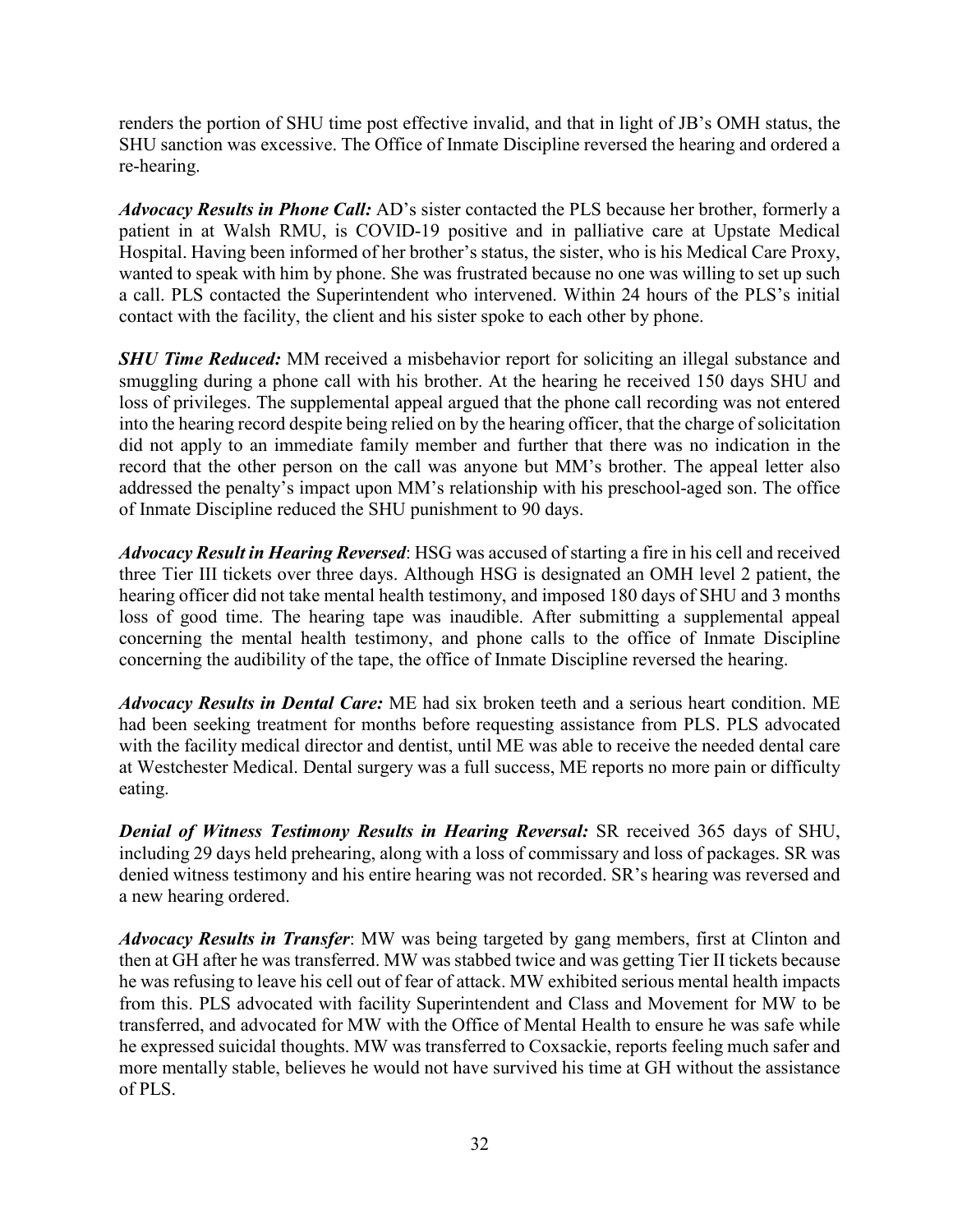renders the portion of SHU time post effective invalid, and that in light of JB's OMH status, the SHU sanction was excessive. The Office of Inmate Discipline reversed the hearing and ordered a re-hearing.

*Advocacy Results in Phone Call:* AD's sister contacted the PLS because her brother, formerly a patient in at Walsh RMU, is COVID-19 positive and in palliative care at Upstate Medical Hospital. Having been informed of her brother's status, the sister, who is his Medical Care Proxy, wanted to speak with him by phone. She was frustrated because no one was willing to set up such a call. PLS contacted the Superintendent who intervened. Within 24 hours of the PLS's initial contact with the facility, the client and his sister spoke to each other by phone.

*SHU Time Reduced:* MM received a misbehavior report for soliciting an illegal substance and smuggling during a phone call with his brother. At the hearing he received 150 days SHU and loss of privileges. The supplemental appeal argued that the phone call recording was not entered into the hearing record despite being relied on by the hearing officer, that the charge of solicitation did not apply to an immediate family member and further that there was no indication in the record that the other person on the call was anyone but MM's brother. The appeal letter also addressed the penalty's impact upon MM's relationship with his preschool-aged son. The office of Inmate Discipline reduced the SHU punishment to 90 days.

*Advocacy Result in Hearing Reversed*: HSG was accused of starting a fire in his cell and received three Tier III tickets over three days. Although HSG is designated an OMH level 2 patient, the hearing officer did not take mental health testimony, and imposed 180 days of SHU and 3 months loss of good time. The hearing tape was inaudible. After submitting a supplemental appeal concerning the mental health testimony, and phone calls to the office of Inmate Discipline concerning the audibility of the tape, the office of Inmate Discipline reversed the hearing.

*Advocacy Results in Dental Care:* ME had six broken teeth and a serious heart condition. ME had been seeking treatment for months before requesting assistance from PLS. PLS advocated with the facility medical director and dentist, until ME was able to receive the needed dental care at Westchester Medical. Dental surgery was a full success, ME reports no more pain or difficulty eating.

*Denial of Witness Testimony Results in Hearing Reversal:* SR received 365 days of SHU, including 29 days held prehearing, along with a loss of commissary and loss of packages. SR was denied witness testimony and his entire hearing was not recorded. SR's hearing was reversed and a new hearing ordered.

*Advocacy Results in Transfer*: MW was being targeted by gang members, first at Clinton and then at GH after he was transferred. MW was stabbed twice and was getting Tier II tickets because he was refusing to leave his cell out of fear of attack. MW exhibited serious mental health impacts from this. PLS advocated with facility Superintendent and Class and Movement for MW to be transferred, and advocated for MW with the Office of Mental Health to ensure he was safe while he expressed suicidal thoughts. MW was transferred to Coxsackie, reports feeling much safer and more mentally stable, believes he would not have survived his time at GH without the assistance of PLS.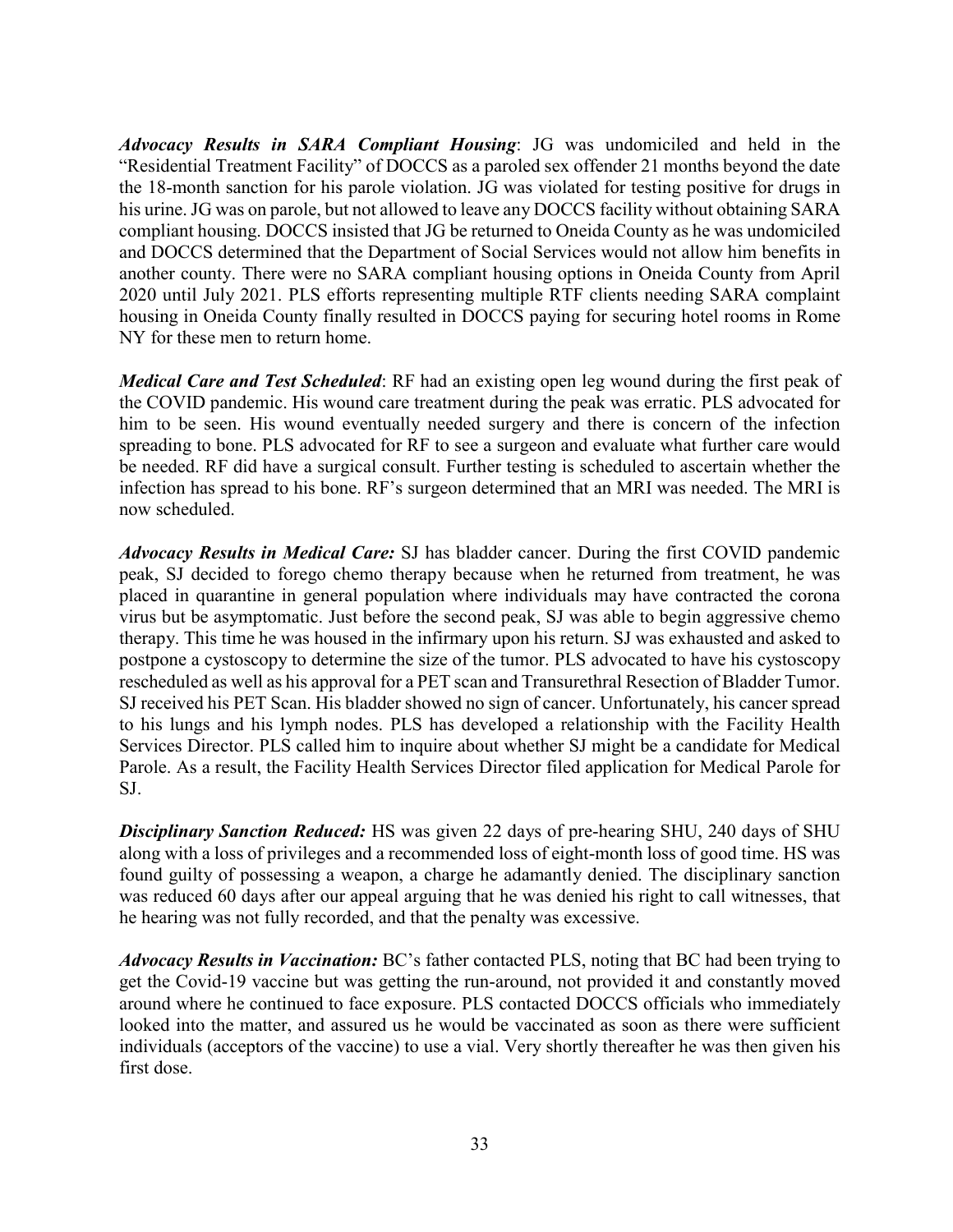*Advocacy Results in SARA Compliant Housing*: JG was undomiciled and held in the "Residential Treatment Facility" of DOCCS as a paroled sex offender 21 months beyond the date the 18-month sanction for his parole violation. JG was violated for testing positive for drugs in his urine. JG was on parole, but not allowed to leave any DOCCS facility without obtaining SARA compliant housing. DOCCS insisted that JG be returned to Oneida County as he was undomiciled and DOCCS determined that the Department of Social Services would not allow him benefits in another county. There were no SARA compliant housing options in Oneida County from April 2020 until July 2021. PLS efforts representing multiple RTF clients needing SARA complaint housing in Oneida County finally resulted in DOCCS paying for securing hotel rooms in Rome NY for these men to return home.

*Medical Care and Test Scheduled*: RF had an existing open leg wound during the first peak of the COVID pandemic. His wound care treatment during the peak was erratic. PLS advocated for him to be seen. His wound eventually needed surgery and there is concern of the infection spreading to bone. PLS advocated for RF to see a surgeon and evaluate what further care would be needed. RF did have a surgical consult. Further testing is scheduled to ascertain whether the infection has spread to his bone. RF's surgeon determined that an MRI was needed. The MRI is now scheduled.

*Advocacy Results in Medical Care:* SJ has bladder cancer. During the first COVID pandemic peak, SJ decided to forego chemo therapy because when he returned from treatment, he was placed in quarantine in general population where individuals may have contracted the corona virus but be asymptomatic. Just before the second peak, SJ was able to begin aggressive chemo therapy. This time he was housed in the infirmary upon his return. SJ was exhausted and asked to postpone a cystoscopy to determine the size of the tumor. PLS advocated to have his cystoscopy rescheduled as well as his approval for a PET scan and Transurethral Resection of Bladder Tumor. SJ received his PET Scan. His bladder showed no sign of cancer. Unfortunately, his cancer spread to his lungs and his lymph nodes. PLS has developed a relationship with the Facility Health Services Director. PLS called him to inquire about whether SJ might be a candidate for Medical Parole. As a result, the Facility Health Services Director filed application for Medical Parole for SJ.

*Disciplinary Sanction Reduced:* HS was given 22 days of pre-hearing SHU, 240 days of SHU along with a loss of privileges and a recommended loss of eight-month loss of good time. HS was found guilty of possessing a weapon, a charge he adamantly denied. The disciplinary sanction was reduced 60 days after our appeal arguing that he was denied his right to call witnesses, that he hearing was not fully recorded, and that the penalty was excessive.

*Advocacy Results in Vaccination:* BC's father contacted PLS, noting that BC had been trying to get the Covid-19 vaccine but was getting the run-around, not provided it and constantly moved around where he continued to face exposure. PLS contacted DOCCS officials who immediately looked into the matter, and assured us he would be vaccinated as soon as there were sufficient individuals (acceptors of the vaccine) to use a vial. Very shortly thereafter he was then given his first dose.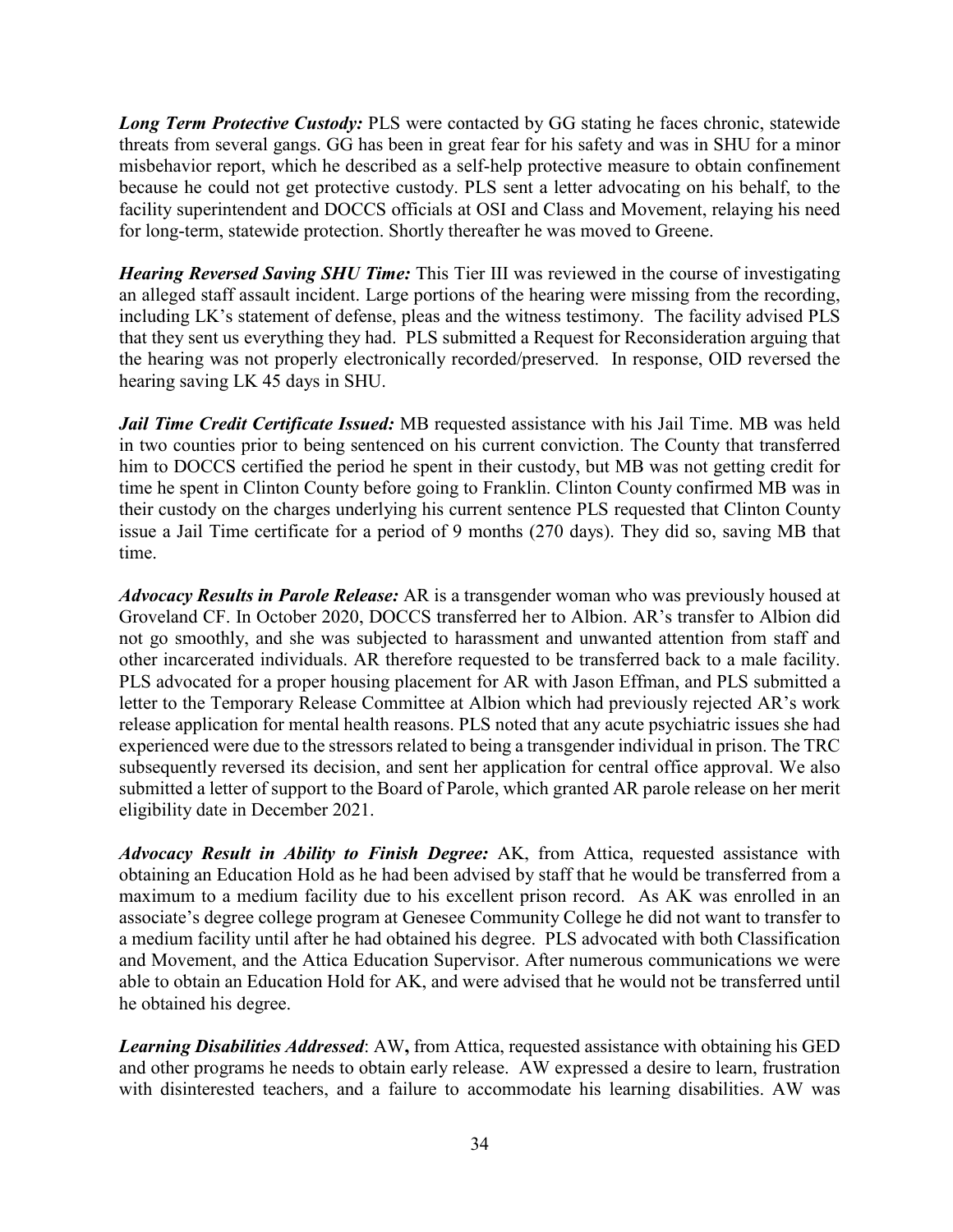**Long Term Protective Custody:** PLS were contacted by GG stating he faces chronic, statewide threats from several gangs. GG has been in great fear for his safety and was in SHU for a minor misbehavior report, which he described as a self-help protective measure to obtain confinement because he could not get protective custody. PLS sent a letter advocating on his behalf, to the facility superintendent and DOCCS officials at OSI and Class and Movement, relaying his need for long-term, statewide protection. Shortly thereafter he was moved to Greene.

*Hearing Reversed Saving SHU Time:* This Tier III was reviewed in the course of investigating an alleged staff assault incident. Large portions of the hearing were missing from the recording, including LK's statement of defense, pleas and the witness testimony. The facility advised PLS that they sent us everything they had. PLS submitted a Request for Reconsideration arguing that the hearing was not properly electronically recorded/preserved. In response, OID reversed the hearing saving LK 45 days in SHU.

*Jail Time Credit Certificate Issued:* MB requested assistance with his Jail Time. MB was held in two counties prior to being sentenced on his current conviction. The County that transferred him to DOCCS certified the period he spent in their custody, but MB was not getting credit for time he spent in Clinton County before going to Franklin. Clinton County confirmed MB was in their custody on the charges underlying his current sentence PLS requested that Clinton County issue a Jail Time certificate for a period of 9 months (270 days). They did so, saving MB that time.

*Advocacy Results in Parole Release:* AR is a transgender woman who was previously housed at Groveland CF. In October 2020, DOCCS transferred her to Albion. AR's transfer to Albion did not go smoothly, and she was subjected to harassment and unwanted attention from staff and other incarcerated individuals. AR therefore requested to be transferred back to a male facility. PLS advocated for a proper housing placement for AR with Jason Effman, and PLS submitted a letter to the Temporary Release Committee at Albion which had previously rejected AR's work release application for mental health reasons. PLS noted that any acute psychiatric issues she had experienced were due to the stressors related to being a transgender individual in prison. The TRC subsequently reversed its decision, and sent her application for central office approval. We also submitted a letter of support to the Board of Parole, which granted AR parole release on her merit eligibility date in December 2021.

*Advocacy Result in Ability to Finish Degree:* AK, from Attica, requested assistance with obtaining an Education Hold as he had been advised by staff that he would be transferred from a maximum to a medium facility due to his excellent prison record. As AK was enrolled in an associate's degree college program at Genesee Community College he did not want to transfer to a medium facility until after he had obtained his degree. PLS advocated with both Classification and Movement, and the Attica Education Supervisor. After numerous communications we were able to obtain an Education Hold for AK, and were advised that he would not be transferred until he obtained his degree.

*Learning Disabilities Addressed*: AW**,** from Attica, requested assistance with obtaining his GED and other programs he needs to obtain early release. AW expressed a desire to learn, frustration with disinterested teachers, and a failure to accommodate his learning disabilities. AW was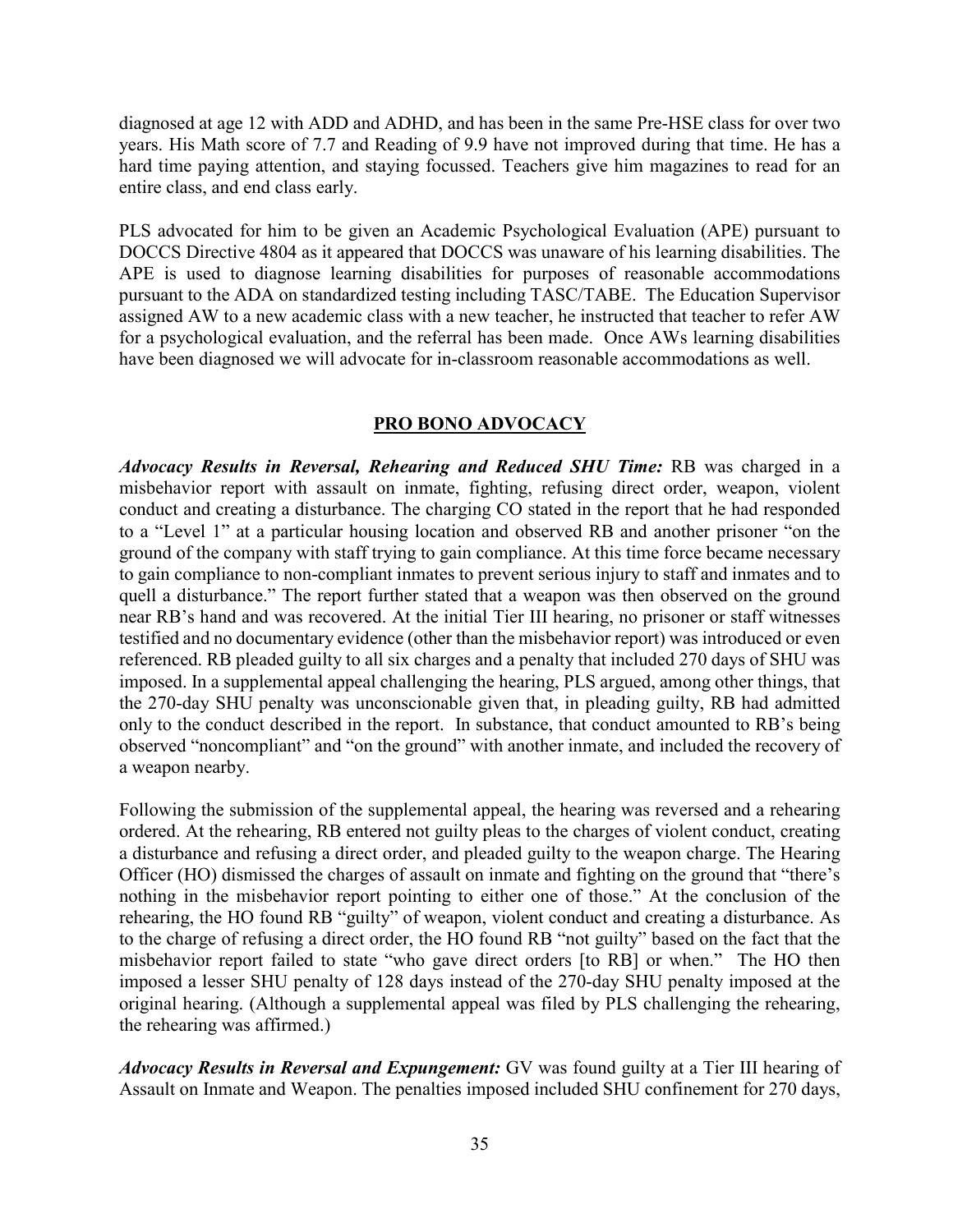diagnosed at age 12 with ADD and ADHD, and has been in the same Pre-HSE class for over two years. His Math score of 7.7 and Reading of 9.9 have not improved during that time. He has a hard time paying attention, and staying focussed. Teachers give him magazines to read for an entire class, and end class early.

PLS advocated for him to be given an Academic Psychological Evaluation (APE) pursuant to DOCCS Directive 4804 as it appeared that DOCCS was unaware of his learning disabilities. The APE is used to diagnose learning disabilities for purposes of reasonable accommodations pursuant to the ADA on standardized testing including TASC/TABE. The Education Supervisor assigned AW to a new academic class with a new teacher, he instructed that teacher to refer AW for a psychological evaluation, and the referral has been made. Once AWs learning disabilities have been diagnosed we will advocate for in-classroom reasonable accommodations as well.

#### **PRO BONO ADVOCACY**

*Advocacy Results in Reversal, Rehearing and Reduced SHU Time:* RB was charged in a misbehavior report with assault on inmate, fighting, refusing direct order, weapon, violent conduct and creating a disturbance. The charging CO stated in the report that he had responded to a "Level 1" at a particular housing location and observed RB and another prisoner "on the ground of the company with staff trying to gain compliance. At this time force became necessary to gain compliance to non-compliant inmates to prevent serious injury to staff and inmates and to quell a disturbance." The report further stated that a weapon was then observed on the ground near RB's hand and was recovered. At the initial Tier III hearing, no prisoner or staff witnesses testified and no documentary evidence (other than the misbehavior report) was introduced or even referenced. RB pleaded guilty to all six charges and a penalty that included 270 days of SHU was imposed. In a supplemental appeal challenging the hearing, PLS argued, among other things, that the 270-day SHU penalty was unconscionable given that, in pleading guilty, RB had admitted only to the conduct described in the report. In substance, that conduct amounted to RB's being observed "noncompliant" and "on the ground" with another inmate, and included the recovery of a weapon nearby.

Following the submission of the supplemental appeal, the hearing was reversed and a rehearing ordered. At the rehearing, RB entered not guilty pleas to the charges of violent conduct, creating a disturbance and refusing a direct order, and pleaded guilty to the weapon charge. The Hearing Officer (HO) dismissed the charges of assault on inmate and fighting on the ground that "there's nothing in the misbehavior report pointing to either one of those." At the conclusion of the rehearing, the HO found RB "guilty" of weapon, violent conduct and creating a disturbance. As to the charge of refusing a direct order, the HO found RB "not guilty" based on the fact that the misbehavior report failed to state "who gave direct orders [to RB] or when." The HO then imposed a lesser SHU penalty of 128 days instead of the 270-day SHU penalty imposed at the original hearing. (Although a supplemental appeal was filed by PLS challenging the rehearing, the rehearing was affirmed.)

*Advocacy Results in Reversal and Expungement:* GV was found guilty at a Tier III hearing of Assault on Inmate and Weapon. The penalties imposed included SHU confinement for 270 days,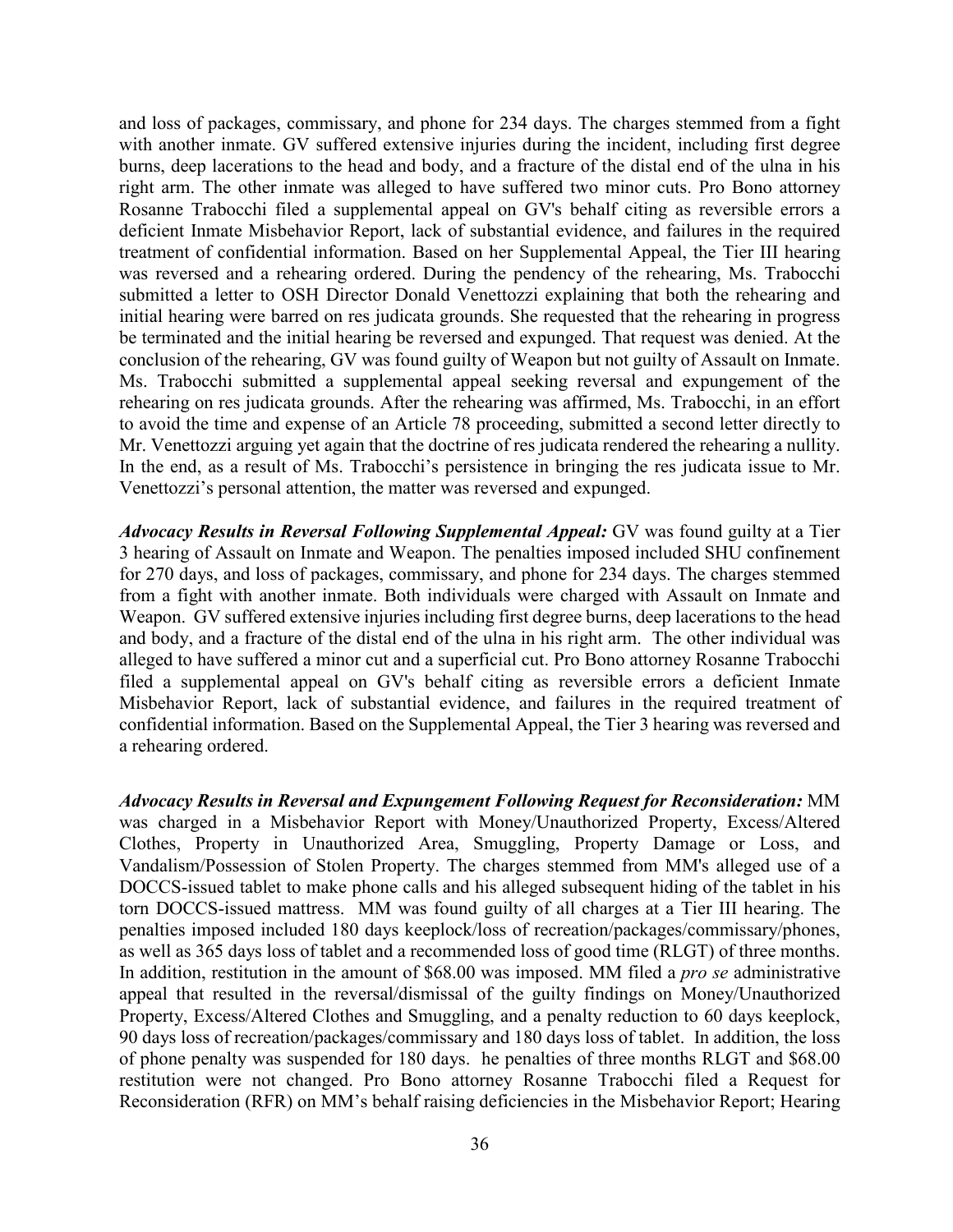and loss of packages, commissary, and phone for 234 days. The charges stemmed from a fight with another inmate. GV suffered extensive injuries during the incident, including first degree burns, deep lacerations to the head and body, and a fracture of the distal end of the ulna in his right arm. The other inmate was alleged to have suffered two minor cuts. Pro Bono attorney Rosanne Trabocchi filed a supplemental appeal on GV's behalf citing as reversible errors a deficient Inmate Misbehavior Report, lack of substantial evidence, and failures in the required treatment of confidential information. Based on her Supplemental Appeal, the Tier III hearing was reversed and a rehearing ordered. During the pendency of the rehearing, Ms. Trabocchi submitted a letter to OSH Director Donald Venettozzi explaining that both the rehearing and initial hearing were barred on res judicata grounds. She requested that the rehearing in progress be terminated and the initial hearing be reversed and expunged. That request was denied. At the conclusion of the rehearing, GV was found guilty of Weapon but not guilty of Assault on Inmate. Ms. Trabocchi submitted a supplemental appeal seeking reversal and expungement of the rehearing on res judicata grounds. After the rehearing was affirmed, Ms. Trabocchi, in an effort to avoid the time and expense of an Article 78 proceeding, submitted a second letter directly to Mr. Venettozzi arguing yet again that the doctrine of res judicata rendered the rehearing a nullity. In the end, as a result of Ms. Trabocchi's persistence in bringing the res judicata issue to Mr. Venettozzi's personal attention, the matter was reversed and expunged.

*Advocacy Results in Reversal Following Supplemental Appeal:* GV was found guilty at a Tier 3 hearing of Assault on Inmate and Weapon. The penalties imposed included SHU confinement for 270 days, and loss of packages, commissary, and phone for 234 days. The charges stemmed from a fight with another inmate. Both individuals were charged with Assault on Inmate and Weapon. GV suffered extensive injuries including first degree burns, deep lacerations to the head and body, and a fracture of the distal end of the ulna in his right arm. The other individual was alleged to have suffered a minor cut and a superficial cut. Pro Bono attorney Rosanne Trabocchi filed a supplemental appeal on GV's behalf citing as reversible errors a deficient Inmate Misbehavior Report, lack of substantial evidence, and failures in the required treatment of confidential information. Based on the Supplemental Appeal, the Tier 3 hearing was reversed and a rehearing ordered.

*Advocacy Results in Reversal and Expungement Following Request for Reconsideration:* MM was charged in a Misbehavior Report with Money/Unauthorized Property, Excess/Altered Clothes, Property in Unauthorized Area, Smuggling, Property Damage or Loss, and Vandalism/Possession of Stolen Property. The charges stemmed from MM's alleged use of a DOCCS-issued tablet to make phone calls and his alleged subsequent hiding of the tablet in his torn DOCCS-issued mattress. MM was found guilty of all charges at a Tier III hearing. The penalties imposed included 180 days keeplock/loss of recreation/packages/commissary/phones, as well as 365 days loss of tablet and a recommended loss of good time (RLGT) of three months. In addition, restitution in the amount of \$68.00 was imposed. MM filed a *pro se* administrative appeal that resulted in the reversal/dismissal of the guilty findings on Money/Unauthorized Property, Excess/Altered Clothes and Smuggling, and a penalty reduction to 60 days keeplock, 90 days loss of recreation/packages/commissary and 180 days loss of tablet. In addition, the loss of phone penalty was suspended for 180 days. he penalties of three months RLGT and \$68.00 restitution were not changed. Pro Bono attorney Rosanne Trabocchi filed a Request for Reconsideration (RFR) on MM's behalf raising deficiencies in the Misbehavior Report; Hearing